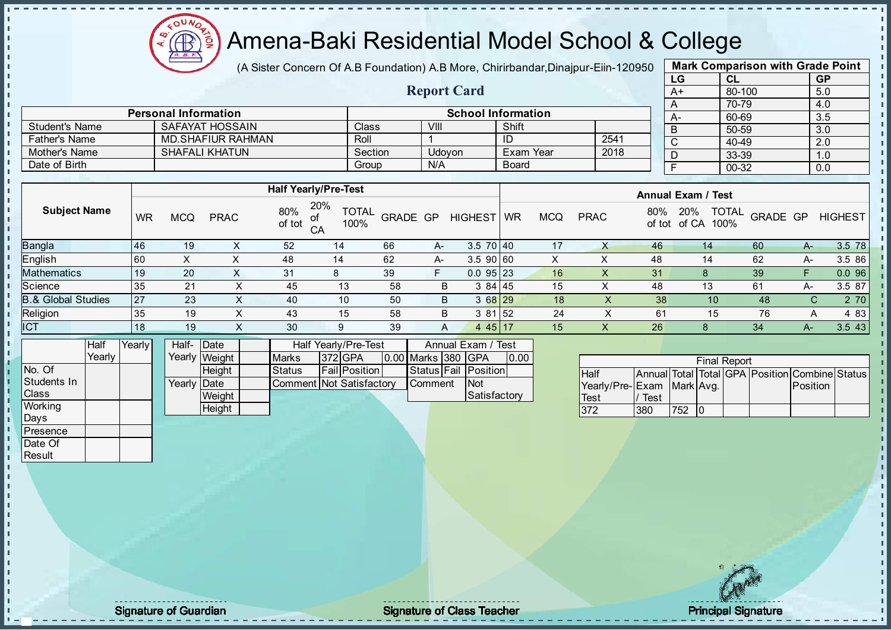Æ

# Amena-Baki Residential Model School & College

(A Sister Concern Of A.B Foundation) A.B More, Chirirbandar, Dinajpur-Eiin-120950

| <b>Mark Comparison with Grade Point</b> |        |           |  |  |  |  |  |  |  |
|-----------------------------------------|--------|-----------|--|--|--|--|--|--|--|
| LG                                      | CL     | <b>GP</b> |  |  |  |  |  |  |  |
| $A+$                                    | 80-100 | 5.0       |  |  |  |  |  |  |  |
| A                                       | 70-79  | 4.0       |  |  |  |  |  |  |  |
| A-                                      | 60-69  | 3.5       |  |  |  |  |  |  |  |
| B                                       | 50-59  | 3.0       |  |  |  |  |  |  |  |
| C                                       | 40-49  | 2.0       |  |  |  |  |  |  |  |
| D                                       | 33-39  | 1.0       |  |  |  |  |  |  |  |
| F                                       | 00-32  | 0.0       |  |  |  |  |  |  |  |
|                                         |        |           |  |  |  |  |  |  |  |

|                       |                             |         |                    |                           |      | __   |
|-----------------------|-----------------------------|---------|--------------------|---------------------------|------|------|
|                       |                             |         | <b>Report Card</b> |                           |      | A+   |
|                       |                             |         |                    |                           |      |      |
|                       | <b>Personal Information</b> |         |                    | <b>School Information</b> |      | $A-$ |
| <b>Student's Name</b> | SAFAYAT HOSSAIN             | Class   | VIII               | Shift                     |      |      |
| <b>Father's Name</b>  | <b>MD.SHAFIUR RAHMAN</b>    | Roll    |                    | ID                        | 2541 |      |
| Mother's Name         | <b>SHAFALI KHATUN</b>       | Section | Udovon             | Exam Year                 | 2018 |      |
| Date of Birth         |                             | Group   | N/A                | <b>Board</b>              |      |      |

|                     |           |            |             | <b>Half Yearly/Pre-Test</b> |                             |                 |    |                | <b>Annual Exam / Test</b> |     |             |               |                                      |          |      |                |
|---------------------|-----------|------------|-------------|-----------------------------|-----------------------------|-----------------|----|----------------|---------------------------|-----|-------------|---------------|--------------------------------------|----------|------|----------------|
| <b>Subject Name</b> | <b>WR</b> | <b>MCQ</b> | <b>PRAC</b> | 80%<br>οf<br>of tot<br>CA   | 20%<br><b>TOTAL</b><br>100% | <b>GRADE GP</b> |    | <b>HIGHEST</b> | <b>WR</b>                 | MCQ | <b>PRAC</b> | 80%<br>of tot | <b>TOTAL</b><br>20%<br>of CA<br>100% | GRADE GP |      | <b>HIGHEST</b> |
| Bangla              | 146       | 19         |             | 52                          | 14                          | 66              | A- | $3.570$ 40     |                           | 17  | х           | 46            | 14                                   | 60       | $A-$ | 3.5 78         |
| English             | 160       | X          |             | 48                          | 14                          | 62              | A- | 3.590 60       |                           | х   | ∧           | 48            | 14                                   | 62       | A-   | 3.5 86         |
| Mathematics         | l 19      | 20         |             | 31                          | 8                           | 39              | F  | $0.095$  23    |                           | 16  | X           | 31            | 8                                    | 39       |      | 0.096          |
| Science             | 35        | 21         | x           | 45                          | 13                          | 58              | B  | 384145         |                           | 15  |             | 48            | 13                                   | 61       | A-   | 3.5 87         |
| 3.& Global Studies  | 27        | 23         |             | 40                          | 10                          | 50              | B  | $368$ 29       |                           | 18  | X           | 38            | 10                                   | 48       | С    | 2 70           |
| Religion            | 35        | 19         | v<br>$\sim$ | 43                          | 15                          | 58              | B  | 3 81 52        |                           | 24  |             | 61            | 15                                   | 76       | Α    | 4 8 3          |
| <b>ICT</b>          | 18        | 19         | ⌒           | 30                          | 9                           | 39              | A  | $445$   17     |                           | 15  | х           | 26            | 8                                    | 34       | $A-$ | 3.5 43         |
|                     |           |            |             |                             |                             |                 |    |                |                           |     |             |               |                                      |          |      |                |

|                | <b>Half</b> | YearlvT | Half- Date  |               |                          | Half Yearly/Pre-Test |                    | Annual Exam / Test   |      |
|----------------|-------------|---------|-------------|---------------|--------------------------|----------------------|--------------------|----------------------|------|
|                | Yearlv      |         |             | Yearly Weight | <b>IMarks</b>            | $1372$ GPA           | 0.00 Marks 380 GPA |                      | 0.00 |
| No. Of         |             |         |             | <b>Height</b> | <b>Status</b>            | <b>Fail Position</b> |                    | Status Fail Position |      |
| Students In    |             |         | Yearly Date |               | Comment Not Satisfactory |                      | <b>Comment</b>     | <b>Not</b>           |      |
| <b>Class</b>   |             |         |             | Weight        |                          |                      |                    | Satisfactory         |      |
| <b>Working</b> |             |         |             | Height        |                          |                      |                    |                      |      |

| <b>Final Report</b>       |      |     |  |  |  |                                                |  |  |  |  |  |  |
|---------------------------|------|-----|--|--|--|------------------------------------------------|--|--|--|--|--|--|
| <b>Half</b>               |      |     |  |  |  | Annual Total Total GPA Position Combine Status |  |  |  |  |  |  |
| Yearly/Pre-Exam Mark Avg. |      |     |  |  |  | <b>Position</b>                                |  |  |  |  |  |  |
| <b>Test</b>               | Test |     |  |  |  |                                                |  |  |  |  |  |  |
| 372                       | 380  | 752 |  |  |  |                                                |  |  |  |  |  |  |

Days Presence Date Of **Result** 

 $\mathbf{r}$ 

п h J. D  $\frac{1}{1}$  $\mathbf{I}$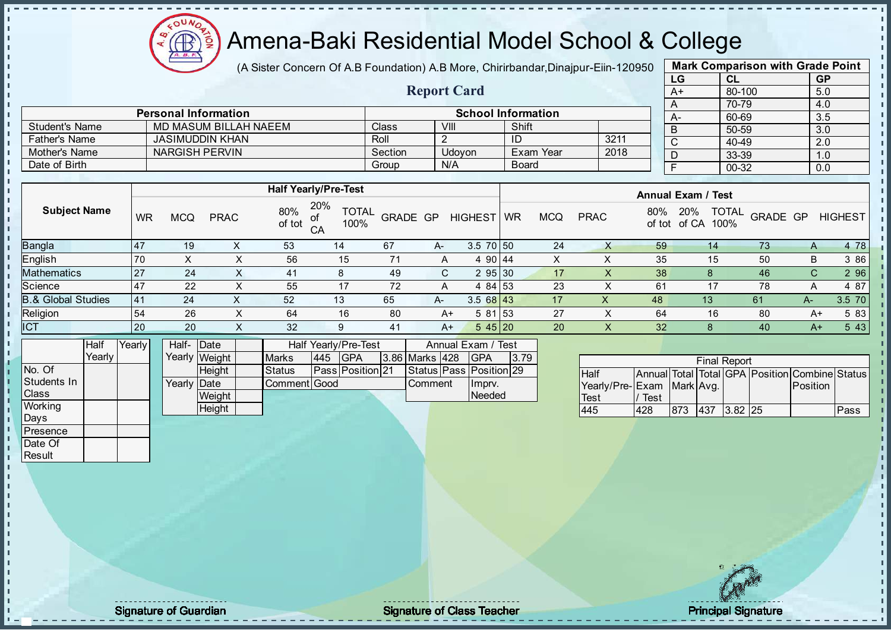

(A Sister Concern Of A.B Foundation) A.B More, Chirirbandar, Dinajpur-Eiin-120950

Report Card

| <b>Mark Comparison with Grade Point</b> |           |  |  |  |  |  |  |  |  |
|-----------------------------------------|-----------|--|--|--|--|--|--|--|--|
| CL                                      | <b>GP</b> |  |  |  |  |  |  |  |  |
| 80-100                                  | 5.0       |  |  |  |  |  |  |  |  |
| 70-79                                   | 4.0       |  |  |  |  |  |  |  |  |
| 60-69                                   | 3.5       |  |  |  |  |  |  |  |  |
| 50-59                                   | 3.0       |  |  |  |  |  |  |  |  |
| 40-49                                   | 2.0       |  |  |  |  |  |  |  |  |
| 33-39                                   | 1.0       |  |  |  |  |  |  |  |  |
| $00 - 32$                               | 0.0       |  |  |  |  |  |  |  |  |
|                                         |           |  |  |  |  |  |  |  |  |

|                       | <b>Personal Information</b> |         |        | <b>School Information</b> |      |
|-----------------------|-----------------------------|---------|--------|---------------------------|------|
| <b>Student's Name</b> | MD MASUM BILLAH NAEEM       | Class   | VIII   | Shift                     |      |
| <b>Father's Name</b>  | JASIMUDDIN KHAN             | Roll    |        |                           | 3211 |
| Mother's Name         | NARGISH PERVIN              | Section | Udovon | Exam Year                 | 2018 |
| Date of Birth         |                             | Group   | N/A    | <b>Board</b>              |      |

|                               |                  |            |             |               | <b>Half Yearly/Pre-Test</b>       |          |      |                 |           |            |             |                 | <b>Annual Exam / Test</b>                   |          |      |                |
|-------------------------------|------------------|------------|-------------|---------------|-----------------------------------|----------|------|-----------------|-----------|------------|-------------|-----------------|---------------------------------------------|----------|------|----------------|
| <b>Subject Name</b>           | WR               | <b>MCQ</b> | <b>PRAC</b> | 80%<br>of tot | 20%<br><b>TOTAL</b><br>100%<br>CA | GRADE GP |      | <b>HIGHEST</b>  | <b>WR</b> | <b>MCQ</b> | <b>PRAC</b> | 80%             | <b>TOTAL</b><br>20%<br>of tot of CA<br>100% | GRADE GP |      | <b>HIGHEST</b> |
| Bangla                        | $\overline{147}$ | 19         |             | 53            | 14                                | 67       | $A-$ | $3.5 \ 70 \ 50$ |           | 24         |             | 59              | 14                                          | 73       | A    | 4 78           |
| English                       | 70               |            |             | 56            | 15                                | 71       | A    | 4 90 44         |           | X.         |             | 35              | 15                                          | 50       | B    | 3 86           |
| Mathematics                   | 27               | 24         |             | 41            |                                   | 49       | C.   | 295 30          |           | 17         |             | 38              |                                             | 46       | C.   | 2 9 6          |
| Science                       | 47               | 22         |             | 55            | 17                                | 72       | A    | 4 84 53         |           | 23         |             | 61              | 17                                          | 78       | A    | 4 87           |
| <b>B.&amp; Global Studies</b> | 141              | 24         |             | 52            | 13                                | 65       | A-   | $3.568$ 43      |           | 17         | х           | 48              | 13                                          | 61       | $A-$ | 3.5 70         |
| Religion                      | 54               | 26         |             | 64            | 16                                | 80       | $A+$ | $581$ 53        |           | 27         |             | 64              | 16                                          | 80       | A+   | 5 83           |
| <b>ICT</b>                    | 20               | 20         | $\lambda$   | 32            | 9                                 | 41       | A+   | $545$ 20        |           | 20         | X.          | 32 <sub>2</sub> |                                             | 40       | $A+$ | 5 4 3          |
|                               |                  |            |             |               |                                   |          |      |                 |           |            |             |                 |                                             |          |      |                |

|                | Half   | Yearlvl |             | Half-Date<br><b>Half Yearly/Pre-Test</b> |  |               | Annual Exam / Test |                         |                |                               |      |
|----------------|--------|---------|-------------|------------------------------------------|--|---------------|--------------------|-------------------------|----------------|-------------------------------|------|
|                | Yearlv |         |             | Yearly Weight                            |  | <b>Marks</b>  | 445                | <b>IGPA</b>             | 3.86 Marks 428 | <b>IGPA</b>                   | 3.79 |
| No. Of         |        |         |             | <b>Height</b>                            |  | <b>Status</b> |                    | <b>Pass Position 21</b> |                | Status   Pass   Position   29 |      |
| Students In    |        |         | Yearly Date |                                          |  | Comment Good  |                    |                         | <b>Comment</b> | Imprv.                        |      |
| <b>Class</b>   |        |         |             | Weight                                   |  |               |                    |                         |                | Needed                        |      |
| <b>Working</b> |        |         |             | Height                                   |  |               |                    |                         |                |                               |      |

|                           |      |     | <b>Final Report</b> |                                                |      |
|---------------------------|------|-----|---------------------|------------------------------------------------|------|
| <b>Half</b>               |      |     |                     | Annual Total Total GPA Position Combine Status |      |
| Yearly/Pre-Exam Mark Avg. |      |     |                     | <b>Position</b>                                |      |
| <b>Test</b>               | Test |     |                     |                                                |      |
| 445                       | 428  | 873 | $ 437 $ 3.82 25     |                                                | Pass |

Days **Presence** Date Of **Result** 

h h

 $\begin{bmatrix} 1 \\ 1 \\ 1 \end{bmatrix}$ 

 $\mathbf{I}$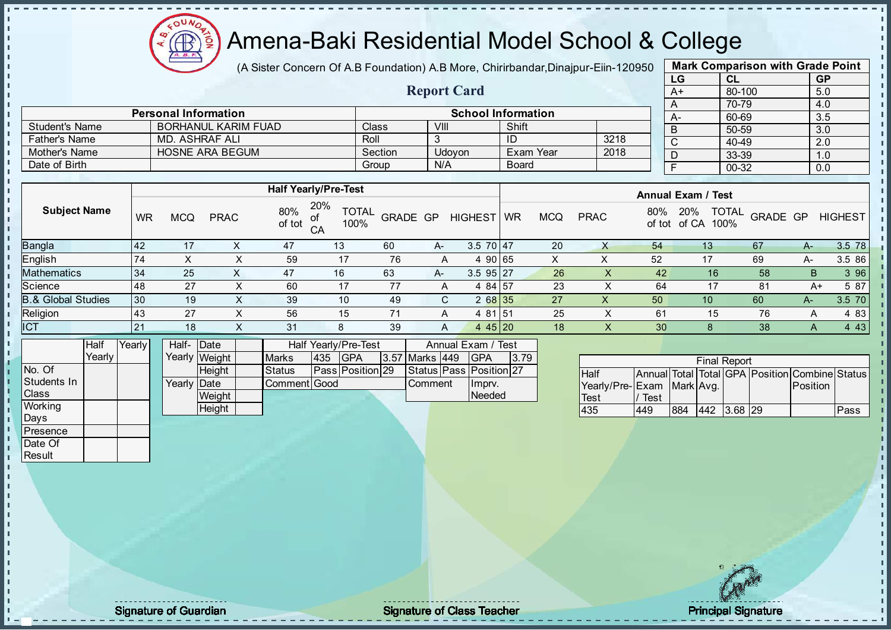

(A Sister Concern Of A.B Foundation) A.B More, Chirirbandar, Dinajpur-Eiin-120950

Report Card

| <b>Mark Comparison with Grade Point</b> |        |           |  |  |  |  |  |  |  |
|-----------------------------------------|--------|-----------|--|--|--|--|--|--|--|
| LG                                      | CL     | <b>GP</b> |  |  |  |  |  |  |  |
| $A+$                                    | 80-100 | 5.0       |  |  |  |  |  |  |  |
| Α                                       | 70-79  | 4.0       |  |  |  |  |  |  |  |
| А-                                      | 60-69  | 3.5       |  |  |  |  |  |  |  |
| B                                       | 50-59  | 3.0       |  |  |  |  |  |  |  |
| C                                       | 40-49  | 2.0       |  |  |  |  |  |  |  |
| D                                       | 33-39  | 1.0       |  |  |  |  |  |  |  |
| F                                       | 00-32  | 0.0       |  |  |  |  |  |  |  |
|                                         |        |           |  |  |  |  |  |  |  |

|                       | <b>Personal Information</b> |              |        | <b>School Information</b> |      |  |  |  |  |
|-----------------------|-----------------------------|--------------|--------|---------------------------|------|--|--|--|--|
| <b>Student's Name</b> | BORHANUL KARIM FUAD         | <b>Class</b> | VIII   | Shift                     |      |  |  |  |  |
| <b>Father's Name</b>  | MD. ASHRAF ALI              | Roll         |        | ID                        | 3218 |  |  |  |  |
| Mother's Name         | HOSNE ARA BEGUM             | Section      | Udovon | Exam Year                 | 2018 |  |  |  |  |
| Date of Birth         |                             | Group        | N/A    | Board                     |      |  |  |  |  |

|                               |           |     |             |               | <b>Half Yearly/Pre-Test</b>             |                 |                |                |           |            |             |               | <b>Annual Exam / Test</b>            |          |      |                |
|-------------------------------|-----------|-----|-------------|---------------|-----------------------------------------|-----------------|----------------|----------------|-----------|------------|-------------|---------------|--------------------------------------|----------|------|----------------|
| <b>Subject Name</b>           | WR        | MCQ | <b>PRAC</b> | 80%<br>of tot | 20%<br><b>TOTAL</b><br>οf<br>100%<br>CA | <b>GRADE GP</b> |                | <b>HIGHEST</b> | <b>WR</b> | <b>MCQ</b> | <b>PRAC</b> | 80%<br>of tot | <b>TOTAL</b><br>20%<br>of CA<br>100% | GRADE GP |      | <b>HIGHEST</b> |
| <b>Bangla</b>                 | <b>42</b> | -17 |             | 47            | 13                                      | 60              | $A-$           | 3.5 70 47      |           | 20         |             | 54            | 13                                   | 67       | $A-$ | 3.5 78         |
| English                       | 74        |     | ∧           | 59            | 17                                      | 76              | A              | 90165          |           |            | ∧           | 52            | -17                                  | 69       | A-   | 3.5 86         |
| <b>Mathematics</b>            | 34        | 25  | $\sim$      | 47            | 16                                      | 63              | A-             | $3.5$ 95 27    |           | 26         | $\lambda$   | 42            | 16 <sup>°</sup>                      | 58       | B    | 3 9 6          |
| Science                       | 148       | 27  | х           | 60            | 17                                      |                 | $\overline{A}$ | 4 84 57        |           | 23         |             | 64            | 17                                   | 81       | A+   | 5 87           |
| <b>B.&amp; Global Studies</b> | 30        | 19  | X           | 39            | 10                                      | 49              | C.             | 268 35         |           | 27         | X           | 50            | 10                                   | 60       | $A-$ | 3.5 70         |
| Religion                      | 143       | 27  | Y.          | 56            | 15                                      |                 | A              | $81\,$ 51<br>4 |           | 25         |             | 61            | 15                                   | 76       | A    | 4 8 3          |
| ICT                           | 21        | 18  | X           | 31            | 8                                       | 39              | A              | $445$   20     |           | 18         | ∧.          | 30            |                                      | 38       | A    | 4 4 3          |

|                | Half     | Yearly | Half- Date           |               |               |      | <b>Half Yearly/Pre-Test</b> |                | Annual Exam / Test            |      |
|----------------|----------|--------|----------------------|---------------|---------------|------|-----------------------------|----------------|-------------------------------|------|
|                | Yearlv I |        |                      | Yearly Weight | <b>Marks</b>  | 1435 | <b>IGPA</b>                 | 3.57 Marks 449 | <b>IGPA</b>                   | 3.79 |
| No. Of         |          |        |                      | Heiaht        | <b>Status</b> |      | Pass Position 29            |                | Status   Pass   Position   27 |      |
| Students In    |          |        | Yearlv <b>I</b> Date |               | Comment Good  |      |                             | Comment        | Ilmpry.                       |      |
| <b>Class</b>   |          |        |                      | Weight        |               |      |                             |                | Needed                        |      |
| <b>Working</b> |          |        |                      | Height        |               |      |                             |                |                               |      |

|                           |      |     | <b>Final Report</b> |                                                |      |
|---------------------------|------|-----|---------------------|------------------------------------------------|------|
| <b>Half</b>               |      |     |                     | Annual Total Total GPA Position Combine Status |      |
| Yearly/Pre-Exam Mark Avg. |      |     |                     | Position                                       |      |
| Test                      | Test |     |                     |                                                |      |
| 435                       | 449  | 884 | 442 3.68 29         |                                                | Pass |

Days Presence Date Of **Result** 

J. п  $\frac{1}{1}$  $\mathbf{I}$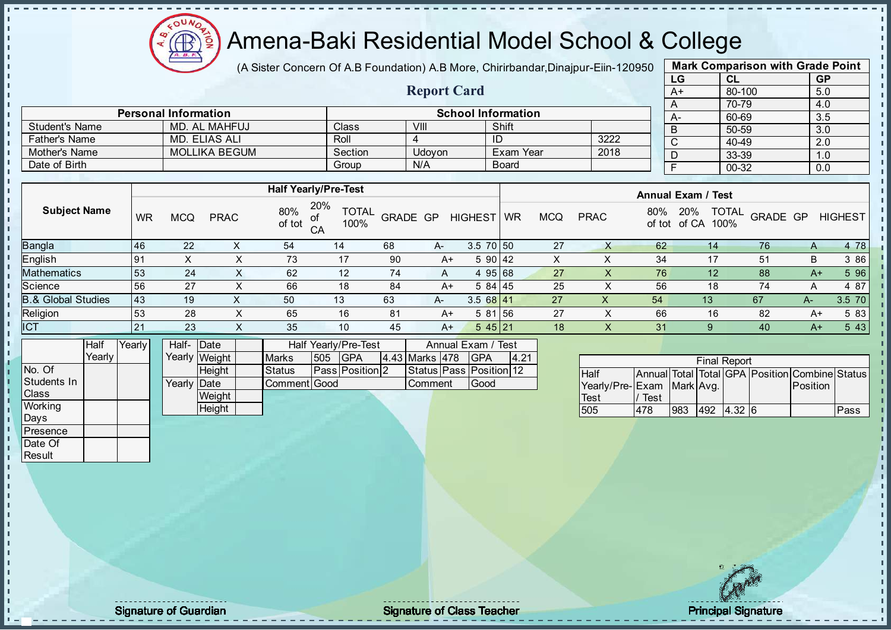

(A Sister Concern Of A.B Foundation) A.B More, Chirirbandar, Dinajpur-Eiin-120950

| <b>Mark Comparison with Grade Point</b> |           |           |  |  |  |  |  |  |  |  |  |
|-----------------------------------------|-----------|-----------|--|--|--|--|--|--|--|--|--|
| LG                                      | CL        | <b>GP</b> |  |  |  |  |  |  |  |  |  |
| $A+$                                    | 80-100    | 5.0       |  |  |  |  |  |  |  |  |  |
| A                                       | 70-79     | 4.0       |  |  |  |  |  |  |  |  |  |
| А-                                      | 60-69     | 3.5       |  |  |  |  |  |  |  |  |  |
| B                                       | 50-59     | 3.0       |  |  |  |  |  |  |  |  |  |
| C                                       | $40 - 49$ | 2.0       |  |  |  |  |  |  |  |  |  |
| D                                       | 33-39     | 1.0       |  |  |  |  |  |  |  |  |  |
| $00 - 32$<br>F<br>0.0                   |           |           |  |  |  |  |  |  |  |  |  |
|                                         |           |           |  |  |  |  |  |  |  |  |  |

|                      |                             |         | <b>Report Card</b> |                           |      | A+ |
|----------------------|-----------------------------|---------|--------------------|---------------------------|------|----|
|                      |                             |         |                    |                           |      |    |
|                      | <b>Personal Information</b> |         |                    | <b>School Information</b> |      | А- |
| Student's Name       | MD. AL MAHFUJ               | Class   | VIII               | Shift                     |      |    |
| <b>Father's Name</b> | MD. ELIAS ALI               | Roll    |                    | ID                        | 3222 |    |
| Mother's Name        | <b>MOLLIKA BEGUM</b>        | Section | Udovon             | Exam Year                 | 2018 |    |
| Date of Birth        |                             | Group   | N/A                | <b>Board</b>              |      |    |

|                               |           |            |             |               | <b>Half Yearly/Pre-Test</b>       |          |      |                | <b>Annual Exam / Test</b> |            |             |               |                      |                          |    |                |
|-------------------------------|-----------|------------|-------------|---------------|-----------------------------------|----------|------|----------------|---------------------------|------------|-------------|---------------|----------------------|--------------------------|----|----------------|
| <b>Subject Name</b>           | <b>WR</b> | <b>MCQ</b> | <b>PRAC</b> | 80%<br>of tot | 20%<br><b>TOTAL</b><br>100%<br>CA | GRADE GP |      | <b>HIGHEST</b> | <b>WR</b>                 | <b>MCQ</b> | <b>PRAC</b> | 80%<br>of tot | 20%<br>of CA<br>100% | <b>TOTAL</b><br>GRADE GP |    | <b>HIGHEST</b> |
| <b>Bangla</b>                 | 46        | 22         |             | 54            | 14                                | 68       | $A-$ | $3.5$ 70 50    |                           | 27         |             | 62            | 14                   | 76                       | A  | 4 78           |
| English                       | <b>91</b> |            |             | 73            | 17                                | 90       | A+   | 5 90 42        |                           |            |             | 34            | 17                   | 51                       | B  | 3 86           |
| <b>Mathematics</b>            | 53        | 24         | $\lambda$   | 62            | 12                                | 74       | A    | 4 95 68        |                           | 27         | $\lambda$   | 76            | 12 <sup>°</sup>      | 88                       | A+ | 5 96           |
| Science                       | 56        | 27         |             | 66            | 18                                | 84       | A+   | 5 84 45        |                           | 25         |             | 56            | 18                   | 74                       | A  | 4 87           |
| <b>B.&amp; Global Studies</b> | 43        | 19         | $\Lambda$   | 50            | 13                                | 63       | A-   | 3.568141       |                           | 27         | х           | 54            | 13                   | 67                       | A- | 3.5 70         |
| Religion                      | 53        | 28         |             | 65            | 16                                | 81       | A+   | 5 81 56        |                           | 27         |             | 66            | 16                   | 82                       | A+ | 5 83           |
| <b>ICT</b>                    | 21        | 23         | $\lambda$   | 35            | 10                                | 45       | A+   | 545 21         |                           | 18         | X           | 31            | 9                    | 40                       | A+ | 5 4 3          |

|              | Half   | Yearly | Half- Date  |               |              |     | Half Yearly/Pre-Test   |                | Annual Exam / Test            |      |
|--------------|--------|--------|-------------|---------------|--------------|-----|------------------------|----------------|-------------------------------|------|
|              | Yearly |        |             | Yearly Weight | <b>Marks</b> | 505 | <b>IGPA</b>            | 4.43 Marks 478 | <b>IGPA</b>                   | 4.21 |
| No. Of       |        |        |             | <b>Height</b> | Status       |     | <b>Pass Position 2</b> |                | Status   Pass   Position   12 |      |
| Students In  |        |        | Yearly Date |               | Comment Good |     |                        | <b>Comment</b> | <b>Good</b>                   |      |
| <b>Class</b> |        |        |             | Weight        |              |     |                        |                |                               |      |
| Working      |        |        |             | <b>Height</b> |              |     |                        |                |                               |      |
| Days         |        |        |             |               |              |     |                        |                |                               |      |

|                           |      |      | <b>Final Report</b> |                                                |      |
|---------------------------|------|------|---------------------|------------------------------------------------|------|
| Half                      |      |      |                     | Annual Total Total GPA Position Combine Status |      |
| Yearly/Pre-Exam Mark Avg. |      |      |                     | <b>Position</b>                                |      |
| Test                      | Test |      |                     |                                                |      |
| 505                       | 478  | 1983 | 492 432 6           |                                                | Pass |

**Presence** Date Of **Result** 

п T. J. T. П i,  $\mathbf{I}$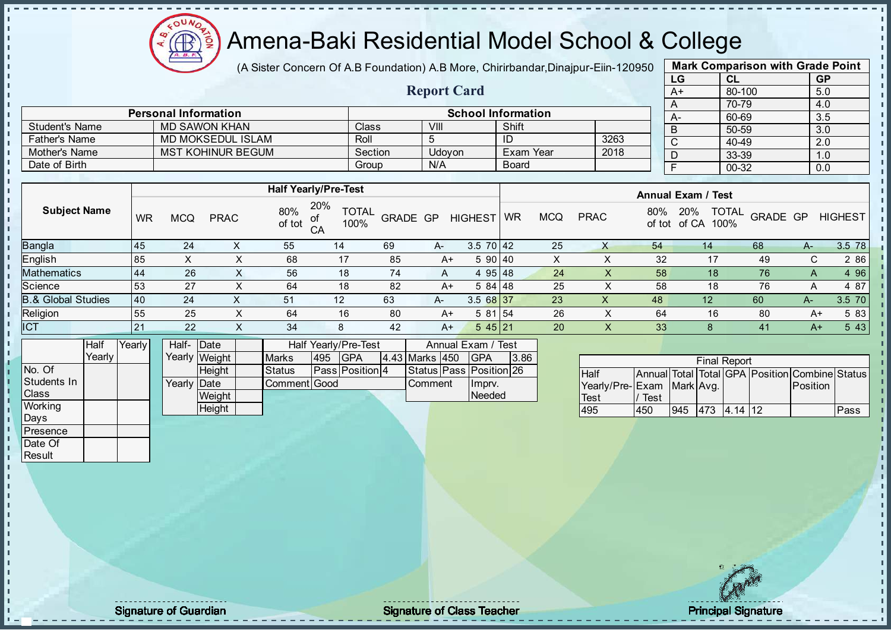

(A Sister Concern Of A.B Foundation) A.B More, Chirirbandar, Dinajpur-Eiin-120950

Report Card

| <b>Mark Comparison with Grade Point</b> |        |           |  |  |  |  |  |  |  |  |  |
|-----------------------------------------|--------|-----------|--|--|--|--|--|--|--|--|--|
| LG                                      | CL     | <b>GP</b> |  |  |  |  |  |  |  |  |  |
| $A+$                                    | 80-100 | 5.0       |  |  |  |  |  |  |  |  |  |
| A                                       | 70-79  | 4.0       |  |  |  |  |  |  |  |  |  |
| А-                                      | 60-69  | 3.5       |  |  |  |  |  |  |  |  |  |
| B                                       | 50-59  | 3.0       |  |  |  |  |  |  |  |  |  |
| C                                       | 40-49  | 2.0       |  |  |  |  |  |  |  |  |  |
| D                                       | 33-39  | 1.0       |  |  |  |  |  |  |  |  |  |
| F<br>00-32<br>0.0                       |        |           |  |  |  |  |  |  |  |  |  |

|                       | <b>Personal Information</b> |         |        | <b>School Information</b> |      |  |
|-----------------------|-----------------------------|---------|--------|---------------------------|------|--|
| <b>Student's Name</b> | MD SAWON KHAN               | Class   | VIII   | Shift                     |      |  |
| <b>Father's Name</b>  | MD MOKSEDUL ISLAM           | Roll    |        | ID                        | 3263 |  |
| Mother's Name         | <b>MST KOHINUR BEGUM</b>    | Section | Udovon | Exam Year                 | 2018 |  |
| Date of Birth         |                             | Group   | N/A    | <b>Board</b>              |      |  |

|                               |           |            |             |               | <b>Half Yearly/Pre-Test</b>       |          |      |                 |           |            |             |     | <b>Annual Exam / Test</b>                   |          |      |                |
|-------------------------------|-----------|------------|-------------|---------------|-----------------------------------|----------|------|-----------------|-----------|------------|-------------|-----|---------------------------------------------|----------|------|----------------|
| <b>Subject Name</b>           | <b>WR</b> | <b>MCQ</b> | <b>PRAC</b> | 80%<br>of tot | 20%<br><b>TOTAL</b><br>100%<br>CA | GRADE GP |      | <b>HIGHEST</b>  | <b>WR</b> | <b>MCQ</b> | <b>PRAC</b> | 80% | <b>TOTAL</b><br>20%<br>100%<br>of tot of CA | GRADE GP |      | <b>HIGHEST</b> |
| Bangla                        | 145       | 24         |             | 55            | 14                                | 69       | $A-$ | $3.5 \ 70 \ 42$ |           | 25         |             | 54  | 14                                          | 68       | $A-$ | 3.5 78         |
| English                       | 185       | Χ          | $\sim$      | 68            | 17                                | 85       | $A+$ | 590 40          |           | $\sim$     |             | 32  | 17                                          | 49       | C.   | 2 8 6          |
| Mathematics                   | 44        | 26         |             | 56            | 18                                | 74       | A    | 4 95 48         |           | 24         |             | 58  | 18                                          | 76       |      | 4 9 6          |
| Science                       | 53        | 27         |             | 64            | 18                                | 82       | $A+$ | $584$ 48        |           | 25         |             | 58  | 18                                          | 76       |      | 4 87           |
| <b>3.&amp; Global Studies</b> | 40        | 24         |             | 51            | 12                                | 63       | A-   | 3.5 68 37       |           | 23         | ⋏           | 48  | 12                                          | 60       | A-   | 3.5 70         |
| Religion                      | 55        | 25         | ∧           | 64            | 16                                | 80       | $A+$ | 581 54          |           | 26         |             | 64  | 16                                          | 80       | $A+$ | 5 83           |
| <b>ICT</b>                    | 21        | 22         | $\sim$      | 34            | 8                                 | 42       | $A+$ | 545 21          |           | 20         | ∧           | 33  |                                             | 41       | $A+$ | 5 4 3          |
|                               |           |            |             |               |                                   |          |      |                 |           |            |             |     |                                             |          |      |                |

|              | Half   | Yearly | Half-Date            |               |                     |     | <b>Half Yearly/Pre-Test</b> |                | Annual Exam / Test      |      |
|--------------|--------|--------|----------------------|---------------|---------------------|-----|-----------------------------|----------------|-------------------------|------|
|              | Yearly |        |                      | Yearly Weight | <b>Marks</b>        | 495 | <b>IGPA</b>                 | 4.43 Marks 450 | <b>IGPA</b>             | 3.86 |
| INo. Of      |        |        |                      | <b>Height</b> | Status              |     | <b>Pass Position 4</b>      |                | Status Pass Position 26 |      |
| Students In  |        |        | Yearlv <b>I</b> Date |               | <b>Comment Good</b> |     |                             | <b>Comment</b> | Ilmprv.                 |      |
| <b>Class</b> |        |        |                      | Weight        |                     |     |                             |                | Needed                  |      |
| Working      |        |        |                      | Height        |                     |     |                             |                |                         |      |

|                           |      |                 | <b>Final Report</b> |                                                |      |
|---------------------------|------|-----------------|---------------------|------------------------------------------------|------|
| Half                      |      |                 |                     | Annual Total Total GPA Position Combine Status |      |
| Yearly/Pre-Exam Mark Avg. |      |                 |                     | <b>Position</b>                                |      |
| <b>Test</b>               | Test |                 |                     |                                                |      |
| 495                       | 450  | 945 473 4.14 12 |                     |                                                | Pass |

Days Presence Date Of **Result** 

h D  $\frac{1}{1}$  $\mathbf{I}$ 

extending the Class Teacher Class Teacher Class Teacher Principal Signature of Guardian Class Teacher Principal Signature of Class Teacher Principal Signature of Class Teacher Principal Signature of Class Teacher Class Tea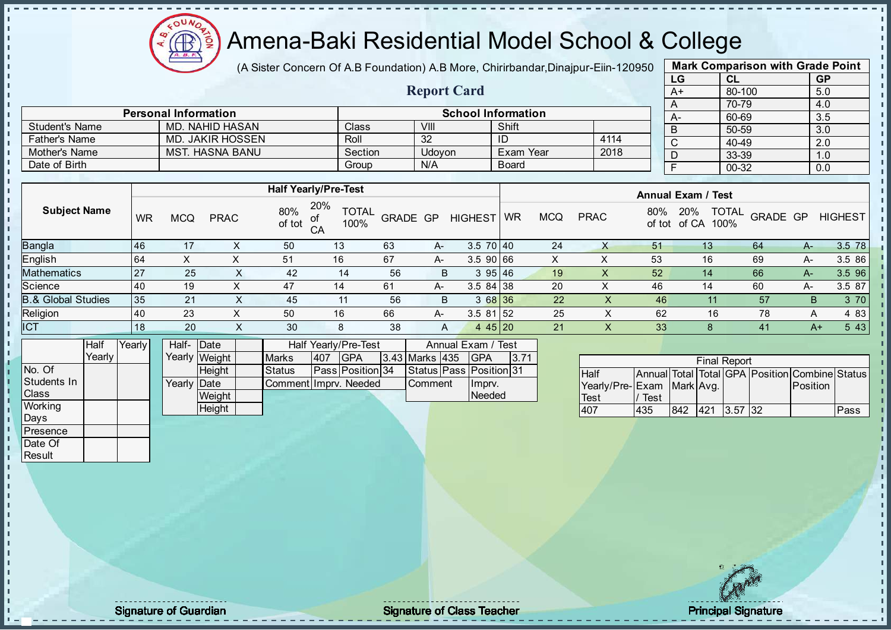

(A Sister Concern Of A.B Foundation) A.B More, Chirirbandar, Dinajpur-Eiin-120950

| <b>Mark Comparison with Grade Point</b> |           |           |  |  |  |  |  |  |  |
|-----------------------------------------|-----------|-----------|--|--|--|--|--|--|--|
| LG                                      | <b>CL</b> | <b>GP</b> |  |  |  |  |  |  |  |
| $A+$                                    | 80-100    | 5.0       |  |  |  |  |  |  |  |
| A                                       | 70-79     | 4.0       |  |  |  |  |  |  |  |
|                                         | 60-69     | 3.5       |  |  |  |  |  |  |  |
| B                                       | 50-59     | 3.0       |  |  |  |  |  |  |  |
| C                                       | 40-49     | 2.0       |  |  |  |  |  |  |  |
|                                         | 33-39     | 1.0       |  |  |  |  |  |  |  |
|                                         | 00-32     | 0.0       |  |  |  |  |  |  |  |
|                                         |           |           |  |  |  |  |  |  |  |

|                      |                             |         | <b>Report Card</b> |                           |      | $A+$ |
|----------------------|-----------------------------|---------|--------------------|---------------------------|------|------|
|                      | <b>Personal Information</b> |         |                    | <b>School Information</b> |      |      |
| Student's Name       | MD. NAHID HASAN             | Class   | VIII               | Shift                     |      | А-   |
| <b>Father's Name</b> | MD. JAKIR HOSSEN            | Roll    | 32                 | ID                        | 4114 |      |
| Mother's Name        | <b>MST. HASNA BANU</b>      | Section | Udovon             | Exam Year                 | 2018 |      |
| Date of Birth        |                             | Group   | N/A                | <b>Board</b>              |      |      |

|                               |    | <b>Half Yearly/Pre-Test</b> |             |               |                                   |                 |    |                 |           |            | <b>Annual Exam / Test</b> |               |                      |                          |      |                |  |
|-------------------------------|----|-----------------------------|-------------|---------------|-----------------------------------|-----------------|----|-----------------|-----------|------------|---------------------------|---------------|----------------------|--------------------------|------|----------------|--|
| <b>Subject Name</b>           | WR | <b>MCQ</b>                  | <b>PRAC</b> | 80%<br>of tot | 20%<br><b>TOTAL</b><br>100%<br>CA | <b>GRADE GP</b> |    | <b>HIGHEST</b>  | <b>WR</b> | <b>MCQ</b> | <b>PRAC</b>               | 80%<br>of tot | 20%<br>100%<br>of CA | <b>TOTAL</b><br>GRADE GP |      | <b>HIGHEST</b> |  |
| Bangla                        | 46 | 17                          |             | 50            | 13                                | 63              | A- | $3.5 \ 70 \ 40$ |           | 24         |                           | 51            | 13                   | 64                       | A-   | 3.5 78         |  |
| English                       | 64 |                             |             | 51            | 16                                | 67              | A- | 3.590 66        |           | ∧          |                           | 53            | 16                   | 69                       | $A-$ | 3.5 86         |  |
| <b>Mathematics</b>            | 27 | 25                          | X.          | 42            | 14                                | 56              | B  | 395 46          |           | 19         | ↗                         | 52            | 14                   | 66                       | A-   | 3.5 96         |  |
| Science                       | 40 | 19                          |             | 47            | 14                                | 61              | A- | $3.584$ 38      |           | 20         |                           | 46            | 14                   | 60                       | A-   | 3.5 87         |  |
| <b>B.&amp; Global Studies</b> | 35 | 21                          | X           | 45            | 11                                | 56              | B  | 3 68 36         |           | 22         | X.                        | 46            |                      | 57                       | B    | 3 70           |  |
| Religion                      | 40 | 23                          | ⌒           | 50            | 16                                | 66              | A- | $3.581$ 52      |           | 25         |                           | 62            | 16                   | 78                       | A    | 4 83           |  |
| <b>ICT</b>                    | 18 | 20                          | X           | 30            | 8                                 | 38              | A  | 4 45 20         |           | 21         | X.                        | 33            |                      | 41                       | $A+$ | 5 4 3          |  |

|                | Half     | Yearly | Half- Date           |               | <b>Half Yearly/Pre-Test</b> | Annual Exam / Test |                         |                        |  |                               |      |
|----------------|----------|--------|----------------------|---------------|-----------------------------|--------------------|-------------------------|------------------------|--|-------------------------------|------|
|                | Yearlv l |        |                      | Yearly Weight | <b>Marks</b>                | 1407               | <b>IGPA</b>             | $ 3.43 $ Marks $ 435 $ |  | IGPA                          | 3.71 |
| No. Of         |          |        |                      | <b>Height</b> | <b>Status</b>               |                    | <b>Pass Position 34</b> |                        |  | Status   Pass   Position   31 |      |
| Students In    |          |        | Yearlv <b>I</b> Date |               | CommentIImprv. Needed       |                    |                         | <b>Comment</b>         |  | Impry.                        |      |
| <b>Class</b>   |          |        |                      | Weight        |                             |                    |                         |                        |  | Needed                        |      |
| <b>Working</b> |          |        |                      | Height        |                             |                    |                         |                        |  |                               |      |

|                           | <b>Final Report</b> |     |          |  |     |                                                |      |  |  |  |  |
|---------------------------|---------------------|-----|----------|--|-----|------------------------------------------------|------|--|--|--|--|
| <b>Half</b>               |                     |     |          |  |     | Annual Total Total GPA Position Combine Status |      |  |  |  |  |
| Yearly/Pre-Exam Mark Avg. |                     |     |          |  |     | Position                                       |      |  |  |  |  |
| <b>Test</b>               | Test                |     |          |  |     |                                                |      |  |  |  |  |
| 107                       | 435                 | 842 | 421 3.57 |  | 132 |                                                | Pass |  |  |  |  |

Days Presence Date Of **Result** 

h J. D  $\frac{1}{1}$  $\mathbf{I}$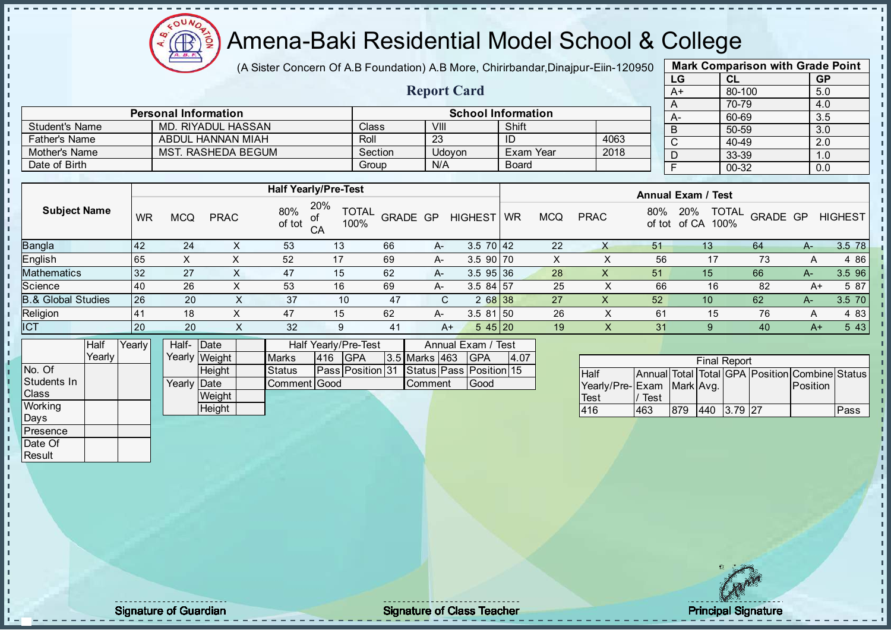Æ

# Amena-Baki Residential Model School & College

(A Sister Concern Of A.B Foundation) A.B More, Chirirbandar, Dinajpur-Eiin-120950

Report Card

| <b>Mark Comparison with Grade Point</b> |        |           |  |  |  |  |  |  |  |
|-----------------------------------------|--------|-----------|--|--|--|--|--|--|--|
| LG                                      | CL     | <b>GP</b> |  |  |  |  |  |  |  |
| A+                                      | 80-100 | 5.0       |  |  |  |  |  |  |  |
| A                                       | 70-79  | 4.0       |  |  |  |  |  |  |  |
| А-                                      | 60-69  | 3.5       |  |  |  |  |  |  |  |
| B                                       | 50-59  | 3.0       |  |  |  |  |  |  |  |
| C                                       | 40-49  | 2.0       |  |  |  |  |  |  |  |
| D                                       | 33-39  | 1.0       |  |  |  |  |  |  |  |
| F                                       | 00-32  | 0.0       |  |  |  |  |  |  |  |
|                                         |        |           |  |  |  |  |  |  |  |

|                       | <b>Personal Information</b> |         | <b>School Information</b> |              |      |  |        |  |  |  |
|-----------------------|-----------------------------|---------|---------------------------|--------------|------|--|--------|--|--|--|
| <b>Student's Name</b> | MD. RIYADUL HASSAN          | Classi  | VIII                      | Shift        |      |  | B      |  |  |  |
| <b>Father's Name</b>  | ABDUL HANNAN MIAH           | Roll    | 23                        |              | 4063 |  | $\sim$ |  |  |  |
| Mother's Name         | MST. RASHEDA BEGUM          | Section | Udovon                    | Exam Year    | 2018 |  |        |  |  |  |
| Date of Birth         |                             | Group   | N/A                       | <b>Board</b> |      |  |        |  |  |  |

|                               |           | <b>Half Yearly/Pre-Test</b> |             |                            |                             |                 |       |                 |           |            | <b>Annual Exam / Test</b> |     |                                             |          |       |                |
|-------------------------------|-----------|-----------------------------|-------------|----------------------------|-----------------------------|-----------------|-------|-----------------|-----------|------------|---------------------------|-----|---------------------------------------------|----------|-------|----------------|
| <b>Subject Name</b>           | WR        | <b>MCQ</b>                  | <b>PRAC</b> | 80%<br>of tot<br>$C\Delta$ | 20%<br><b>TOTAL</b><br>100% | <b>GRADE GP</b> |       | <b>HIGHEST</b>  | <b>WR</b> | <b>MCQ</b> | <b>PRAC</b>               | 80% | <b>TOTAL</b><br>20%<br>of tot of CA<br>100% | GRADE GP |       | <b>HIGHEST</b> |
| <b>Bangla</b>                 | 142       | 24                          |             | 53                         | 13                          | 66              | $A-$  | $3.5 \ 70 \ 42$ |           | 22         |                           | 51  | 13 <sup>°</sup>                             | 64       | A-    | 3.5 78         |
| English                       | 65        | ⌒                           |             | 52                         |                             | 69              | $A -$ | $3.5$ 90 70     |           | х          |                           | 56  | 17                                          | 73       |       | 4 86           |
| <b>Mathematics</b>            | 32        | 27                          |             | 47                         | 15                          | 62              | A     | $3.5$ 95 36     |           | 28         | $\check{ }$<br>∧          | 51  | 15                                          | 66       | А-    | 3.5 96         |
| Science                       | 40        | 26                          |             | 53                         | 16                          | 69              | A-    | $3.584$ 57      |           | 25         |                           | 66  | 16                                          | 82       | A+    | 5 87           |
| <b>B.&amp; Global Studies</b> | 26        | 20                          | ∧           | 37                         | 10                          | 47              | C.    | 2 68 38         |           | 27         | х                         | 52  | 10                                          | 62       | $A -$ | 3.5 70         |
| Religion                      | <b>41</b> | 18                          |             | 47                         | 15                          | 62              | $A-$  | $3.581$ 50      |           | 26         |                           | 61  | 15                                          | 76       | A     | 4 83           |
| <b>ICT</b>                    | 20        | 20                          | ж           | 32                         | 9                           | 41              | $A+$  | 545 20          |           | 19         | ∧.                        | 31  | 9                                           | 40       | $A+$  | 5 4 3          |

|                | Half     | Yearly | Half- Date          |               |               | Half Yearly/Pre-Test | Annual Exam / Test                            |                      |  |      |      |
|----------------|----------|--------|---------------------|---------------|---------------|----------------------|-----------------------------------------------|----------------------|--|------|------|
|                | Yearlv l |        |                     | Yearly Weight | <b>Marks</b>  | 416                  | <b>IGPA</b>                                   | <b>3.5 Marks 463</b> |  | IGPA | 4.07 |
| No. Of         |          |        |                     | <b>Height</b> | <b>Status</b> |                      | Pass  Position  31 Status  Pass  Position  15 |                      |  |      |      |
| Students In    |          |        | Yearly <b>IDate</b> |               | Comment Good  |                      |                                               | <b>I</b> Comment     |  | Good |      |
| <b>Class</b>   |          |        |                     | Weight        |               |                      |                                               |                      |  |      |      |
| <b>Working</b> |          |        |                     | Height        |               |                      |                                               |                      |  |      |      |
| Days           |          |        |                     |               |               |                      |                                               |                      |  |      |      |

|                           | <b>Final Report</b> |     |     |          |  |                                                |      |  |  |  |  |
|---------------------------|---------------------|-----|-----|----------|--|------------------------------------------------|------|--|--|--|--|
| <b>Half</b>               |                     |     |     |          |  | Annual Total Total GPA Position Combine Status |      |  |  |  |  |
| Yearly/Pre-Exam Mark Avg. |                     |     |     |          |  | <b>Position</b>                                |      |  |  |  |  |
| Test                      | Test                |     |     |          |  |                                                |      |  |  |  |  |
| 416                       | 463                 | 879 | 440 | 3 79 127 |  |                                                | Pass |  |  |  |  |

**Presence** Date Of **Result** 

J. T.  $\begin{bmatrix} 1 \\ 1 \\ 1 \end{bmatrix}$  $\mathbf{I}$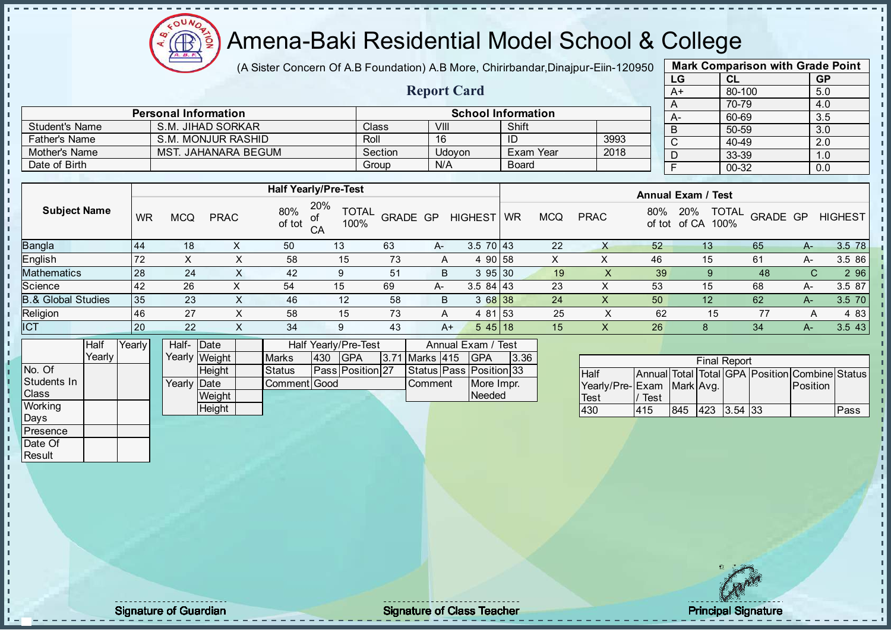

(A Sister Concern Of A.B Foundation) A.B More, Chirirbandar, Dinajpur-Eiin-120950

Report Card

| <b>Mark Comparison with Grade Point</b> |        |           |  |  |  |  |  |  |
|-----------------------------------------|--------|-----------|--|--|--|--|--|--|
| LG                                      | CL     | <b>GP</b> |  |  |  |  |  |  |
| $A+$                                    | 80-100 | 5.0       |  |  |  |  |  |  |
| A                                       | 70-79  | 4.0       |  |  |  |  |  |  |
| А-                                      | 60-69  | 3.5       |  |  |  |  |  |  |
| B                                       | 50-59  | 3.0       |  |  |  |  |  |  |
| C                                       | 40-49  | 2.0       |  |  |  |  |  |  |
| D                                       | 33-39  | 1.0       |  |  |  |  |  |  |
| F                                       | 00-32  | 0.0       |  |  |  |  |  |  |

|                      | <b>Personal Information</b> |         |        | <b>School Information</b> |      |  |
|----------------------|-----------------------------|---------|--------|---------------------------|------|--|
| Student's Name       | S.M. JIHAD SORKAR           | Class   | VIII   | Shift                     |      |  |
| <b>Father's Name</b> | S.M. MONJUR RASHID          | Roll    | 16     | ID                        | 3993 |  |
| Mother's Name        | MST. JAHANARA BEGUM         | Section | Udovon | Exam Year                 | 2018 |  |
| Date of Birth        |                             | Group   | N/A    | <b>Board</b>              |      |  |

|                               |           |            |             | <b>Half Yearly/Pre-Test</b> |                             |                 |      |                 | <b>Annual Exam / Test</b> |            |             |               |                                      |          |    |                |  |
|-------------------------------|-----------|------------|-------------|-----------------------------|-----------------------------|-----------------|------|-----------------|---------------------------|------------|-------------|---------------|--------------------------------------|----------|----|----------------|--|
| <b>Subject Name</b>           | <b>WR</b> | <b>MCQ</b> | <b>PRAC</b> | 80%<br>of tot               | 20%<br><b>TOTAL</b><br>100% | <b>GRADE GP</b> |      | <b>HIGHEST</b>  | <b>WR</b>                 | <b>MCQ</b> | <b>PRAC</b> | 80%<br>of tot | <b>TOTAL</b><br>20%<br>of CA<br>100% | GRADE GP |    | <b>HIGHEST</b> |  |
| Bangla                        | 44        | 18         |             | 50                          | 13                          | 63              | $A-$ | $3.5 \ 70 \ 43$ |                           | 22         | х           | 52            | 13                                   | 65       | A- | 3.5 78         |  |
| English                       | 72        | X          | v<br>∧      | 58                          | 15                          | 73              | A    | 4 90 58         |                           | X.         | ↗           | 46            | 15                                   | 61       | A- | 3.5 86         |  |
| Mathematics                   | 28        | 24         |             | 42                          | 9                           | 51              | B    | 395 30          |                           | 19         | $\lambda$   | 39            |                                      | 48       | C. | 2 9 6          |  |
| Science                       | <b>42</b> | 26         |             | 54                          | 15                          | 69              | A-   | $3.584$   43    |                           | 23         |             | 53            | 15                                   | 68       | A- | 3.5 87         |  |
| <b>B.&amp; Global Studies</b> | 35        | 23         | $\sim$      | 46                          | 12                          | 58              | B    | 3 68 38         |                           | 24         | X           | 50            | 12                                   | 62       | A- | 3.5 70         |  |
| Religion                      | 46        | 27         | v<br>$\sim$ | 58                          | 15                          | 73              | A    | 4 81 53         |                           | 25         | ∧           | 62            | 15                                   | -77      | А  | 4 8 3          |  |
| <b>ICT</b>                    | 20        | 22         |             | 34                          | 9                           | 43              | $A+$ | $545$   18      |                           | 15         | ∧           | 26            |                                      | 34       | A- | 3.5 43         |  |
|                               |           |            |             |                             |                             |                 |      |                 |                           |            |             |               |                                      |          |    |                |  |

|              | Half   | Yearly | Half-Date   |               |               |     | <b>Half Yearly/Pre-Test</b> | Annual Exam / Test |                |  |                               |      |
|--------------|--------|--------|-------------|---------------|---------------|-----|-----------------------------|--------------------|----------------|--|-------------------------------|------|
|              | Yearlv |        |             | Yearly Weight | <b>Marks</b>  | 430 | <b>IGPA</b>                 |                    | 3.71 Marks 415 |  | IGPA                          | 3.36 |
| INo. Of      |        |        |             | <b>Height</b> | <b>Status</b> |     | <b>Pass Position 27</b>     |                    |                |  | Status   Pass   Position   33 |      |
| Students In  |        |        | Yearly Date |               | Comment Good  |     |                             |                    | <b>Comment</b> |  | More Impr.                    |      |
| <b>Class</b> |        |        |             | Weight        |               |     |                             |                    |                |  | Needed                        |      |
| Working      |        |        |             | Height        |               |     |                             |                    |                |  |                               |      |

|                           |      |     | <b>Final Report</b> |  |                                                |      |
|---------------------------|------|-----|---------------------|--|------------------------------------------------|------|
| <b>Half</b>               |      |     |                     |  | Annual Total Total GPA Position Combine Status |      |
| Yearly/Pre-Exam Mark Avg. |      |     |                     |  | <b>IPosition</b>                               |      |
| <b>Test</b>               | Test |     |                     |  |                                                |      |
| 430                       | 415  | 845 | 423 3.54 33         |  |                                                | Pass |

Days Presence Date Of **Result** 

 $\mathbf{r}$ 

п h J. D  $\frac{1}{1}$  $\mathbf{I}$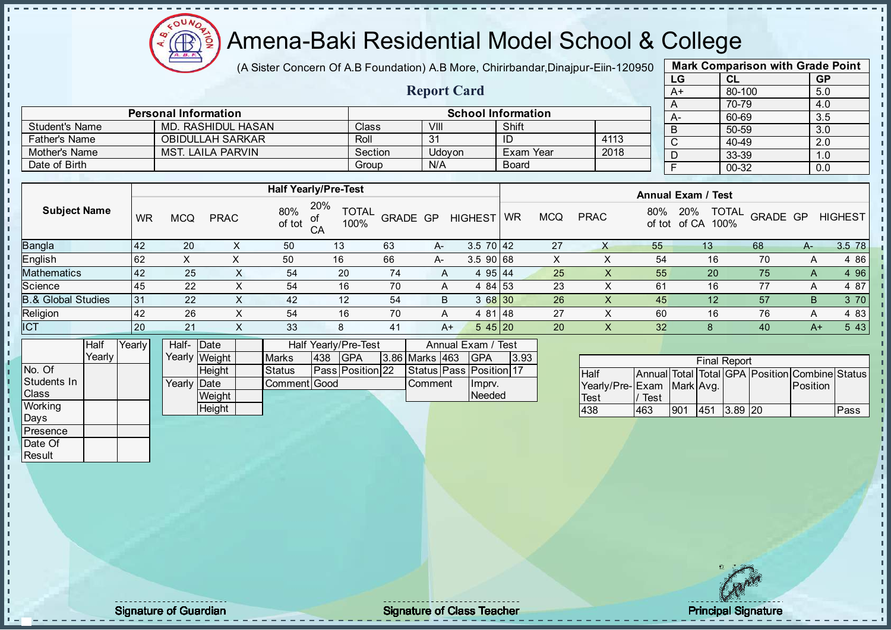Æ

# Amena-Baki Residential Model School & College

(A Sister Concern Of A.B Foundation) A.B More, Chirirbandar, Dinajpur-Eiin-120950

Report Card

| <b>Mark Comparison with Grade Point</b> |        |           |  |  |  |  |  |  |  |  |
|-----------------------------------------|--------|-----------|--|--|--|--|--|--|--|--|
| LG                                      | CL     | <b>GP</b> |  |  |  |  |  |  |  |  |
| $A+$                                    | 80-100 | 5.0       |  |  |  |  |  |  |  |  |
| Α                                       | 70-79  | 4.0       |  |  |  |  |  |  |  |  |
| А-                                      | 60-69  | 3.5       |  |  |  |  |  |  |  |  |
| B                                       | 50-59  | 3.0       |  |  |  |  |  |  |  |  |
| C                                       | 40-49  | 2.0       |  |  |  |  |  |  |  |  |
| D                                       | 33-39  | 1.0       |  |  |  |  |  |  |  |  |
| F                                       | 00-32  | 0.0       |  |  |  |  |  |  |  |  |
|                                         |        |           |  |  |  |  |  |  |  |  |

|                       | <b>Personal Information</b> | <b>School Information</b> |        |           |      |  |      |  |  |
|-----------------------|-----------------------------|---------------------------|--------|-----------|------|--|------|--|--|
| <b>Student's Name</b> | MD. RASHIDUL HASAN          | Class                     | VIII   | Shift     |      |  | $A-$ |  |  |
| <b>Father's Name</b>  | <b>OBIDULLAH SARKAR</b>     | Roll                      | 31     | ТD        | 4113 |  |      |  |  |
| Mother's Name         | <b>MST. LAILA PARVIN</b>    | Section                   | Udovon | Exam Year | 2018 |  |      |  |  |
| Date of Birth         |                             | Group                     | N/A    | Board     |      |  |      |  |  |

|                               |    |            |             |               | <b>Half Yearly/Pre-Test</b>       |          |    |                 | <b>Annual Exam / Test</b> |            |             |     |                                             |          |    |                |
|-------------------------------|----|------------|-------------|---------------|-----------------------------------|----------|----|-----------------|---------------------------|------------|-------------|-----|---------------------------------------------|----------|----|----------------|
| <b>Subject Name</b>           | WR | <b>MCQ</b> | <b>PRAC</b> | 80%<br>of tot | 20%<br><b>TOTAL</b><br>100%<br>CA | GRADE GP |    | <b>HIGHEST</b>  | <b>WR</b>                 | <b>MCQ</b> | <b>PRAC</b> | 80% | <b>TOTAL</b><br>20%<br>100%<br>of tot of CA | GRADE GP |    | <b>HIGHEST</b> |
| <b>Bangla</b>                 | 42 | 20         |             | 50            | 13                                | 63       | A- | $3.5 \ 70 \ 42$ |                           | 27         | Χ           | 55  | 13 <sup>°</sup>                             | 68       | A- | 3.5 78         |
| English                       | 62 | ∧          |             | 50            | 16                                | 66       | A- | $3.590$ 68      |                           | x          |             | 54  | 16                                          | 70       | A  | 4 8 6          |
| <b>Mathematics</b>            | 42 | 25         | $\sim$      | 54            | 20                                | 74       | A  | 495 44          |                           | 25         |             | 55  | 20                                          | 75       | A  | 4 9 6          |
| Science                       | 45 | 22         | х           | 54            | 16                                | 70       | A  | 4 84 53         |                           | 23         |             | 61  | 16                                          | 77       | A  | 4 87           |
| <b>B.&amp; Global Studies</b> | 31 | 22         | X           | 42            | 12                                | 54       | B  | 3 68 30         |                           | 26         | X.          | 45  | 12                                          | 57       | B  | 3 70           |
| Religion                      | 42 | 26         | X           | 54            | 16                                | 70       | A  | 4 81 48         |                           | 27         |             | 60  | 16                                          | 76       | A  | 4 8 3          |
| <b>ICT</b>                    | 20 | 21         | X           | 33            | 8                                 | 41       | A+ | $545$   20      |                           | 20         | X           | 32  | 8                                           | 40       | A+ | 5 4 3          |

|                | Half     | Yearlvl | Half- Date           |               |               |      | <b>Half Yearly/Pre-Test</b> | Annual Exam / Test |                       |  |                               |      |
|----------------|----------|---------|----------------------|---------------|---------------|------|-----------------------------|--------------------|-----------------------|--|-------------------------------|------|
|                | Yearly I |         |                      | Yearly Weight | <b>Marks</b>  | 1438 | <b>IGPA</b>                 |                    | <b>3.86 Marks 463</b> |  | IGPA                          | 3.93 |
| INo. Of        |          |         |                      | <b>Height</b> | <b>Status</b> |      | <b>Pass Position 22</b>     |                    |                       |  | Status   Pass   Position   17 |      |
| Students In    |          |         | Yearlv <b>I</b> Date |               | Comment Good  |      |                             |                    | <b>Comment</b>        |  | Imprv.                        |      |
| <b>Class</b>   |          |         |                      | Weight        |               |      |                             |                    |                       |  | Needed                        |      |
| <b>Working</b> |          |         |                      | Height        |               |      |                             |                    |                       |  |                               |      |

|                           |      |     | <b>Final Report</b> |                                                |      |
|---------------------------|------|-----|---------------------|------------------------------------------------|------|
| <b>Half</b>               |      |     |                     | Annual Total Total GPA Position Combine Status |      |
| Yearly/Pre-Exam Mark Avg. |      |     |                     | <b>IPosition</b>                               |      |
| <b>Test</b>               | Test |     |                     |                                                |      |
| 438                       | 463  | 901 | 451 3.89 20         |                                                | Pass |

Days Presence Date Of **Result** 

h h D  $\frac{1}{1}$  $\mathbf{I}$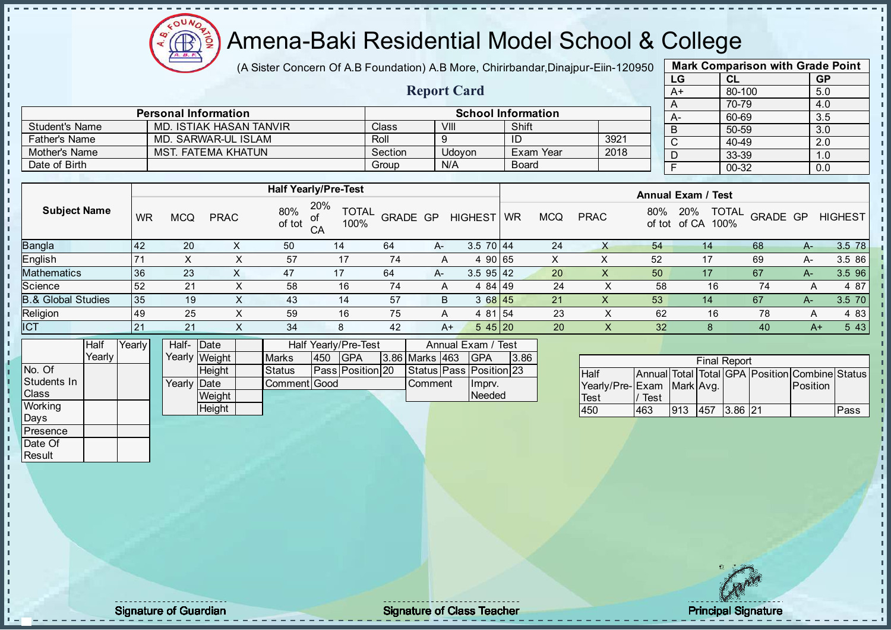

(A Sister Concern Of A.B Foundation) A.B More, Chirirbandar, Dinajpur-Eiin-120950

Report Card

| <b>Mark Comparison with Grade Point</b> |        |           |  |  |  |  |  |  |  |  |
|-----------------------------------------|--------|-----------|--|--|--|--|--|--|--|--|
| LG                                      | CL     | <b>GP</b> |  |  |  |  |  |  |  |  |
| $A+$                                    | 80-100 | 5.0       |  |  |  |  |  |  |  |  |
| Α                                       | 70-79  | 4.0       |  |  |  |  |  |  |  |  |
| А-                                      | 60-69  | 3.5       |  |  |  |  |  |  |  |  |
| B                                       | 50-59  | 3.0       |  |  |  |  |  |  |  |  |
| C                                       | 40-49  | 2.0       |  |  |  |  |  |  |  |  |
| D                                       | 33-39  | 1.0       |  |  |  |  |  |  |  |  |
| F                                       | 00-32  | 0.0       |  |  |  |  |  |  |  |  |
|                                         |        |           |  |  |  |  |  |  |  |  |

|                      | <b>Personal Information</b> |         |        | <b>School Information</b> |      |
|----------------------|-----------------------------|---------|--------|---------------------------|------|
| Student's Name       | MD. ISTIAK HASAN TANVIR     | Class   | VIII   | Shift                     |      |
| <b>Father's Name</b> | MD. SARWAR-UL ISLAM         | Roll    |        |                           | 3921 |
| Mother's Name        | <b>MST. FATEMA KHATUN</b>   | Section | Udovon | ି Exam Year               | 2018 |
| Date of Birth        |                             | Group   | N/A    | <b>Board</b>              |      |

|                               |           |            |             |               | <b>Half Yearly/Pre-Test</b>             |          |    |                 | <b>Annual Exam / Test</b> |            |             |               |                                      |          |      |                |
|-------------------------------|-----------|------------|-------------|---------------|-----------------------------------------|----------|----|-----------------|---------------------------|------------|-------------|---------------|--------------------------------------|----------|------|----------------|
| <b>Subject Name</b>           | <b>WR</b> | <b>MCQ</b> | <b>PRAC</b> | 80%<br>of tot | 20%<br><b>TOTAL</b><br>οf<br>100%<br>СA | GRADE GP |    | <b>HIGHEST</b>  | <b>WR</b>                 | <b>MCQ</b> | <b>PRAC</b> | 80%<br>of tot | <b>TOTAL</b><br>20%<br>of CA<br>100% | GRADE GP |      | <b>HIGHEST</b> |
| <b>Bangla</b>                 | <b>42</b> | 20         | ∧           | 50            | 14                                      | 64       | А- | $3.5 \ 70 \ 44$ |                           | 24         |             | 54            | 14                                   | 68       | A-   | 3.5 78         |
| English                       |           |            | ⋏           | 57            | 17                                      | 74       | A  |                 | 90165                     | ∧          | ⌒           | 52            | 17                                   | 69       | A-   | 3.5 86         |
| <b>Mathematics</b>            | 36        | 23         | $\lambda$   | 47            | 17                                      | 64       | A- | $3.5$ 95 42     |                           | 20         |             | 50            | 17                                   | 67       | A-   | 3.5 96         |
| Science                       | 52        | 21         | X           | 58            | 16                                      | 74       | A  | 4 84 49         |                           | 24         |             | 58            | 16                                   | 74       | A    | 4 87           |
| <b>B.&amp; Global Studies</b> | 35        | 19         | X           | 43            | 14                                      | 57       | B  | 368145          |                           | 21         |             | 53            | 14                                   | 67       | A-   | 3.5 70         |
| Religion                      | 149       | 25         | X           | 59            | 16                                      | 75       | A  | 4 81            | l 154                     | 23         |             | 62            | 16                                   | 78       | A    | 4 83           |
| ICT                           | 21        | 21         | X           | 34            | 8                                       | 42       | A+ | 545 20          |                           | 20         | X.          | 32            |                                      | 40       | $A+$ | 5 4 3          |

|                | Half   | Yearlvl | Half-Date   |               |               |     | <b>Half Yearly/Pre-Test</b> | Annual Exam / Test |                |  |                         |      |
|----------------|--------|---------|-------------|---------------|---------------|-----|-----------------------------|--------------------|----------------|--|-------------------------|------|
|                | Yearlv |         |             | Yearly Weight | <b>Marks</b>  | 450 | <b>IGPA</b>                 |                    | 3.86 Marks 463 |  | IGPA                    | 3.86 |
| No. Of         |        |         |             | <b>Height</b> | <b>Status</b> |     | <b>Pass Position 20</b>     |                    |                |  | Status Pass Position 23 |      |
| Students In    |        |         | Yearly Date |               | Comment Good  |     |                             |                    | <b>Comment</b> |  | Imprv.                  |      |
| <b>Class</b>   |        |         |             | Weight        |               |     |                             |                    |                |  | Needed                  |      |
| <b>Working</b> |        |         |             | Height        |               |     |                             |                    |                |  |                         |      |

|                           |      |     | <b>Final Report</b> |  |                                                |      |
|---------------------------|------|-----|---------------------|--|------------------------------------------------|------|
| <b>Half</b>               |      |     |                     |  | Annual Total Total GPA Position Combine Status |      |
| Yearly/Pre-Exam Mark Avg. |      |     |                     |  | <b>IPosition</b>                               |      |
| <b>Test</b>               | Test |     |                     |  |                                                |      |
| 450                       | 463  | 913 | 457 3.86 21         |  |                                                | Pass |

Days Presence Date Of **Result** 

h. h D  $\frac{1}{1}$  $\mathbf{I}$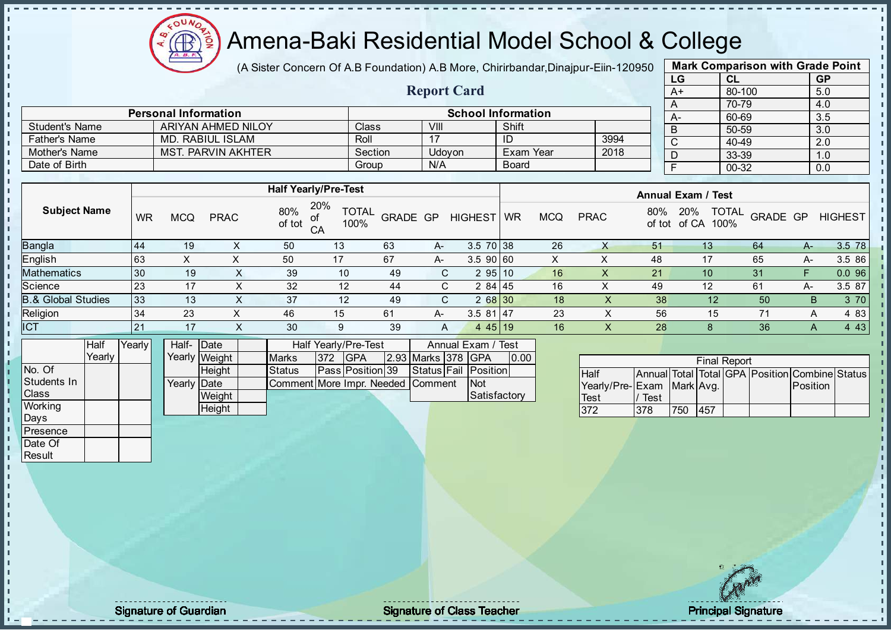

(A Sister Concern Of A.B Foundation) A.B More, Chirirbandar, Dinajpur-Eiin-120950

Report Card

| <b>Mark Comparison with Grade Point</b> |        |           |  |  |  |  |  |  |  |  |
|-----------------------------------------|--------|-----------|--|--|--|--|--|--|--|--|
| LG                                      | CL     | <b>GP</b> |  |  |  |  |  |  |  |  |
| $A+$                                    | 80-100 | 5.0       |  |  |  |  |  |  |  |  |
| A                                       | 70-79  | 4.0       |  |  |  |  |  |  |  |  |
| А-                                      | 60-69  | 3.5       |  |  |  |  |  |  |  |  |
| B                                       | 50-59  | 3.0       |  |  |  |  |  |  |  |  |
| C                                       | 40-49  | 2.0       |  |  |  |  |  |  |  |  |
| D                                       | 33-39  | 1.0       |  |  |  |  |  |  |  |  |
| F                                       | 00-32  | 0.0       |  |  |  |  |  |  |  |  |

|                       | <b>Personal Information</b> |              |        | <b>School Information</b> |      | А- |
|-----------------------|-----------------------------|--------------|--------|---------------------------|------|----|
| <b>Student's Name</b> | ARIYAN AHMED NILOY          | <b>Class</b> | VIII   | Shift                     |      |    |
| <b>Father's Name</b>  | MD. RABIUL ISLAM            | Roll         |        | ID                        | 3994 |    |
| Mother's Name         | MST. PARVIN AKHTER          | Section      | Udovon | Exam Year                 | 2018 |    |
| Date of Birth         |                             | Group        | N/A    | <b>Board</b>              |      |    |

|                               |           |            |             |               | <b>Half Yearly/Pre-Test</b>       |          |    |                | <b>Annual Exam / Test</b> |            |             |     |                                             |                 |      |                |
|-------------------------------|-----------|------------|-------------|---------------|-----------------------------------|----------|----|----------------|---------------------------|------------|-------------|-----|---------------------------------------------|-----------------|------|----------------|
| <b>Subject Name</b>           | <b>WR</b> | <b>MCQ</b> | <b>PRAC</b> | 80%<br>of tot | 20%<br><b>TOTAL</b><br>100%<br>CA | GRADE GP |    | <b>HIGHEST</b> | <b>WR</b>                 | <b>MCQ</b> | <b>PRAC</b> | 80% | <b>TOTAL</b><br>20%<br>100%<br>of tot of CA | <b>GRADE GP</b> |      | <b>HIGHEST</b> |
| Bangla                        | 144       | 19         |             | 50            | 13                                | 63       | A- | 3.5 70 38      |                           | 26         |             | 51  | 13 <sup>°</sup>                             | 64              | $A-$ | 3.5 78         |
| English                       | 63        | X          |             | 50            | 17                                | 67       | A- | 3.5 90 60      |                           | ∧          | ⋏           | 48  | 17                                          | 65              | A-   | 3.5 86         |
| Mathematics                   | 30        | 19         |             | 39            | 10                                | 49       | C. | 295 10         |                           | 16         |             | 21  | 10                                          | 31              |      | 0.096          |
| Science                       | 23        | 17         | $\sim$      | 32            | 12                                | 44       | C. | 2 84 45        |                           | 16         | ∧           | 49  | 12                                          | 61              | A-   | 3.5 87         |
| <b>3.&amp; Global Studies</b> | 33        | 13         | ∧           | 37            | 12                                | 49       | C. | 2 68 30        |                           | 18         | ⋏           | 38  | 12                                          | 50              | B    | 3 70           |
| Religion                      | 134       | 23         | X           | 46            | 15                                | 61       | A- | $3.581$   47   |                           | 23         |             | 56  | 15                                          | 71              | А    | 4 8 3          |
| <b>ICT</b>                    | 21        | 17         |             | 30            | 9                                 | 39       | A  | 445 19         |                           | 16         | ∧           | 28  |                                             | 36              |      | 4 4 3          |
|                               |           |            |             |               |                                   |          |    |                |                           |            |             |     |                                             |                 |      |                |

|                | Half   | Yearly <i>I</i> | Half- Date          |               |                                   |      | Half Yearly/Pre-Test    |  | Annual Exam / Test |  |                      |      |
|----------------|--------|-----------------|---------------------|---------------|-----------------------------------|------|-------------------------|--|--------------------|--|----------------------|------|
|                | Yearlv |                 |                     | Yearly Weight | <b>Marks</b>                      | 1372 | <b>IGPA</b>             |  | 2.93 Marks 378 GPA |  |                      | 0.00 |
| INo. Of        |        |                 |                     | <b>Height</b> | <b>Status</b>                     |      | <b>Pass Position 39</b> |  |                    |  | Status Fail Position |      |
| Students In    |        |                 | Yearly <b>IDate</b> |               | Comment More Impr. Needed Comment |      |                         |  |                    |  | <b>Not</b>           |      |
| <b>Class</b>   |        |                 |                     | Weight        |                                   |      |                         |  |                    |  | Satisfactory         |      |
| <b>Working</b> |        |                 |                     | Height        |                                   |      |                         |  |                    |  |                      |      |

|                              | <b>Final Report</b> |     |     |  |  |                                                |  |  |  |  |  |  |
|------------------------------|---------------------|-----|-----|--|--|------------------------------------------------|--|--|--|--|--|--|
| <b>Half</b>                  |                     |     |     |  |  | Annual Total Total GPA Position Combine Status |  |  |  |  |  |  |
| Yearly/Pre- Exam   Mark Avg. |                     |     |     |  |  | <b>Position</b>                                |  |  |  |  |  |  |
| <b>Test</b>                  | Test                |     |     |  |  |                                                |  |  |  |  |  |  |
| 372                          | 378                 | 750 | 457 |  |  |                                                |  |  |  |  |  |  |

Days Presence Date Of **Result** 

 $\blacksquare$ 

J. n  $\begin{bmatrix} 1 \\ 1 \\ 1 \end{bmatrix}$  $\mathbf{I}$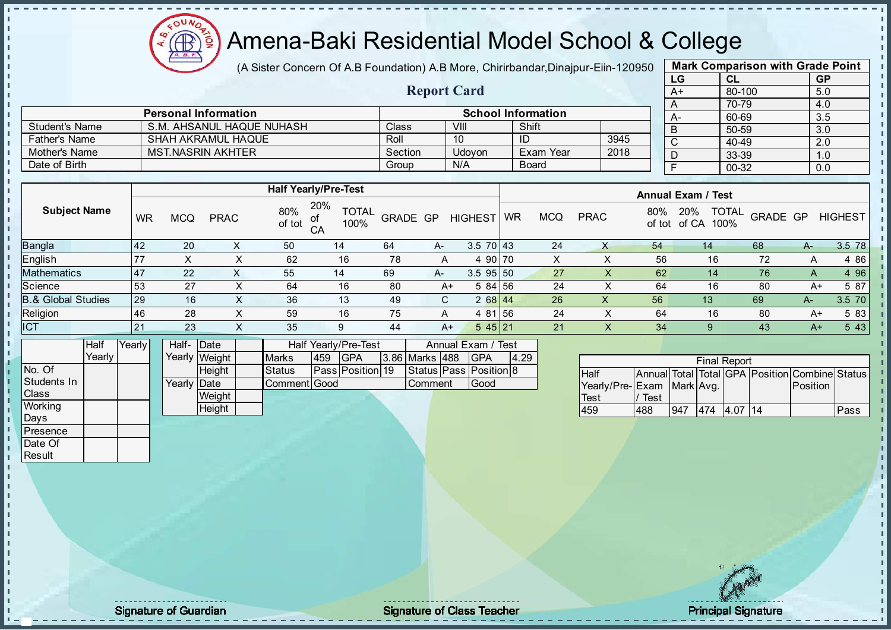$\Omega$ Æ ğ

# Amena-Baki Residential Model School & College

(A Sister Concern Of A.B Foundation) A.B More, Chirirbandar, Dinajpur-Eiin-120950

Report Card

| <b>Mark Comparison with Grade Point</b> |           |           |  |  |  |  |  |  |  |  |
|-----------------------------------------|-----------|-----------|--|--|--|--|--|--|--|--|
| LG                                      | <b>CL</b> | <b>GP</b> |  |  |  |  |  |  |  |  |
| $A+$                                    | 80-100    | 5.0       |  |  |  |  |  |  |  |  |
| A                                       | 70-79     | 4.0       |  |  |  |  |  |  |  |  |
| А-                                      | 60-69     | 3.5       |  |  |  |  |  |  |  |  |
| B                                       | 50-59     | 3.0       |  |  |  |  |  |  |  |  |
| C                                       | 40-49     | 2.0       |  |  |  |  |  |  |  |  |
| D                                       | 33-39     | 1.0       |  |  |  |  |  |  |  |  |
| F                                       | 00-32     | 0.0       |  |  |  |  |  |  |  |  |

|                      | <b>Personal Information</b> |              |               | <b>School Information</b> |      |  |
|----------------------|-----------------------------|--------------|---------------|---------------------------|------|--|
| Student's Name       | S.M. AHSANUL HAQUE NUHASH   | <b>Class</b> | VIII          | Shift                     |      |  |
| <b>Father's Name</b> | <b>SHAH AKRAMUL HAQUE</b>   | Roll         | 10            | ID                        | 3945 |  |
| Mother's Name        | <b>MST NASRIN AKHTER</b>    | Section      | <b>Udovon</b> | Exam Year                 | 2018 |  |
| Date of Birth        |                             | Group        | N/A           | Board                     |      |  |

|                               |    |            |             |               | <b>Half Yearly/Pre-Test</b>       |          |      |                | <b>Annual Exam / Test</b> |            |             |               |                                      |          |      |                |
|-------------------------------|----|------------|-------------|---------------|-----------------------------------|----------|------|----------------|---------------------------|------------|-------------|---------------|--------------------------------------|----------|------|----------------|
| <b>Subject Name</b>           | WR | <b>MCQ</b> | <b>PRAC</b> | 80%<br>of tot | 20%<br><b>TOTAL</b><br>100%<br>CA | GRADE GP |      | <b>HIGHEST</b> | <b>WR</b>                 | <b>MCQ</b> | <b>PRAC</b> | 80%<br>of tot | <b>TOTAL</b><br>20%<br>of CA<br>100% | GRADE GP |      | <b>HIGHEST</b> |
| <b>Bangla</b>                 | 42 | 20         |             | 50            | 14                                | 64       | $A-$ | $3.570$ 43     |                           | 24         |             | 54            | 14                                   | 68       | $A-$ | 3.5 78         |
| <b>English</b>                | 77 |            |             | 62            | 16                                | 78       | A    | 4 90 70        |                           | X          |             | 56            | 16                                   | 72       |      | 4 8 6          |
| <b>Mathematics</b>            | 47 | 22         | $\sim$      | 55            | 14                                | 69       | A-   | $3.5$ 95 50    |                           | 27         | $\lambda$   | 62            | 14                                   | 76       | A    | 4 9 6          |
| Science                       | 53 | 27         |             | 64            | 16                                | 80       | A+   | 584 56         |                           | 24         |             | 64            | 16                                   | 80       | A+   | 5 87           |
| <b>B.&amp; Global Studies</b> | 29 | 16         | X.          | 36            | 13                                | 49       | C.   | $268$ 44       |                           | 26         | ⋏           | 56            | 13 <sup>°</sup>                      | 69       | A-   | 3.5 70         |
| Religion                      | 46 | 28         |             | 59            | 16                                | 75       | A    | 4 81 56        |                           | 24         |             | 64            | 16                                   | 80       | A+   | 5 83           |
| <b>ICT</b>                    | 21 | 23         |             | 35            |                                   | 44       | $A+$ | 545 21         |                           | 21         | ∧           | 34            |                                      | 43       | $A+$ | 5 4 3          |
|                               |    |            |             |               |                                   |          |      |                |                           |            |             |               |                                      |          |      |                |

|             | Half   | Yearly | Half-Date    |                 |               |     | Half Yearly/Pre-Test | Annual Exam / Test    |  |                              |      |
|-------------|--------|--------|--------------|-----------------|---------------|-----|----------------------|-----------------------|--|------------------------------|------|
|             | Yearlv |        |              | Yearly Weight   | <b>Marks</b>  | 459 | <b>IGPA</b>          | <b>3.86 Marks 488</b> |  | <b>IGPA</b>                  | 4.29 |
| No. Of      |        |        |              | <b>I Heiaht</b> | <b>Status</b> |     | Pass Position 19     |                       |  | Status   Pass   Position   8 |      |
| Students In |        |        | Yearly  Date |                 | Comment Good  |     |                      | <b>Comment</b>        |  | <b>IGood</b>                 |      |
| Class       |        |        |              | Weight          |               |     |                      |                       |  |                              |      |
| Working     |        |        |              | <b>Height</b>   |               |     |                      |                       |  |                              |      |
| Davs        |        |        |              |                 |               |     |                      |                       |  |                              |      |

|                           |      |     |     | <b>Final Report</b> |    |                                                |      |
|---------------------------|------|-----|-----|---------------------|----|------------------------------------------------|------|
| <b>Half</b>               |      |     |     |                     |    | Annual Total Total GPA Position Combine Status |      |
| Yearly/Pre-Exam Mark Avg. |      |     |     |                     |    | <b>Position</b>                                |      |
| <b>Test</b>               | Test |     |     |                     |    |                                                |      |
| 459                       | 488  | 947 | 474 |                     | 14 |                                                | Pass |

**Presence** Date Of **Result** 

- n J. J. İ  $\mathbf{I}$ 

extending the contract of Class Teacher Class Teacher Principal Signature of Guardian Signature of Class Teacher Principal Signature of Class Teacher Principal Signature of Class Teacher Principal Signature of Class Teache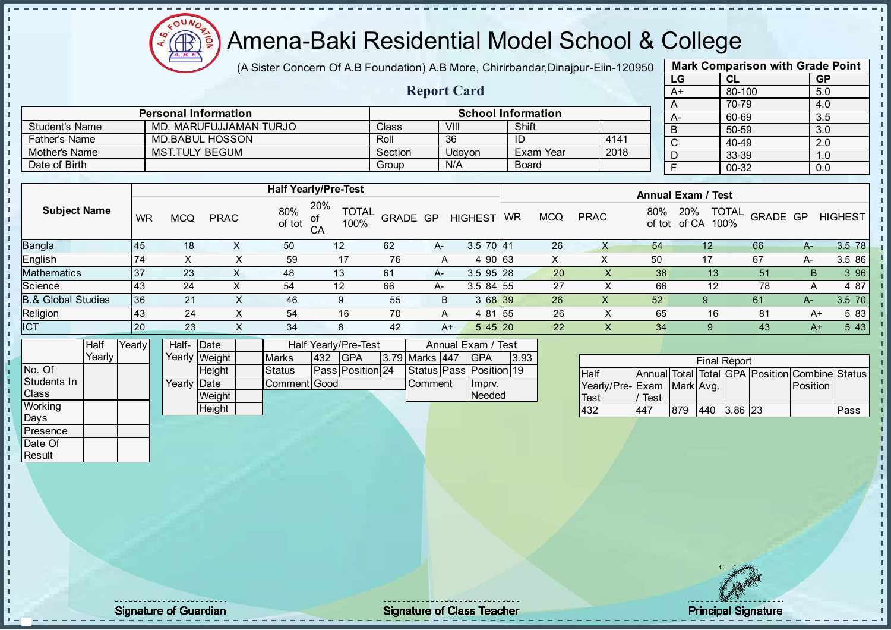Æ ó

# Amena-Baki Residential Model School & College

(A Sister Concern Of A.B Foundation) A.B More, Chirirbandar, Dinajpur-Eiin-120950

Report Card

|      | <b>Mark Comparison with Grade Point</b> |           |  |  |  |  |  |  |  |  |
|------|-----------------------------------------|-----------|--|--|--|--|--|--|--|--|
| LG   | CL                                      | <b>GP</b> |  |  |  |  |  |  |  |  |
| $A+$ | 80-100                                  | 5.0       |  |  |  |  |  |  |  |  |
| A    | 70-79                                   | 4.0       |  |  |  |  |  |  |  |  |
| А-   | 60-69                                   | 3.5       |  |  |  |  |  |  |  |  |
| B    | 50-59                                   | 3.0       |  |  |  |  |  |  |  |  |
| C    | 40-49                                   | 2.0       |  |  |  |  |  |  |  |  |
| D    | 33-39                                   | 1.0       |  |  |  |  |  |  |  |  |
| F    | 00-32                                   | 0.0       |  |  |  |  |  |  |  |  |

|                      | <b>Personal Information</b> |              |        | <b>School Information</b> |      |  |
|----------------------|-----------------------------|--------------|--------|---------------------------|------|--|
| Student's Name       | MD. MARUFUJJAMAN TURJO      | <b>Class</b> | VIII   | Shift                     |      |  |
| <b>Father's Name</b> | MD.BABUL HOSSON             | Roll         | 36     |                           | 4141 |  |
| Mother's Name        | <b>MST.TULY BEGUM</b>       | Section      | Udovon | <b>Exam Year</b>          | 2018 |  |
| Date of Birth        |                             | Group        | N/A    | <b>Board</b>              |      |  |

|                               |           |            |             |               | <b>Half Yearly/Pre-Test</b>             |          |      |                |           |            |             |               | <b>Annual Exam / Test</b>            |          |      |                |
|-------------------------------|-----------|------------|-------------|---------------|-----------------------------------------|----------|------|----------------|-----------|------------|-------------|---------------|--------------------------------------|----------|------|----------------|
| <b>Subject Name</b>           | <b>WR</b> | <b>MCQ</b> | <b>PRAC</b> | 80%<br>of tot | 20%<br><b>TOTAL</b><br>of<br>CA<br>100% | GRADE GP |      | <b>HIGHEST</b> | <b>WR</b> | <b>MCQ</b> | <b>PRAC</b> | 80%<br>of tot | <b>TOTAL</b><br>20%<br>100%<br>of CA | GRADE GP |      | <b>HIGHEST</b> |
| <b>Bangla</b>                 | 45        | 18         |             | 50            | 12                                      | 62       | $A-$ | $3.570$ 41     |           | 26         | X           | 54            | $12 \overline{ }$                    | 66       | A-   | 3.5 78         |
| <b>English</b>                | 74        |            |             | 59            | 17                                      | 76       | A    | 4 90 63        |           |            |             | 50            | 17                                   | 67       | A-   | 3.5 86         |
| Mathematics                   | 37        | 23         | $\sim$      | 48            | 13                                      | 61       | A-   | $3.595$ 28     |           | 20         |             | 38            | 13 <sup>°</sup>                      | 51       | B    | 3 9 6          |
| Science                       | 43        | 24         |             | 54            | 12                                      | 66       | A-   | $3.584$ 55     |           | 27         |             | 66            | 12                                   | 78       | А    | 4 87           |
| <b>B.&amp; Global Studies</b> | 36        | 21         | X.          | 46            | 9                                       | 55       | B.   | 3 68 39        |           | 26         | X           | 52            | 9                                    | 61       | $A-$ | 3.5 70         |
| Religion                      | 43        | 24         |             | 54            | 16                                      | 70       | A    | 4 81 55        |           | 26         |             | 65            | 16                                   | 81       | A+   | 5 83           |
| <b>ICT</b>                    | 20        | 23         | $\sim$      | 34            | 8                                       | 42       | A+   | 545 20         |           | 22         | X.          | 34            |                                      | 43       | A+   | 5 4 3          |
|                               |           |            |             |               |                                         |          |      |                |           |            |             |               |                                      |          |      |                |

|                | Half   | Yearly | Half- Date           |               |               |     | <b>Half Yearly/Pre-Test</b> |                |                               | Annual Exam / Test |  |
|----------------|--------|--------|----------------------|---------------|---------------|-----|-----------------------------|----------------|-------------------------------|--------------------|--|
|                | Yearlv |        |                      | Yearly Weight | <b>Marks</b>  | 432 | <b>IGPA</b>                 | 3.79 Marks 447 | IGPA                          | 3.93               |  |
| No. Of         |        |        |                      | Heiaht        | <b>Status</b> |     | <b>Pass Position 24</b>     |                | Status   Pass   Position   19 |                    |  |
| Students In    |        |        | Yearlv <b>I</b> Date |               | Comment Good  |     |                             | <b>Comment</b> | Imprv.                        |                    |  |
| <b>Class</b>   |        |        |                      | Weight        |               |     |                             |                | Needed                        |                    |  |
| <b>Working</b> |        |        |                      | Height        |               |     |                             |                |                               |                    |  |

|                           | <b>Final Report</b> |     |     |             |  |                                                |      |  |  |  |  |  |
|---------------------------|---------------------|-----|-----|-------------|--|------------------------------------------------|------|--|--|--|--|--|
| <b>Half</b>               |                     |     |     |             |  | Annual Total Total GPA Position Combine Status |      |  |  |  |  |  |
| Yearly/Pre-Exam Mark Avg. |                     |     |     |             |  | Position                                       |      |  |  |  |  |  |
| <b>Test</b>               | Test                |     |     |             |  |                                                |      |  |  |  |  |  |
| 432                       | 447                 | 879 | 440 | $3.86\,123$ |  |                                                | ⊃ass |  |  |  |  |  |

Days Presence Date Of **Result** 

h. h n  $\frac{1}{1}$  $\mathbf{I}$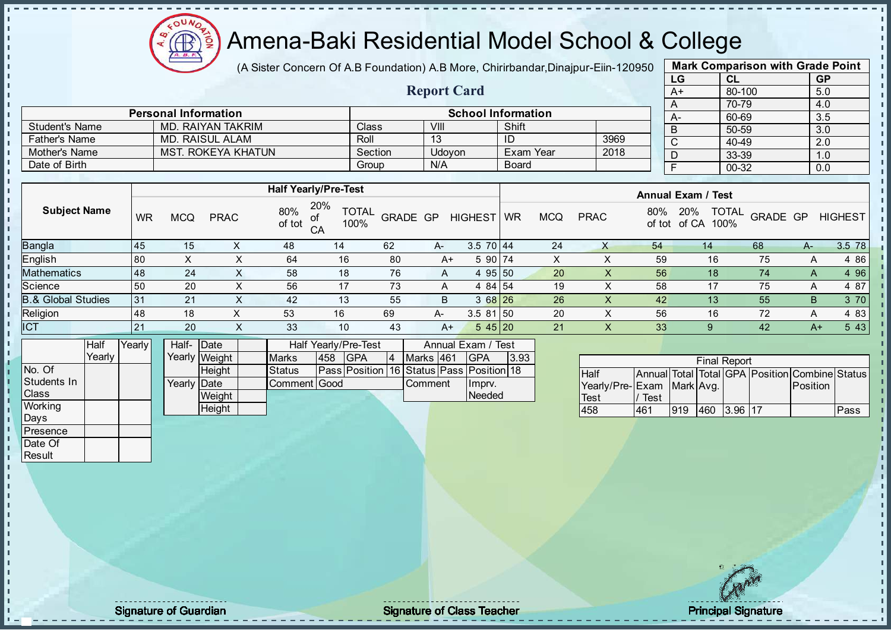

(A Sister Concern Of A.B Foundation) A.B More, Chirirbandar, Dinajpur-Eiin-120950

Report Card

|      | <b>Mark Comparison with Grade Point</b> |           |  |  |  |  |  |  |  |  |
|------|-----------------------------------------|-----------|--|--|--|--|--|--|--|--|
| LG   | CL                                      | <b>GP</b> |  |  |  |  |  |  |  |  |
| $A+$ | 80-100                                  | 5.0       |  |  |  |  |  |  |  |  |
| A    | 70-79                                   | 4.0       |  |  |  |  |  |  |  |  |
| А-   | 60-69                                   | 3.5       |  |  |  |  |  |  |  |  |
| B    | 50-59                                   | 3.0       |  |  |  |  |  |  |  |  |
| C    | 40-49                                   | 2.0       |  |  |  |  |  |  |  |  |
| D    | 33-39                                   | 1.0       |  |  |  |  |  |  |  |  |
| F    | 00-32                                   | 0.0       |  |  |  |  |  |  |  |  |
|      |                                         |           |  |  |  |  |  |  |  |  |

|                       | <b>Personal Information</b> |                    |        | <b>School Information</b> |      | А- |  |
|-----------------------|-----------------------------|--------------------|--------|---------------------------|------|----|--|
| <b>Student's Name</b> | MD. RAIYAN TAKRIM           | Class <sup>®</sup> | VIII   | Shift                     |      | B  |  |
| <b>Father's Name</b>  | MD. RAISUL ALAM             | Roll               |        |                           | 3969 |    |  |
| Mother's Name         | MST. ROKEYA KHATUN          | Section            | Udovon | Exam Year                 | 2018 |    |  |
| Date of Birth         |                             | Group              | N/A    | <b>Board</b>              |      |    |  |

|                               |    |     |             |               | <b>Half Yearly/Pre-Test</b>       |                 |      |                 |    |            |             |               | <b>Annual Exam / Test</b>            |          |      |                |
|-------------------------------|----|-----|-------------|---------------|-----------------------------------|-----------------|------|-----------------|----|------------|-------------|---------------|--------------------------------------|----------|------|----------------|
| <b>Subject Name</b>           | WR | MCQ | <b>PRAC</b> | 80%<br>of tot | 20%<br><b>TOTAL</b><br>100%<br>CA | <b>GRADE GP</b> |      | <b>HIGHEST</b>  | WR | <b>MCQ</b> | <b>PRAC</b> | 80%<br>of tot | <b>TOTAL</b><br>20%<br>of CA<br>100% | GRADE GP |      | <b>HIGHEST</b> |
| <b>Bangla</b>                 | 45 | 15  |             | 48            | 14                                | 62              | $A-$ | $3.5 \ 70 \ 44$ |    | 24         |             | 54            | 14                                   | 68       | A-   | 3.5 78         |
| English                       | 80 |     | ⋏           | 64            | 16                                | 80              | $A+$ | 5 90 74         |    | X          |             | 59            | 16                                   | 75       | A    | 4 86           |
| <b>Mathematics</b>            | 48 | 24  | $\sim$      | 58            | 18                                | 76              | A    | 4 95 50         |    | 20         | Y.          | 56            | 18                                   | 74       | A    | 4 9 6          |
| Science                       | 50 | 20  | X           | 56            | 17                                | 73              | A    | 4 84 54         |    | 19         | ∧           | 58            | 17                                   | 75       | A    | 4 87           |
| <b>B.&amp; Global Studies</b> | 31 | 21  | X           | 42            | 13                                | 55              | B    | $368$ 26        |    | 26         | X           | 42            | 13 <sup>1</sup>                      | 55       | B    | 3 70           |
| Religion                      | 48 | 18  |             | 53            | 16                                | 69              | A-   | $3.581$ 50      |    | 20         |             | 56            | 16                                   | 72       | A    | 4 83           |
| <b>ICT</b>                    | 21 | 20  | ⌒           | 33            | 10                                | 43              | $A+$ | 545 20          |    | 21         |             | 33            |                                      | 42       | $A+$ | 5 4 3          |

|                    | <b>Half</b> | Yearlvl | Half- Date  |               |               | Half Yearly/Pre-Test | Annual Exam / Test                             |    |                |  |         |      |
|--------------------|-------------|---------|-------------|---------------|---------------|----------------------|------------------------------------------------|----|----------------|--|---------|------|
|                    | Yearly      |         |             | Yearly Weight | <b>Marks</b>  | 458                  | <b>IGPA</b>                                    | 14 | Marks 461      |  | IGPA    | 3.93 |
| No. Of             |             |         |             | <b>Height</b> | <b>Status</b> |                      | Pass  Position  16  Status  Pass  Position  18 |    |                |  |         |      |
| <b>Students In</b> |             |         | Yearly Date |               | Comment Good  |                      |                                                |    | <b>Comment</b> |  | Ilmpry. |      |
| <b>Class</b>       |             |         |             | Weight        |               |                      |                                                |    |                |  | Needed  |      |
| Working            |             |         |             | Height        |               |                      |                                                |    |                |  |         |      |
| <b>Days</b>        |             |         |             |               |               |                      |                                                |    |                |  |         |      |

| <b>Final Report</b>       |      |     |     |           |  |                                                |      |  |  |  |  |
|---------------------------|------|-----|-----|-----------|--|------------------------------------------------|------|--|--|--|--|
| <b>Half</b>               |      |     |     |           |  | Annual Total Total GPA Position Combine Status |      |  |  |  |  |
| Yearly/Pre-Exam Mark Avg. |      |     |     |           |  | <b>IPosition</b>                               |      |  |  |  |  |
| <b>Test</b>               | Test |     |     |           |  |                                                |      |  |  |  |  |
| 458                       | 461  | 919 | 460 | $3.96$ 17 |  |                                                | Pass |  |  |  |  |

**Presence** Date Of **Result** 

п h J. n  $\frac{1}{1}$  $\mathbf{I}$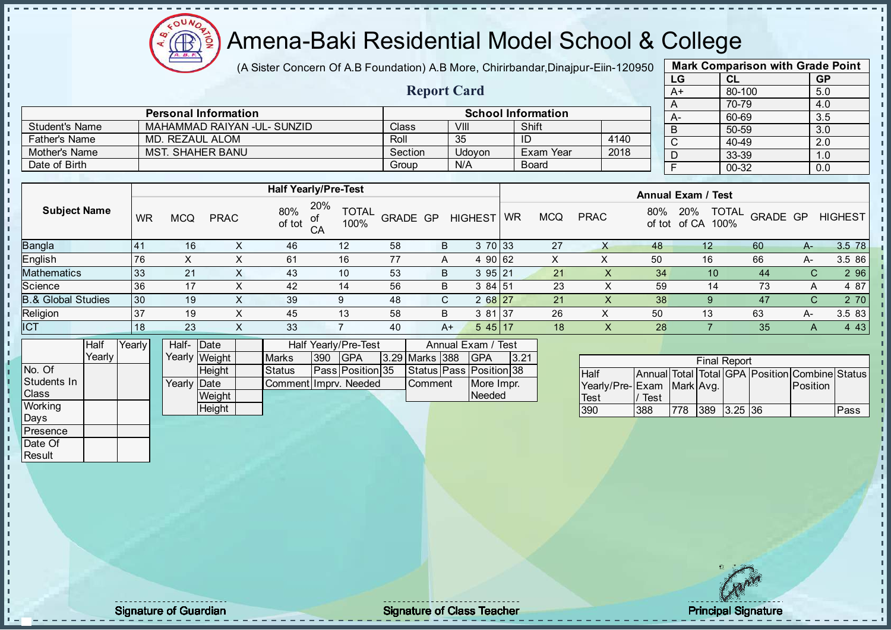$\Omega$ Æ ğ

# Amena-Baki Residential Model School & College

(A Sister Concern Of A.B Foundation) A.B More, Chirirbandar, Dinajpur-Eiin-120950

Report Card

| <b>Mark Comparison with Grade Point</b><br>LG |           |  |  |  |  |  |  |  |  |
|-----------------------------------------------|-----------|--|--|--|--|--|--|--|--|
| <b>CL</b>                                     | <b>GP</b> |  |  |  |  |  |  |  |  |
| 80-100                                        | 5.0       |  |  |  |  |  |  |  |  |
| 70-79                                         | 4.0       |  |  |  |  |  |  |  |  |
| 60-69                                         | 3.5       |  |  |  |  |  |  |  |  |
| 50-59                                         | 3.0       |  |  |  |  |  |  |  |  |
| 40-49                                         | 2.0       |  |  |  |  |  |  |  |  |
| 33-39                                         | 1.0       |  |  |  |  |  |  |  |  |
| 00-32                                         | 0.0       |  |  |  |  |  |  |  |  |
|                                               |           |  |  |  |  |  |  |  |  |

|                      | <b>Personal Information</b> | <b>School Information</b> |        |              |      |  |  |  |
|----------------------|-----------------------------|---------------------------|--------|--------------|------|--|--|--|
| Student's Name       | MAHAMMAD RAIYAN -UL- SUNZID | <b>Class</b>              | VIII   | Shift        |      |  |  |  |
| <b>Father's Name</b> | MD. REZAUL ALOM             | Roll                      | 35     | ID           | 4140 |  |  |  |
| Mother's Name        | <b>MST. SHAHER BANU</b>     | Section                   | Udovon | Exam Year    | 2018 |  |  |  |
| Date of Birth        |                             | Group                     | N/A    | <b>Board</b> |      |  |  |  |

|                               |           |            |             |               | <b>Half Yearly/Pre-Test</b>       |          |      |                                                      |    |            |             |               | <b>Annual Exam / Test</b>            |          |    |                |
|-------------------------------|-----------|------------|-------------|---------------|-----------------------------------|----------|------|------------------------------------------------------|----|------------|-------------|---------------|--------------------------------------|----------|----|----------------|
| <b>Subject Name</b>           | <b>WR</b> | <b>MCQ</b> | <b>PRAC</b> | 80%<br>of tot | 20%<br><b>TOTAL</b><br>100%<br>CA | GRADE GP |      | <b>HIGHEST</b>                                       | WR | <b>MCQ</b> | <b>PRAC</b> | 80%<br>of tot | <b>TOTAL</b><br>20%<br>100%<br>of CA | GRADE GP |    | <b>HIGHEST</b> |
| Bangla                        | 141       | 16         |             | 46            | 12                                | 58       | B    | 3 70 33                                              |    | 27         |             | 48            | 12                                   | -60      | A- | 3.5 78         |
| English                       | 176       | X          |             | 61            | 16                                | 77       | A    | 4 90 62                                              |    |            | х           | 50            | 16                                   | 66       | А- | 3.5 86         |
| Mathematics                   | 33        | 21         | X.          | 43            | 10                                | 53       | B    | 395 21                                               |    | 21         | X           | 34            | 10                                   | 44       | C. | 2 9 6          |
| Science                       | 136       | 17         | х           | 42            | 14                                | 56       | B    | 3 84 51                                              |    | 23         |             | 59            | 14                                   | 73       | A  | 4 87           |
| <b>B.&amp; Global Studies</b> | 30        | 19         | ⌒           | 39            | 9                                 | 48       | C.   | 2 68 27                                              |    | 21         |             | 38            | 9                                    | 47       | C. | 2 70           |
| Religion                      | 37        | 19         | х           | 45            | 13                                | 58       | B    | 3 81 37                                              |    | 26         | ∧           | 50            | 13                                   | 63       | A- | 3.5 83         |
| ICT                           | l 18      | 23         | X           | 33            |                                   | 40       | $A+$ | 545 17                                               |    | 18         | $\lambda$   | 28            |                                      | 35       | A  | 4 4 3          |
| .                             |           |            |             | .             | .                                 |          |      | $\overline{\phantom{a}}$<br>$\overline{\phantom{a}}$ |    |            |             |               |                                      |          |    |                |

|              | Half   | Yearlvl | Half- Date          |               |                       |     | Half Yearly/Pre-Test    |                  | Annual Exam / Test      |      |
|--------------|--------|---------|---------------------|---------------|-----------------------|-----|-------------------------|------------------|-------------------------|------|
|              | Yearly |         |                     | Yearly Weight | <b>Marks</b>          | 390 | <b>IGPA</b>             | 3.29 Marks 388   | <b>IGPA</b>             | 3.21 |
| No. Of       |        |         |                     | <b>Height</b> | <b>Status</b>         |     | <b>Pass Position 35</b> |                  | Status Pass Position 38 |      |
| Students In  |        |         | Yearly <b>IDate</b> |               | CommentIImpry, Needed |     |                         | <b>I</b> Comment | More Impr.              |      |
| <b>Class</b> |        |         |                     | Weight        |                       |     |                         |                  | Needed                  |      |
| Working      |        |         |                     | Height        |                       |     |                         |                  |                         |      |

|                                                               |      |      |  | <b>Final Report</b>  |  |          |      |  |  |  |  |  |  |
|---------------------------------------------------------------|------|------|--|----------------------|--|----------|------|--|--|--|--|--|--|
| Annual Total Total GPA Position Combine Status<br><b>Half</b> |      |      |  |                      |  |          |      |  |  |  |  |  |  |
| Yearly/Pre-Exam Mark Avg.                                     |      |      |  |                      |  | Position |      |  |  |  |  |  |  |
| Test                                                          | Test |      |  |                      |  |          |      |  |  |  |  |  |  |
| 390                                                           | 388  | 1778 |  | $ 389 \t  3.25   36$ |  |          | Pass |  |  |  |  |  |  |

Days Presence Date Of **Result** 

J. п  $\frac{1}{1}$  $\mathbf{I}$ 

extending the Class Teacher Class Teacher Class Teacher Principal Signature of Guardian Class Teacher Principal Signature of Class Teacher Principal Signature of Class Teacher Principal Signature of Class Teacher Class Tea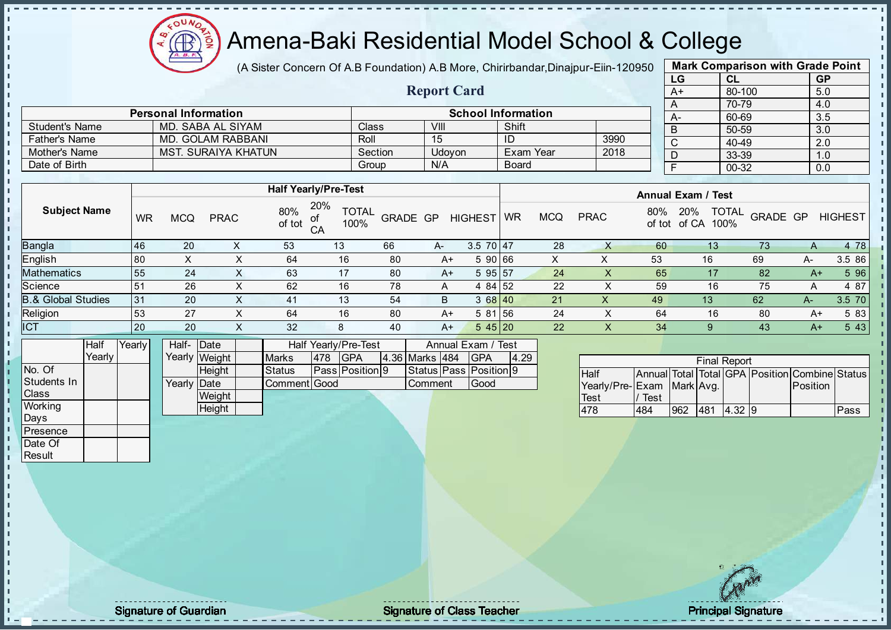

(A Sister Concern Of A.B Foundation) A.B More, Chirirbandar, Dinajpur-Eiin-120950

Report Card

| <b>Mark Comparison with Grade Point</b> |        |           |  |  |  |  |  |  |  |  |  |  |
|-----------------------------------------|--------|-----------|--|--|--|--|--|--|--|--|--|--|
| LG                                      | CL     | <b>GP</b> |  |  |  |  |  |  |  |  |  |  |
| $A+$                                    | 80-100 | 5.0       |  |  |  |  |  |  |  |  |  |  |
| A                                       | 70-79  | 4.0       |  |  |  |  |  |  |  |  |  |  |
| А-                                      | 60-69  | 3.5       |  |  |  |  |  |  |  |  |  |  |
| B                                       | 50-59  | 3.0       |  |  |  |  |  |  |  |  |  |  |
| C                                       | 40-49  | 2.0       |  |  |  |  |  |  |  |  |  |  |
| D                                       | 33-39  | 1.0       |  |  |  |  |  |  |  |  |  |  |
| F<br>$00 - 32$<br>0.0                   |        |           |  |  |  |  |  |  |  |  |  |  |
|                                         |        |           |  |  |  |  |  |  |  |  |  |  |

|                      | <b>Personal Information</b> |         |        | <b>School Information</b> |      |  |
|----------------------|-----------------------------|---------|--------|---------------------------|------|--|
| Student's Name       | MD. SABA AL SIYAM           | Class   | VIII   | Shift                     |      |  |
| <b>Father's Name</b> | MD. GOLAM RABBANI           | Roll    | -15    | ID                        | 3990 |  |
| Mother's Name        | MST. SURAIYA KHATUN         | Section | Udovon | Exam Year                 | 2018 |  |
| Date of Birth        |                             | Group   | N/A    | <b>Board</b>              |      |  |

|                               |           |            |             |               | <b>Half Yearly/Pre-Test</b>             |                 |      |                |    |            |             |               | <b>Annual Exam / Test</b>            |          |      |                |
|-------------------------------|-----------|------------|-------------|---------------|-----------------------------------------|-----------------|------|----------------|----|------------|-------------|---------------|--------------------------------------|----------|------|----------------|
| <b>Subject Name</b>           | <b>WR</b> | <b>MCQ</b> | <b>PRAC</b> | 80%<br>of tot | 20%<br><b>TOTAL</b><br>οt<br>100%<br>CA | <b>GRADE GP</b> |      | <b>HIGHEST</b> | WR | <b>MCQ</b> | <b>PRAC</b> | 80%<br>of tot | <b>TOTAL</b><br>20%<br>100%<br>of CA | GRADE GP |      | <b>HIGHEST</b> |
| <b>Bangla</b>                 | 46        | 20         |             | 53            | 13                                      | 66              | $A-$ | $3.5$ 70 47    |    | 28         |             | 60            | 13 <sup>°</sup>                      | 73       | A    | 4 78           |
| English                       | 80        | ⌒          | ∧           | 64            | 16                                      | 80              | A+   | 5 90 66        |    | X          | х           | 53            | 16                                   | 69       | A-   | 3.5 86         |
| <b>Mathematics</b>            | 55        | 24         | ∧           | 63            | 17                                      | 80              | A+   | 595 57         |    | 24         |             | 65            | 17                                   | 82       | $A+$ | 5 96           |
| Science                       | 51        | 26         | ∧           | 62            | 16                                      | 78              | A    | 4 84 52        |    | 22         |             | 59            | 16                                   | 75       | A    | 4 87           |
| <b>B.&amp; Global Studies</b> | 31        | 20         | ∧           | 41            | 13                                      | 54              | B    | 3 68 40        |    | 21         | Χ           | 49            | 13                                   | 62       | A-   | 3.5 70         |
| Religion                      | 53        | 27         | х           | 64            | 16                                      | 80              | A+   | 5 81 56        |    | 24         |             | 64            | 16                                   | 80       | A+   | 5 83           |
| <b>ICT</b>                    | 20        | 20         | $\sim$      | 32            | 8                                       | 40              | $A+$ | 545 20         |    | 22         |             | 34            |                                      | 43       | A+   | 5 4 3          |
|                               |           |            |             |               |                                         |                 |      |                |    |            |             |               |                                      |          |      |                |

|              | Half   | Yearly | Half- Date          |               |               |     | Half Yearly/Pre-Test   |                  |                |  | Annual Exam / Test     |      |  |
|--------------|--------|--------|---------------------|---------------|---------------|-----|------------------------|------------------|----------------|--|------------------------|------|--|
|              | Yearly |        |                     | Yearly Weight | <b>Marks</b>  | 478 | <b>IGPA</b>            |                  | 4.36 Marks 484 |  | <b>IGPA</b>            | 4.29 |  |
| INo. Of      |        |        |                     | Height        | <b>Status</b> |     | <b>Pass Position 9</b> |                  |                |  | Status Pass Position 9 |      |  |
| Students In  |        |        | Yearly <b>IDate</b> |               | Comment Good  |     |                        | 'Good<br>Comment |                |  |                        |      |  |
| <b>Class</b> |        |        |                     | Weight        |               |     |                        |                  |                |  |                        |      |  |
| Working      |        |        |                     | Height        |               |     |                        |                  |                |  |                        |      |  |
| Days         |        |        |                     |               |               |     |                        |                  |                |  |                        |      |  |

|                           |      |      |     | <b>Final Report</b> |                                                |      |
|---------------------------|------|------|-----|---------------------|------------------------------------------------|------|
| <b>IHalf</b>              |      |      |     |                     | Annual Total Total GPA Position Combine Status |      |
| Yearly/Pre-Exam Mark Avg. |      |      |     |                     | <b>IPosition</b>                               |      |
| <b>Test</b>               | Test |      |     |                     |                                                |      |
| 478                       | 484  | 1962 | 481 | 4.32 9              |                                                | Pass |

**Presence** Date Of **Result** 

J. J. J. İ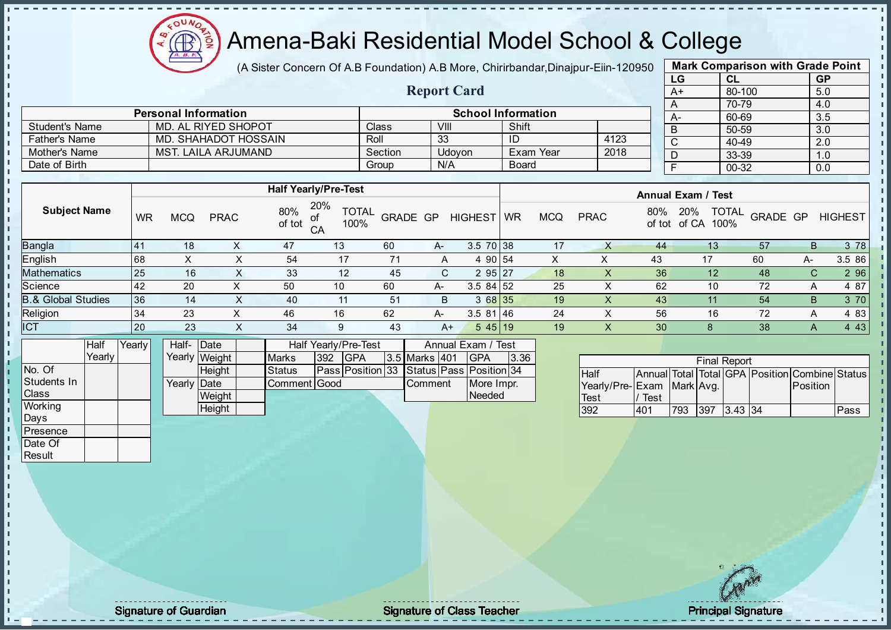

(A Sister Concern Of A.B Foundation) A.B More, Chirirbandar, Dinajpur-Eiin-120950

Report Card

| <b>Mark Comparison with Grade Point</b> |        |           |  |  |  |  |  |  |  |  |  |  |
|-----------------------------------------|--------|-----------|--|--|--|--|--|--|--|--|--|--|
| LG                                      | CL     | <b>GP</b> |  |  |  |  |  |  |  |  |  |  |
| $A+$                                    | 80-100 | 5.0       |  |  |  |  |  |  |  |  |  |  |
| Α                                       | 70-79  | 4.0       |  |  |  |  |  |  |  |  |  |  |
| А-                                      | 60-69  | 3.5       |  |  |  |  |  |  |  |  |  |  |
| B                                       | 50-59  | 3.0       |  |  |  |  |  |  |  |  |  |  |
| C                                       | 40-49  | 2.0       |  |  |  |  |  |  |  |  |  |  |
| D                                       | 33-39  | 1.0       |  |  |  |  |  |  |  |  |  |  |
| F                                       | 00-32  | 0.0       |  |  |  |  |  |  |  |  |  |  |
|                                         |        |           |  |  |  |  |  |  |  |  |  |  |

|                       | <b>Personal Information</b> |         |        | <b>School Information</b> |      |  |
|-----------------------|-----------------------------|---------|--------|---------------------------|------|--|
| <b>Student's Name</b> | MD. AL RIYED SHOPOT         | Class   | VIII   | Shift                     |      |  |
| <b>Father's Name</b>  | MD. SHAHADOT HOSSAIN        | Roll    | 33     | ID                        | 4123 |  |
| Mother's Name         | MST. LAILA ARJUMAND         | Section | Udovon | Exam Year                 | 2018 |  |
| Date of Birth         |                             | Group   | N/A    | <b>Board</b>              |      |  |

|                               |           |     |             |               | <b>Half Yearly/Pre-Test</b>       |                 |      |                 |           |            |             |               | <b>Annual Exam / Test</b> |              |          |                |
|-------------------------------|-----------|-----|-------------|---------------|-----------------------------------|-----------------|------|-----------------|-----------|------------|-------------|---------------|---------------------------|--------------|----------|----------------|
| <b>Subject Name</b>           | WR        | MCQ | <b>PRAC</b> | 80%<br>of tot | 20%<br><b>TOTAL</b><br>100%<br>CA | <b>GRADE GP</b> |      | <b>HIGHEST</b>  | <b>WR</b> | <b>MCQ</b> | <b>PRAC</b> | 80%<br>of tot | 20%<br>100%<br>of CA      | <b>TOTAL</b> | GRADE GP | <b>HIGHEST</b> |
| Bangla                        | l 41      | 18  |             | 47            | 13                                | 60              | $A-$ | $3.5 \ 70 \ 38$ |           | 17         |             | 44            | 13                        | 57           | B        | 3 78           |
| English                       | 68        | ㅅ   | X           | 54            | 17                                | 71              | A    | 4 90 54         |           | X          | х           | 43            | 17                        | 60           | A-       | 3.5 86         |
| <b>Mathematics</b>            | 25        | 16  | X.          | 33            | 12                                | 45              | C.   | 295 27          |           | 18         |             | 36            | 12                        | 48           | C.       | 2 9 6          |
| Science                       | 42        | 20  | $\sim$      | 50            | 10                                | 60              | A-   | $3.584$ 52      |           | 25         |             | 62            | 10                        | 72           | Α        | 4 87           |
| <b>B.&amp; Global Studies</b> | 36        | 14  |             | 40            | 11                                | 51              | B    | 368 35          |           | 19         |             | 43            |                           | 54           | B        | 3 70           |
| Religion                      | 34        | 23  |             | 46            | 16                                | 62              | A-   | $3.581$ 46      |           | 24         |             | 56            | 16                        | 72           | A        | 4 8 3          |
| ICT                           | <b>20</b> | 23  | X           | 34            | 9                                 | 43              | $A+$ | $545$   19      |           | 19         |             | 30            |                           | 38           | A        | 4 4 3          |
|                               |           |     |             |               |                                   |                 |      |                 |           |            |             |               |                           |              |          |                |

|                | <b>Half</b> | Yearly | Half- Date  |               |               |     | Half Yearly/Pre-Test                     |                  | Annual Exam / Test |      |
|----------------|-------------|--------|-------------|---------------|---------------|-----|------------------------------------------|------------------|--------------------|------|
|                | Yearly      |        |             | Yearly Weight | <b>Marks</b>  | 392 | IGPA                                     | 3.5 Marks 401    | <b>IGPA</b>        | 3.36 |
| No. Of         |             |        |             | <b>Height</b> | <b>Status</b> |     | Pass Position 33 Status Pass Position 34 |                  |                    |      |
| Students In    |             |        | Yearly Date |               | Comment Good  |     |                                          | <b>I</b> Comment | More Impr.         |      |
| <b>Class</b>   |             |        |             | Weight        |               |     |                                          |                  | Needed             |      |
| <b>Working</b> |             |        |             | Height        |               |     |                                          |                  |                    |      |

| <b>Final Report</b> |                                   |             |     |                                  |  |             |                                                            |  |  |
|---------------------|-----------------------------------|-------------|-----|----------------------------------|--|-------------|------------------------------------------------------------|--|--|
|                     |                                   |             |     |                                  |  |             |                                                            |  |  |
|                     |                                   |             |     |                                  |  |             |                                                            |  |  |
|                     |                                   |             |     |                                  |  |             |                                                            |  |  |
|                     |                                   |             |     |                                  |  |             | Pass                                                       |  |  |
|                     | <b>Half</b><br><b>Test</b><br>392 | Test<br>401 | 793 | Yearly/Pre-Exam Mark Avg.<br>397 |  | $3.43$ $34$ | Annual Total Total GPA Position Combine Status<br>Position |  |  |

Days Presence Date Of **Result** 

J. n  $\frac{1}{1}$  $\mathbf{I}$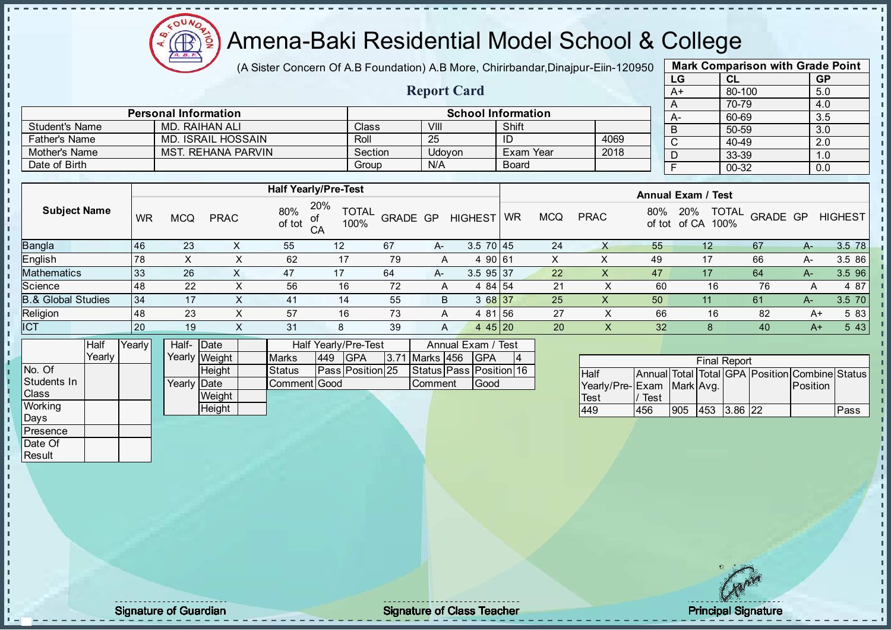Æ

# Amena-Baki Residential Model School & College

(A Sister Concern Of A.B Foundation) A.B More, Chirirbandar, Dinajpur-Eiin-120950

Report Card

| <b>Mark Comparison with Grade Point</b> |        |           |  |  |  |  |  |  |
|-----------------------------------------|--------|-----------|--|--|--|--|--|--|
| LG                                      | CL     | <b>GP</b> |  |  |  |  |  |  |
| $A+$                                    | 80-100 | 5.0       |  |  |  |  |  |  |
| A                                       | 70-79  | 4.0       |  |  |  |  |  |  |
| A-                                      | 60-69  | 3.5       |  |  |  |  |  |  |
| B                                       | 50-59  | 3.0       |  |  |  |  |  |  |
| C                                       | 40-49  | 2.0       |  |  |  |  |  |  |
| D                                       | 33-39  | 1.0       |  |  |  |  |  |  |
| F                                       | 00-32  | 0.0       |  |  |  |  |  |  |
|                                         |        |           |  |  |  |  |  |  |

|                      | <b>Personal Information</b> |         | <b>School Information</b> |                  |      |  |  |  |  |  |
|----------------------|-----------------------------|---------|---------------------------|------------------|------|--|--|--|--|--|
| Student's Name       | MD. RAIHAN ALI              | Class   | VIII                      | Shift            |      |  |  |  |  |  |
| <b>Father's Name</b> | MD. ISRAIL HOSSAIN          | Roll    | 25                        | ID               | 4069 |  |  |  |  |  |
| Mother's Name        | <b>MST. REHANA PARVIN</b>   | Section | <b>Udovon</b>             | <b>Exam Year</b> | 2018 |  |  |  |  |  |
| Date of Birth        |                             | Group   | N/A                       | <b>Board</b>     |      |  |  |  |  |  |

|                               |     |            |             |               | <b>Half Yearly/Pre-Test</b>       |          |      |                 |           |            |             |                 | <b>Annual Exam / Test</b>                   |          |      |                |
|-------------------------------|-----|------------|-------------|---------------|-----------------------------------|----------|------|-----------------|-----------|------------|-------------|-----------------|---------------------------------------------|----------|------|----------------|
| <b>Subject Name</b>           | WR  | <b>MCQ</b> | <b>PRAC</b> | 80%<br>of tot | 20%<br><b>TOTAL</b><br>100%<br>CA | GRADE GP |      | <b>HIGHEST</b>  | <b>WR</b> | <b>MCQ</b> | <b>PRAC</b> | 80%             | <b>TOTAL</b><br>20%<br>100%<br>of tot of CA | GRADE GP |      | <b>HIGHEST</b> |
| Bangla                        | 146 | 23         |             | 55            | 12 <sup>°</sup>                   | 67       | $A-$ | $3.5 \ 70 \ 45$ |           | 24         | X           | 55              | 12                                          | 67       | $A-$ | 3.5 78         |
| English                       | 78  |            | ⋏           | 62            | 17                                | 79       | A    | 4 90 61         |           |            |             | 49              | 17                                          | 66       | A-   | 3.5 86         |
| Mathematics                   | 33  | 26         |             | 47            | 17                                | 64       | $A-$ | 3.5 95 37       |           | 22         | X           | 47              | 17                                          | 64       | $A-$ | 3.5 96         |
| Science                       | 48  | 22         |             | 56            | 16                                | 72       | A    | 4 84 54         |           | 21         |             | 60              | 16                                          | 76       | Α    | 4 87           |
| <b>B.&amp; Global Studies</b> | 34  | 17         |             | 41            | 14                                | 55       | B    | 3 68 37         |           | 25         | X           | 50              | 11                                          | 61       | $A-$ | 3.5 70         |
| Religion                      | 48  | 23         |             | 57            | 16                                | 73       | A    | 4 81 56         |           | 27         |             | 66              | 16                                          | 82       | A+   | 5 83           |
| <b>ICT</b>                    | 20  | 19         | ∧           | 31            | 8                                 | 39       | A    | 4 4 $5$   20    |           | 20         | X.          | 32 <sub>2</sub> |                                             | 40       | $A+$ | 5 4 3          |
|                               |     |            |             |               |                                   |          |      |                 |           |            |             |                 |                                             |          |      |                |

|                | Half   | Yearly | Half- Date          |               | Half Yearly/Pre-Test |     |                         |  | Annual Exam / Test |  |                         |  |
|----------------|--------|--------|---------------------|---------------|----------------------|-----|-------------------------|--|--------------------|--|-------------------------|--|
|                | Yearlv |        |                     | Yearly Weight | <b>Marks</b>         | 449 | <b>IGPA</b>             |  | 3.71 Marks 456     |  | <b>IGPA</b>             |  |
| No. Of         |        |        |                     | <b>Height</b> | <b>Status</b>        |     | <b>Pass Position 25</b> |  |                    |  | Status Pass Position 16 |  |
| Students In    |        |        | Yearly <b>IDate</b> |               | Comment Good         |     |                         |  | <b>I</b> Comment   |  | Good                    |  |
| <b>Class</b>   |        |        |                     | Weight        |                      |     |                         |  |                    |  |                         |  |
| <b>Working</b> |        |        |                     | <b>Height</b> |                      |     |                         |  |                    |  |                         |  |
| Days           |        |        |                     |               |                      |     |                         |  |                    |  |                         |  |

|                           | <b>Final Report</b> |            |  |             |  |                                                |      |  |  |  |  |
|---------------------------|---------------------|------------|--|-------------|--|------------------------------------------------|------|--|--|--|--|
| Half                      |                     |            |  |             |  | Annual Total Total GPA Position Combine Status |      |  |  |  |  |
| Yearly/Pre-Exam Mark Avg. |                     |            |  |             |  | <b>IPosition</b>                               |      |  |  |  |  |
| <b>Test</b>               | Test                |            |  |             |  |                                                |      |  |  |  |  |
| 449                       | 456                 | <b>905</b> |  | 453 3.86 22 |  |                                                | Pass |  |  |  |  |

**Presence** Date Of **Result** 

- n -f J. h  $\mathbf{I}$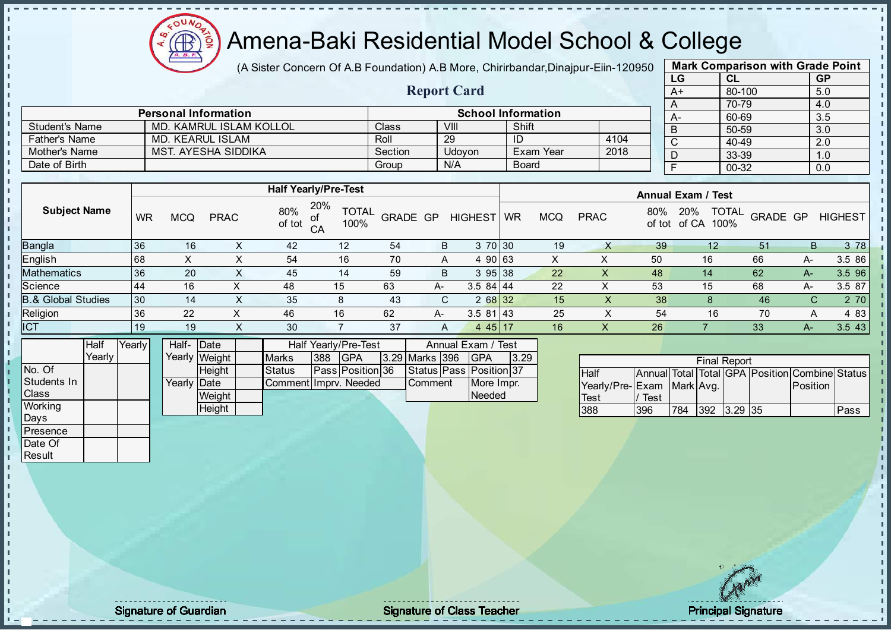$\Omega$ Æ

# Amena-Baki Residential Model School & College

(A Sister Concern Of A.B Foundation) A.B More, Chirirbandar, Dinajpur-Eiin-120950

Report Card

| <b>Mark Comparison with Grade Point</b> |        |           |  |  |  |  |  |  |
|-----------------------------------------|--------|-----------|--|--|--|--|--|--|
| LG                                      | CL     | <b>GP</b> |  |  |  |  |  |  |
| $A+$                                    | 80-100 | 5.0       |  |  |  |  |  |  |
| A                                       | 70-79  | 4.0       |  |  |  |  |  |  |
| А-                                      | 60-69  | 3.5       |  |  |  |  |  |  |
| B                                       | 50-59  | 3.0       |  |  |  |  |  |  |
| C                                       | 40-49  | 2.0       |  |  |  |  |  |  |
| D                                       | 33-39  | 1.0       |  |  |  |  |  |  |
| F                                       | 00-32  | 0.0       |  |  |  |  |  |  |
|                                         |        |           |  |  |  |  |  |  |

|                      | <b>Personal Information</b> |         | <b>School Information</b> |              |       |  |  |  |
|----------------------|-----------------------------|---------|---------------------------|--------------|-------|--|--|--|
| Student's Name       | MD. KAMRUL ISLAM KOLLOL     | Class   | VIII                      | Shift        |       |  |  |  |
| <b>Father's Name</b> | MD. KEARUL ISLAM            | Roll    | 29                        |              | -4104 |  |  |  |
| Mother's Name        | MST. AYESHA SIDDIKA         | Section | <b>Udovon</b>             | Exam Year    | 2018  |  |  |  |
| Date of Birth        |                             | Group   | N/A                       | <b>Board</b> |       |  |  |  |

|                               |     |     |             |               | <b>Half Yearly/Pre-Test</b>             |          |    |                         |           |            |             |               | <b>Annual Exam / Test</b>            |          |    |                |
|-------------------------------|-----|-----|-------------|---------------|-----------------------------------------|----------|----|-------------------------|-----------|------------|-------------|---------------|--------------------------------------|----------|----|----------------|
| <b>Subject Name</b>           | WR  | MCQ | <b>PRAC</b> | 80%<br>of tot | 20%<br><b>TOTAL</b><br>οf<br>100%<br>CA | GRADE GP |    | <b>HIGHEST</b>          | <b>WR</b> | <b>MCQ</b> | <b>PRAC</b> | 80%<br>of tot | <b>TOTAL</b><br>20%<br>of CA<br>100% | GRADE GP |    | <b>HIGHEST</b> |
| <b>Bangla</b>                 | 136 | 16  |             | 42            | 12                                      | 54       | B  | 3 70 30                 |           | 19         |             | 39            |                                      | 51       | B  | 3 78           |
| English                       | 168 |     |             | 54            | 16                                      | 70       |    | 90 63<br>$\overline{a}$ |           |            |             | 50            | 16                                   | 66       | A- | 3.5 86         |
| <b>Mathematics</b>            | 36  | 20  |             | 45            | 14                                      | 59       | B  | 395 38                  |           | 22         |             | 48            | 14                                   | 62       | A- | 3.5 96         |
| Science                       | 44  | 16  |             | 48            | 15                                      | 63       | A- | $3.584$   44            |           | 22         |             | 53            | 15                                   | 68       | A- | 3.5 87         |
| <b>B.&amp; Global Studies</b> | 30  | 14  | X.          | 35            | 8                                       | 43       | C. | 2 68 32                 |           | 15         | λ.          | 38            |                                      | 46       | С  | 2 70           |
| Religion                      | 36  | 22  | x           | 46            | 16                                      | 62       | A- | $3.581$   43            |           | 25         |             | 54            | 16                                   | 70       | A  | 4 83           |
| <b>ICT</b>                    | 19  | 19  | X           | 30            |                                         | 37       | A  | $445$ 17                |           | 16         |             | 26            |                                      | 33       | А- | 3.5 43         |

|                | Half     | Yearlvl | Half- Date           |               |                       |     | <b>Half Yearly/Pre-Test</b> |                | Annual Exam / Test            |      |
|----------------|----------|---------|----------------------|---------------|-----------------------|-----|-----------------------------|----------------|-------------------------------|------|
|                | Yearlv l |         |                      | Yearly Weight | <b>Marks</b>          | 388 | <b>IGPA</b>                 | 3.29 Marks 396 | <b>IGPA</b>                   | 3.29 |
| INo. Of        |          |         |                      | <b>Height</b> | <b>Status</b>         |     | <b>IPassIPosition136</b>    |                | Status   Pass   Position   37 |      |
| Students In    |          |         | Yearly <b>I</b> Date |               | CommentIImprv. Needed |     |                             | <b>Comment</b> | More Impr.                    |      |
| <b>Class</b>   |          |         |                      | Weight        |                       |     |                             |                | Needed                        |      |
| <b>Working</b> |          |         |                      | Height        |                       |     |                             |                |                               |      |

| <b>Final Report</b>       |      |     |                    |  |  |                                                |      |  |  |
|---------------------------|------|-----|--------------------|--|--|------------------------------------------------|------|--|--|
| <b>Half</b>               |      |     |                    |  |  | Annual Total Total GPA Position Combine Status |      |  |  |
| Yearly/Pre-Exam Mark Avg. |      |     |                    |  |  | <b>Position</b>                                |      |  |  |
| <b>Test</b>               | Test |     |                    |  |  |                                                |      |  |  |
| 388                       | 396  | 784 | $ 392 $ $ 3.29 35$ |  |  |                                                | Pass |  |  |

Days **Presence** Date Of **Result** 

п h J. n  $\begin{bmatrix} 1 \\ 1 \\ 1 \end{bmatrix}$  $\mathbf{I}$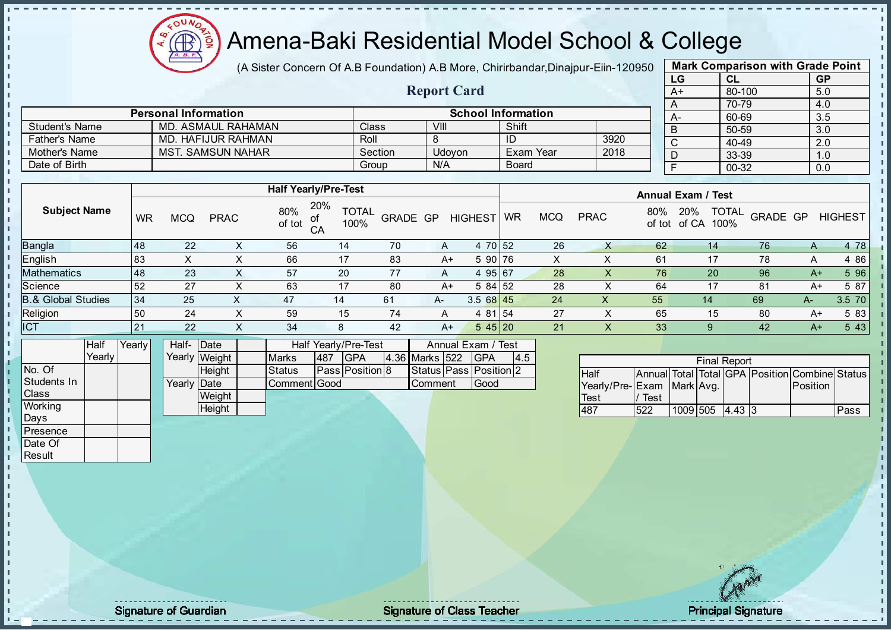

(A Sister Concern Of A.B Foundation) A.B More, Chirirbandar, Dinajpur-Eiin-120950

Report Card

| <b>Mark Comparison with Grade Point</b> |           |           |  |  |  |  |  |  |  |
|-----------------------------------------|-----------|-----------|--|--|--|--|--|--|--|
| LG                                      | CL        | <b>GP</b> |  |  |  |  |  |  |  |
| $A+$                                    | 80-100    | 5.0       |  |  |  |  |  |  |  |
| A                                       | 70-79     | 4.0       |  |  |  |  |  |  |  |
| А-                                      | 60-69     | 3.5       |  |  |  |  |  |  |  |
| B                                       | 50-59     | 3.0       |  |  |  |  |  |  |  |
| C                                       | $40 - 49$ | 2.0       |  |  |  |  |  |  |  |
| D                                       | 33-39     | 1.0       |  |  |  |  |  |  |  |
| F                                       | $00 - 32$ | 0.0       |  |  |  |  |  |  |  |
|                                         |           |           |  |  |  |  |  |  |  |

|                       | <b>Personal Information</b> | <b>School Information</b> |        |              |      |           |  |  |  |
|-----------------------|-----------------------------|---------------------------|--------|--------------|------|-----------|--|--|--|
| <b>Student's Name</b> | MD. ASMAUL RAHAMAN          | Class                     | VIII   | Shift        |      | $A-$<br>B |  |  |  |
| <b>Father's Name</b>  | MD. HAFIJUR RAHMAN          | Roll                      |        |              | 3920 |           |  |  |  |
| Mother's Name         | MST. SAMSUN NAHAR           | Section                   | Udovon | Exam Year    | 2018 |           |  |  |  |
| Date of Birth         |                             | Group                     | N/A    | <b>Board</b> |      |           |  |  |  |

|                               |           |            |             |               | <b>Half Yearly/Pre-Test</b>       |                 |      |                | <b>Annual Exam / Test</b> |            |             |               |                                      |          |      |                |
|-------------------------------|-----------|------------|-------------|---------------|-----------------------------------|-----------------|------|----------------|---------------------------|------------|-------------|---------------|--------------------------------------|----------|------|----------------|
| <b>Subject Name</b>           | <b>WR</b> | <b>MCQ</b> | <b>PRAC</b> | 80%<br>of tot | 20%<br><b>TOTAL</b><br>100%<br>CA | <b>GRADE GP</b> |      | <b>HIGHEST</b> | WR                        | <b>MCQ</b> | <b>PRAC</b> | 80%<br>of tot | <b>TOTAL</b><br>20%<br>of CA<br>100% | GRADE GP |      | <b>HIGHEST</b> |
| <b>Bangla</b>                 | 48        | 22         |             | 56            | 14                                | 70              | A    | 4 70 52        |                           | 26         |             | 62            | 14                                   | 76       | Α    | 4 78           |
| <b>English</b>                | 83        |            |             | 66            | 17                                | 83              | A+   | 5 90 76        |                           | х          |             | 61            | 17                                   | 78       | A    | 4 8 6          |
| <b>Mathematics</b>            | 48        | 23         |             | 57            | 20                                | 77              | A    | 4 95 67        |                           | 28         | X           | 76            | 20                                   | 96       | $A+$ | 5 96           |
| Science                       | 52        | 27         | x           | 63            | 17                                | 80              | A+   | $584$ 52       |                           | 28         |             | 64            | 17                                   | 81       | A+   | 5 87           |
| <b>B.&amp; Global Studies</b> | 34        | 25         | $\sim$      | 47            | 14                                | 61              | $A-$ | $3.568$ 45     |                           | 24         | X           | 55            | 14                                   | 69       | A-   | 3.5 70         |
| Religion                      | 50        | 24         | х           | 59            | 15                                | 74              | A    | 4 81 54        |                           | 27         | ∧           | 65            | 15                                   | 80       | A+   | 5 83           |
| <b>ICT</b>                    | 21        | 22         |             | 34            |                                   | 42              | $A+$ | 545 20         |                           | 21         |             | 33            |                                      | 42       | $A+$ | 5 4 3          |

|              | Half   | Yearly | Half-Date   |               |                     |     | Half Yearly/Pre-Test   | Annual Exam / Test |       |                              |     |
|--------------|--------|--------|-------------|---------------|---------------------|-----|------------------------|--------------------|-------|------------------------------|-----|
|              | Yearlv |        |             | Yearly Weight | <b>Marks</b>        | 487 | <b>IGPA</b>            | 4.36 Marks 522     |       | <b>IGPA</b>                  | 4.5 |
| No. Of       |        |        |             | Height        | Status              |     | <b>Pass Position 8</b> |                    |       | Status   Pass   Position   2 |     |
| Students In  |        |        | Yearly Date |               | <b>Comment Good</b> |     | Comment                |                    | lGood |                              |     |
| <b>Class</b> |        |        |             | Weight        |                     |     |                        |                    |       |                              |     |
| Working      |        |        |             | Height        |                     |     |                        |                    |       |                              |     |
| Days         |        |        |             |               |                     |     |                        |                    |       |                              |     |

|                           |      |                 | <b>Final Report</b> |                                                |      |
|---------------------------|------|-----------------|---------------------|------------------------------------------------|------|
| <b>Half</b>               |      |                 |                     | Annual Total Total GPA Position Combine Status |      |
| Yearly/Pre-Exam Mark Avg. |      |                 |                     | <b>Position</b>                                |      |
| <b>Test</b>               | Test |                 |                     |                                                |      |
| 487                       | 522  | 1009 505 4.43 3 |                     |                                                | Pass |

**Presence** Date Of **Result** 

J. T. J. h  $\mathbf{I}$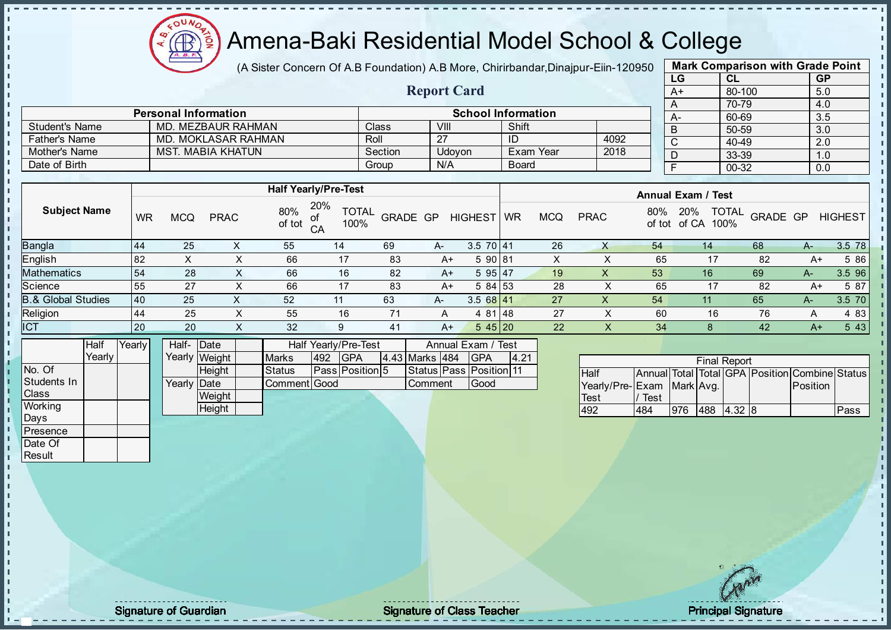**AR** 

# Amena-Baki Residential Model School & College

(A Sister Concern Of A.B Foundation) A.B More, Chirirbandar, Dinajpur-Eiin-120950

Report Card

| <b>Mark Comparison with Grade Point</b> |        |           |  |  |  |  |  |  |  |  |
|-----------------------------------------|--------|-----------|--|--|--|--|--|--|--|--|
| LG                                      | CL     | <b>GP</b> |  |  |  |  |  |  |  |  |
| $A+$                                    | 80-100 | 5.0       |  |  |  |  |  |  |  |  |
| A                                       | 70-79  | 4.0       |  |  |  |  |  |  |  |  |
| А-                                      | 60-69  | 3.5       |  |  |  |  |  |  |  |  |
| B                                       | 50-59  | 3.0       |  |  |  |  |  |  |  |  |
| C                                       | 40-49  | 2.0       |  |  |  |  |  |  |  |  |
| D                                       | 33-39  | 1.0       |  |  |  |  |  |  |  |  |
| F                                       | 00-32  | 0.0       |  |  |  |  |  |  |  |  |
|                                         |        |           |  |  |  |  |  |  |  |  |

|                      | <b>Personal Information</b> |         |        | <b>School Information</b> |      |
|----------------------|-----------------------------|---------|--------|---------------------------|------|
| Student's Name       | MD. MEZBAUR RAHMAN          | Class   | VIII   | Shift                     |      |
| <b>Father's Name</b> | MD. MOKLASAR RAHMAN         | Roll    | 27     | ID                        | 4092 |
| Mother's Name        | MST. MABIA KHATUN           | Section | Jdovon | Exam Year                 | 2018 |
| Date of Birth        |                             | Group   | N/A    | <b>Board</b>              |      |

|                               |    |            |             |               | <b>Half Yearly/Pre-Test</b>       |                 |      |                | <b>Annual Exam / Test</b> |            |             |               |                                      |          |      |                |
|-------------------------------|----|------------|-------------|---------------|-----------------------------------|-----------------|------|----------------|---------------------------|------------|-------------|---------------|--------------------------------------|----------|------|----------------|
| <b>Subject Name</b>           | WR | <b>MCQ</b> | <b>PRAC</b> | 80%<br>of tot | 20%<br><b>TOTAL</b><br>100%<br>CA | <b>GRADE GP</b> |      | <b>HIGHEST</b> | WR                        | <b>MCQ</b> | <b>PRAC</b> | 80%<br>of tot | <b>TOTAL</b><br>20%<br>of CA<br>100% | GRADE GP |      | <b>HIGHEST</b> |
| Bangla                        | 44 | 25         |             | 55            | 14                                | 69              | A-   | $3.570$   41   |                           | 26         |             | 54            | 14                                   | 68       | A-   | 3.5 78         |
| English                       | 82 | х          |             | 66            | 17                                | 83              | $A+$ | 5 90 81        |                           | $\sim$     |             | 65            | 17                                   | 82       | $A+$ | 5 86           |
| Mathematics                   | 54 | 28         |             | 66            | 16                                | 82              | $A+$ | 595 47         |                           | 19         |             | 53            | 16                                   | 69       | $A-$ | 3.5 96         |
| Science                       | 55 | 27         |             | 66            | 17                                | 83              | $A+$ | 584 53         |                           | 28         |             | 65            | 17                                   | 82       | $A+$ | 5 87           |
| <b>B.&amp; Global Studies</b> | 40 | 25         |             | 52            |                                   | 63              | A-   | $3.568$ 41     |                           | 27         |             | 54            | 11                                   | 65       | A-   | 3.5 70         |
| Religion                      | 44 | 25         | ⌒           | 55            | 16                                | 71              | A    | 4 81 48        |                           | 27         |             | 60            | 16                                   | 76       | А    | 4 8 3          |
| <b>ICT</b>                    | 20 | 20         | $\sim$      | 32            | 9                                 | 41              | $A+$ | 545 20         |                           | 22         | ∧           | 34            |                                      | 42       | $A+$ | 5 4 3          |
|                               |    |            |             |               |                                   |                 |      |                |                           |            |             |               |                                      |          |      |                |

|             | Half   | Yearly | Half- Date           |               |               |          | Half Yearly/Pre-Test   | Annual Exam / Test |  |                               |      |
|-------------|--------|--------|----------------------|---------------|---------------|----------|------------------------|--------------------|--|-------------------------------|------|
|             | Yearly |        |                      | Yearly Weight | <b>Marks</b>  | 492      | <b>IGPA</b>            | 4.43 Marks 484     |  | <b>IGPA</b>                   | 4.21 |
| No. Of      |        |        |                      | <b>Height</b> | <b>Status</b> |          | <b>Pass Position 5</b> |                    |  | Status   Pass   Position   11 |      |
| Students In |        |        | Yearlv <b>I</b> Date |               | Comment Good  | ∎Comment |                        | Good               |  |                               |      |
| Class       |        |        |                      | Weight        |               |          |                        |                    |  |                               |      |
| Working     |        |        |                      | Height        |               |          |                        |                    |  |                               |      |
| Days        |        |        |                      |               |               |          |                        |                    |  |                               |      |

|                           |      |     |     | <b>Final Report</b> |                                                |      |
|---------------------------|------|-----|-----|---------------------|------------------------------------------------|------|
| <b>Half</b>               |      |     |     |                     | Annual Total Total GPA Position Combine Status |      |
| Yearly/Pre-Exam Mark Avg. |      |     |     |                     | <b>IPosition</b>                               |      |
| Test                      | Test |     |     |                     |                                                |      |
| 492                       | 484  | 976 | 488 | 4.32 8              |                                                | Pass |

**Presence** Date Of **Result** 

J. -f J. İ  $\mathbf{I}$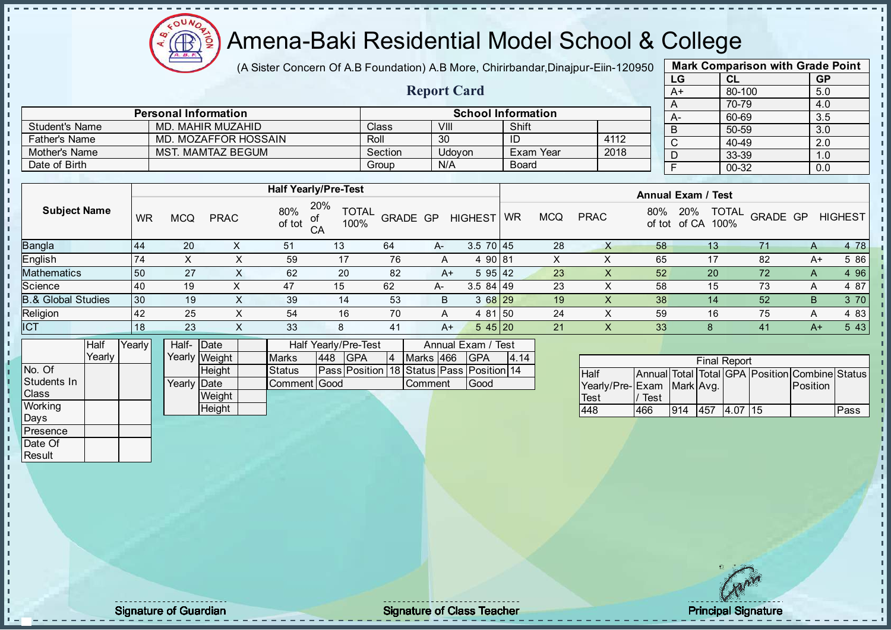

(A Sister Concern Of A.B Foundation) A.B More, Chirirbandar, Dinajpur-Eiin-120950

Report Card

| <b>Mark Comparison with Grade Point</b> |        |           |  |  |  |  |  |  |  |  |
|-----------------------------------------|--------|-----------|--|--|--|--|--|--|--|--|
| LG                                      | CL     | <b>GP</b> |  |  |  |  |  |  |  |  |
| A+                                      | 80-100 | 5.0       |  |  |  |  |  |  |  |  |
| Α                                       | 70-79  | 4.0       |  |  |  |  |  |  |  |  |
| А-                                      | 60-69  | 3.5       |  |  |  |  |  |  |  |  |
| B                                       | 50-59  | 3.0       |  |  |  |  |  |  |  |  |
| C                                       | 40-49  | 2.0       |  |  |  |  |  |  |  |  |
| D                                       | 33-39  | 1.0       |  |  |  |  |  |  |  |  |
| F                                       | 00-32  | 0.0       |  |  |  |  |  |  |  |  |
|                                         |        |           |  |  |  |  |  |  |  |  |

|                      | <b>Personal Information</b> |         | <b>School Information</b> |              |      |  |  |  |  |
|----------------------|-----------------------------|---------|---------------------------|--------------|------|--|--|--|--|
| Student's Name       | MD. MAHIR MUZAHID           | Class   | VIII                      | Shift        |      |  |  |  |  |
| <b>Father's Name</b> | MD. MOZAFFOR HOSSAIN        | Roll    | 30                        | ID           | 4112 |  |  |  |  |
| Mother's Name        | MST. MAMTAZ BEGUM           | Section | Udovon                    | Exam Year    | 2018 |  |  |  |  |
| Date of Birth        |                             | Group   | N/A                       | <b>Board</b> |      |  |  |  |  |

|                               |           |            |             |                     | <b>Half Yearly/Pre-Test</b> |          |      |                 | <b>Annual Exam / Test</b> |            |             |     |                                             |          |      |                |  |
|-------------------------------|-----------|------------|-------------|---------------------|-----------------------------|----------|------|-----------------|---------------------------|------------|-------------|-----|---------------------------------------------|----------|------|----------------|--|
| <b>Subject Name</b>           | <b>WR</b> | <b>MCQ</b> | <b>PRAC</b> | 80%<br>of tot<br>CA | 20%<br><b>TOTAL</b><br>100% | GRADE GP |      | <b>HIGHEST</b>  | <b>WR</b>                 | <b>MCQ</b> | <b>PRAC</b> | 80% | <b>TOTAL</b><br>20%<br>of tot of CA<br>100% | GRADE GP |      | <b>HIGHEST</b> |  |
| Bangla                        | 44        | 20         |             | 51                  | 13                          | 64       | A-   | $3.5 \ 70 \ 45$ |                           | 28         | X           | 58  | 13 <sup>°</sup>                             | 71       | A    | 4 78           |  |
| English                       | 174       | Х          |             | 59                  | 17                          | 76       | A    | 4 90 81         |                           | X          |             | 65  | 17                                          | 82       | A+   | 5 86           |  |
| <b>Mathematics</b>            | 50        | 27         |             | 62                  | 20                          | 82       | $A+$ | 595 42          |                           | 23         |             | 52  | 20                                          | 72       | A    | 4 9 6          |  |
| Science                       | 40        | 19         |             | 47                  | 15                          | 62       | A-   | $3.584$   49    |                           | 23         |             | 58  | 15                                          | 73       | A    | 4 87           |  |
| <b>B.&amp; Global Studies</b> | 30        | 19         |             | 39                  | 14                          | 53       | B    | 3 68 29         |                           | 19         | X           | 38  | 14                                          | 52       | B    | 3 70           |  |
| Religion                      | <b>42</b> | 25         | х           | 54                  | 16                          | 70       | A    | 4 81 50         |                           | 24         |             | 59  | 16                                          | 75       | A    | 4 8 3          |  |
| <b>ICT</b>                    | 18        | 23         | ⌒           | 33                  | 8                           | 41       | $A+$ | 545 20          |                           | 21         | $\lambda$   | 33  |                                             | 41       | $A+$ | 5 4 3          |  |
|                               |           |            |             |                     |                             |          |      |                 |                           |            |             |     |                                             |          |      |                |  |

|              | Half   | Yearlv l | Half- Date  |               |               | Half Yearly/Pre-Test |                                          |  |                |  | Annual Exam / Test |      |  |  |
|--------------|--------|----------|-------------|---------------|---------------|----------------------|------------------------------------------|--|----------------|--|--------------------|------|--|--|
|              | Yearly |          |             | Yearly Weight | <b>Marks</b>  | 448                  | <b>IGPA</b>                              |  | Marks 466      |  | IGPA               | 4.14 |  |  |
| No. Of       |        |          |             | <b>Height</b> | <b>Status</b> |                      | Pass Position 18 Status Pass Position 14 |  |                |  |                    |      |  |  |
| Students In  |        |          | Yearly Date |               | Comment Good  |                      |                                          |  | <b>Comment</b> |  | Good               |      |  |  |
| <b>Class</b> |        |          |             | Weight        |               |                      |                                          |  |                |  |                    |      |  |  |
| Working      |        |          |             | <b>Height</b> |               |                      |                                          |  |                |  |                    |      |  |  |
| Days         |        |          |             |               |               |                      |                                          |  |                |  |                    |      |  |  |

| <b>Final Report</b>       |      |     |     |          |  |                                                |      |  |  |  |  |
|---------------------------|------|-----|-----|----------|--|------------------------------------------------|------|--|--|--|--|
|                           |      |     |     |          |  |                                                |      |  |  |  |  |
| <b>Half</b>               |      |     |     |          |  | Annual Total Total GPA Position Combine Status |      |  |  |  |  |
| Yearly/Pre-Exam Mark Avg. |      |     |     |          |  | Position                                       |      |  |  |  |  |
| <b>Test</b>               | Test |     |     |          |  |                                                |      |  |  |  |  |
| 448                       | 466  | 914 | 457 | 4.07 115 |  |                                                | Pass |  |  |  |  |

**Presence** Date Of **Result** 

J. J. J. İ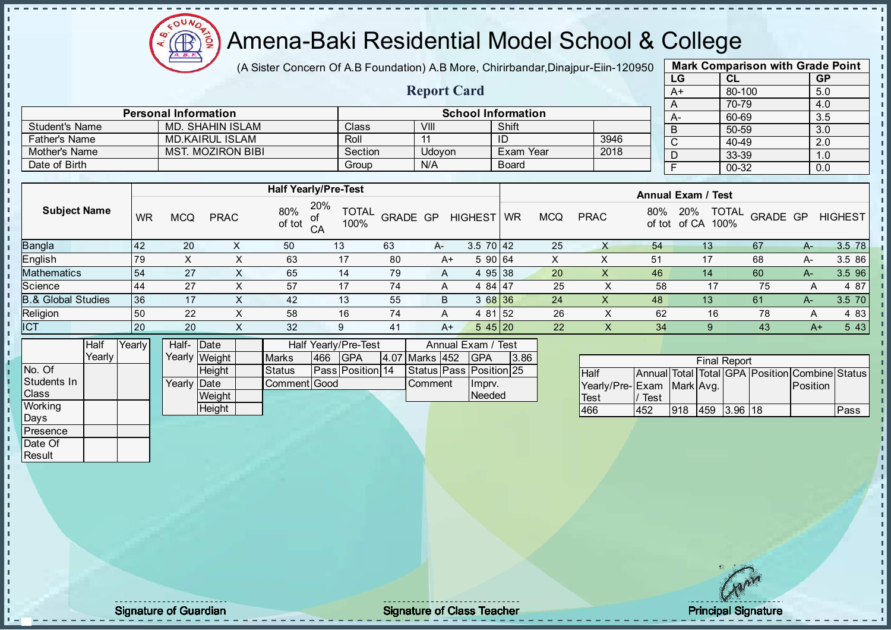

(A Sister Concern Of A.B Foundation) A.B More, Chirirbandar, Dinajpur-Eiin-120950

Report Card

| <b>Mark Comparison with Grade Point</b> |           |           |  |  |  |  |  |  |  |
|-----------------------------------------|-----------|-----------|--|--|--|--|--|--|--|
| LG                                      | <b>CL</b> | <b>GP</b> |  |  |  |  |  |  |  |
| $A+$                                    | 80-100    | 5.0       |  |  |  |  |  |  |  |
| A                                       | 70-79     | 4.0       |  |  |  |  |  |  |  |
| A-                                      | 60-69     | 3.5       |  |  |  |  |  |  |  |
| $\mathsf B$                             | 50-59     | 3.0       |  |  |  |  |  |  |  |
| $\mathsf{C}$                            | 40-49     | 2.0       |  |  |  |  |  |  |  |
| D                                       | 33-39     | 1.0       |  |  |  |  |  |  |  |
| F.                                      | $00 - 32$ | 0.0       |  |  |  |  |  |  |  |

|                       | <b>Personal Information</b> |         |        | <b>School Information</b> |      | $A-$ |
|-----------------------|-----------------------------|---------|--------|---------------------------|------|------|
| <b>Student's Name</b> | MD. SHAHIN ISLAM            | Class   | VIII   | Shift                     |      |      |
| <b>Father's Name</b>  | <b>MD.KAIRUL ISLAM</b>      | Roll    |        | ID                        | 3946 |      |
| Mother's Name         | MST. MOZIRON BIBI           | Section | Jdovon | Exam Year                 | 2018 |      |
| Date of Birth         |                             | Group   | N/A    | <b>Board</b>              |      |      |

|                     |           |            |                  |               | <b>Half Yearly/Pre-Test</b>             |          |    |                 |           |     |             |               | <b>Annual Exam / Test</b> |                          |      |                |
|---------------------|-----------|------------|------------------|---------------|-----------------------------------------|----------|----|-----------------|-----------|-----|-------------|---------------|---------------------------|--------------------------|------|----------------|
| <b>Subject Name</b> | <b>WR</b> | <b>MCQ</b> | <b>PRAC</b>      | 80%<br>of tot | 20%<br><b>TOTAL</b><br>of<br>100%<br>CA | GRADE GP |    | <b>HIGHEST</b>  | <b>WR</b> | MCQ | <b>PRAC</b> | 80%<br>of tot | 20%<br>of CA<br>100%      | <b>TOTAL</b><br>GRADE GP |      | <b>HIGHEST</b> |
| Bangla              | 142       | 20         |                  | 50            | 13                                      | 63       | A- | $3.5 \ 70 \ 42$ |           | 25  | X           | 54            | 13                        | 67                       | $A-$ | 3.5 78         |
| English             | 79        | X          |                  | 63            | 17                                      | 80       | A+ | 5 90 64         |           | х   |             | 51            | 17                        | 68                       | А-   | 3.5 86         |
| Mathematics         | 54        | 27         | ⌒                | 65            | 14                                      | 79       | A  | 4 95 38         |           | 20  | х           | 46            | 14                        | 60                       | $A-$ | 3.5 96         |
| Science             | 44        | 27         | $\check{ }$<br>∧ | 57            | 17                                      | 74       | A  | 4 84 47         |           | 25  |             | 58            | 17                        | 75                       | A    | 4 87           |
| 8.& Global Studies  | 36        | 17         | ⌒                | 42            | 13                                      | 55       | B  | 3 68 36         |           | 24  | X           | 48            | 13                        | 61                       | $A-$ | 3.5 70         |
| Religion            | 50        | 22         |                  | 58            | 16                                      | 74       | A  | 4 81 52         |           | 26  |             | 62            | 16                        | 78                       | A    | 4 83           |
| <b>ICT</b>          | <b>20</b> | 20         | X                | 32            | 9                                       | 41       | A+ | 545 20          |           | 22  | X           | 34            | 9                         | 43                       | $A+$ | 5 4 3          |
|                     |           |            |                  |               |                                         |          |    |                 |           |     |             |               |                           |                          |      |                |

|                | <b>Half</b> | Yearly | Half- Date  |               |               |      | <b>Half Yearly/Pre-Test</b> |                | Annual Exam / Test      |      |
|----------------|-------------|--------|-------------|---------------|---------------|------|-----------------------------|----------------|-------------------------|------|
|                | Yearlv I    |        |             | Yearly Weight | <b>Marks</b>  | 1466 | IGPA                        | 4.07 Marks 452 | <b>IGPA</b>             | 3.86 |
| INo. Of        |             |        |             | <b>Height</b> | <b>Status</b> |      | <b>Pass Position 14</b>     |                | Status Pass Position 25 |      |
| Students In    |             |        | Yearly Date |               | Comment Good  |      |                             | Comment        | Impry.                  |      |
| <b>Class</b>   |             |        |             | Weight        |               |      |                             |                | Needed                  |      |
| <b>Working</b> |             |        |             | Height        |               |      |                             |                |                         |      |

|                           |      |     | <b>Final Report</b> |                                                |      |
|---------------------------|------|-----|---------------------|------------------------------------------------|------|
| Half                      |      |     |                     | Annual Total Total GPA Position Combine Status |      |
| Yearly/Pre-Exam Mark Avg. |      |     |                     | Position                                       |      |
| <b>Test</b>               | Test |     |                     |                                                |      |
| 466                       | 452  | 918 | 459 3.96 18         |                                                | Pass |

Days **Presence** Date Of **Result** 

 $\mathbf{r}$ 

п h J.

 $\begin{bmatrix} 1 \\ 1 \\ 1 \\ 1 \end{bmatrix}$ 

 $\mathbf{I}$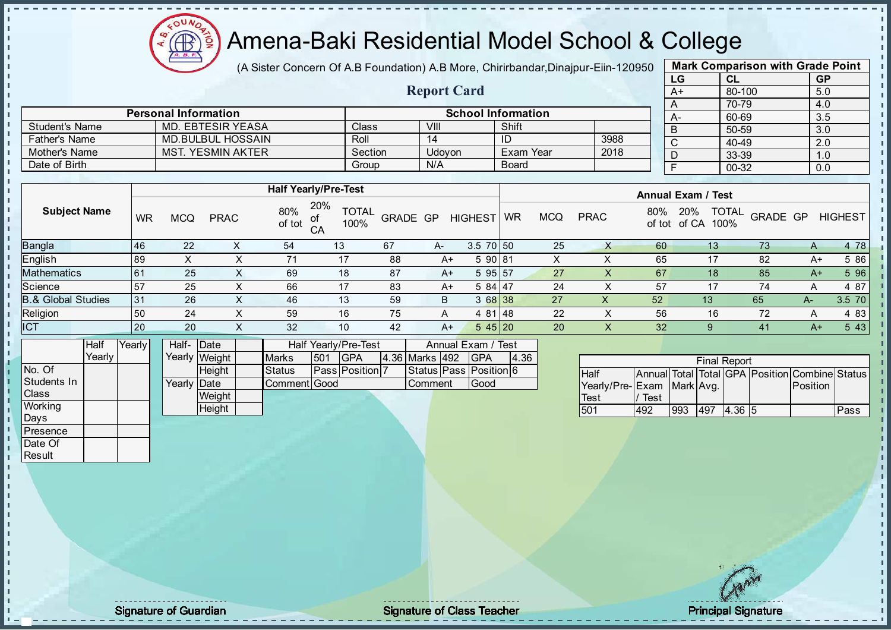

(A Sister Concern Of A.B Foundation) A.B More, Chirirbandar, Dinajpur-Eiin-120950

Report Card

| <b>Mark Comparison with Grade Point</b> |           |           |  |  |  |  |  |  |  |
|-----------------------------------------|-----------|-----------|--|--|--|--|--|--|--|
| LG                                      | <b>CL</b> | <b>GP</b> |  |  |  |  |  |  |  |
| $A+$                                    | 80-100    | 5.0       |  |  |  |  |  |  |  |
| A                                       | 70-79     | 4.0       |  |  |  |  |  |  |  |
| A-                                      | 60-69     | 3.5       |  |  |  |  |  |  |  |
| B                                       | 50-59     | 3.0       |  |  |  |  |  |  |  |
| $\overline{C}$                          | 40-49     | 2.0       |  |  |  |  |  |  |  |
| D                                       | 33-39     | 1.0       |  |  |  |  |  |  |  |
| F                                       | 00-32     | 0.0       |  |  |  |  |  |  |  |
|                                         |           |           |  |  |  |  |  |  |  |

|                      | <b>Personal Information</b> |                    |        | <b>School Information</b> |      |  |
|----------------------|-----------------------------|--------------------|--------|---------------------------|------|--|
| Student's Name       | MD. EBTESIR YEASA           | Class <sup>®</sup> | VIII   | Shift                     |      |  |
| <b>Father's Name</b> | <b>MD.BULBUL HOSSAIN</b>    | Roll               | 14     | ID                        | 3988 |  |
| Mother's Name        | <b>MST. YESMIN AKTER</b>    | Section            | Udovon | Exam Year                 | 2018 |  |
| Date of Birth        |                             | Group              | N/A    | <b>Board</b>              |      |  |

|                               |    |            |             |               | <b>Half Yearly/Pre-Test</b>       |          |      |                 |           |            |             |               | <b>Annual Exam / Test</b>            |                 |              |                |
|-------------------------------|----|------------|-------------|---------------|-----------------------------------|----------|------|-----------------|-----------|------------|-------------|---------------|--------------------------------------|-----------------|--------------|----------------|
| <b>Subject Name</b>           | WR | <b>MCQ</b> | <b>PRAC</b> | 80%<br>of tot | 20%<br><b>TOTAL</b><br>100%<br>CA | GRADE GP |      | <b>HIGHEST</b>  | <b>WR</b> | <b>MCQ</b> | <b>PRAC</b> | 80%<br>of tot | <b>TOTAL</b><br>20%<br>100%<br>of CA | <b>GRADE GP</b> |              | <b>HIGHEST</b> |
| <b>Bangla</b>                 | 46 | 22         | ⌒           | 54            | 13                                | 67       | A-   | $3.5 \ 70 \ 50$ |           | 25         |             | 60            | 13                                   | 73              | $\mathsf{A}$ | 4 78           |
| English                       | 89 | ∧          | $\lambda$   | 71            | 17                                | 88       | A+   | 590 81          |           | x          |             | 65            | 17                                   | 82              | A+           | 5 86           |
| <b>Mathematics</b>            | 61 | 25         | X.          | 69            | 18                                | -87      | $A+$ | 595 57          |           | 27         | X           | 67            | 18                                   | 85              | $A+$         | 5 96           |
| Science                       | 57 | 25         | х           | 66            | 17                                | 83       | A+   | 5 84 47         |           | 24         | X.          | 57            | 17                                   | 74              |              | 4 87           |
| <b>B.&amp; Global Studies</b> | 31 | 26         | ∧           | 46            | 13                                | 59       | B    | 3 68 38         |           | 27         | ∧           | 52            | 13                                   | 65              | A-           | 3.5 70         |
| Religion                      | 50 | 24         | v           | 59            | 16                                | 75       | A    | 4 81 48         |           | 22         | ∧           | 56            | 16                                   | 72              | A            | 4 8 3          |
| <b>ICT</b>                    | 20 | 20         | ∧           | 32            | 10                                | 42       | A+   | 545 20          |           | 20         | X           | 32            | 9                                    | 41              | $A+$         | 5 4 3          |
| .                             |    |            |             |               |                                   |          |      |                 |           |            |             |               |                                      |                 |              |                |

|                | Half     | Yearly | Half- Date  |               |              |     | Half Yearly/Pre-Test   |                | Annual Exam / Test           |      |
|----------------|----------|--------|-------------|---------------|--------------|-----|------------------------|----------------|------------------------------|------|
|                | Yearlv I |        |             | Yearly Weight | <b>Marks</b> | 501 | <b>IGPA</b>            | 4.36 Marks 492 | <b>IGPA</b>                  | 4.36 |
| No. Of         |          |        |             | <b>Height</b> | Status       |     | <b>Pass Position 7</b> |                | Status   Pass   Position   6 |      |
| Students In    |          |        | Yearly Date |               | Comment Good |     |                        | <b>Comment</b> | Good                         |      |
| <b>Class</b>   |          |        |             | Weight        |              |     |                        |                |                              |      |
| <b>Working</b> |          |        |             | Height        |              |     |                        |                |                              |      |
| Days           |          |        |             |               |              |     |                        |                |                              |      |

|                           |      |     | <b>Final Report</b> |               |                                                |      |
|---------------------------|------|-----|---------------------|---------------|------------------------------------------------|------|
| Half                      |      |     |                     |               | Annual Total Total GPA Position Combine Status |      |
| Yearly/Pre-Exam Mark Avg. |      |     |                     |               | Position                                       |      |
| Test                      | Test |     |                     |               |                                                |      |
| 501                       | 492  | 993 | 1497                | <b>4.36 5</b> |                                                | Pass |

**Presence** Date Of **Result** 

л T. J. h  $\mathbf{I}$  $\blacksquare$ 

Signature of Guardian **Signature Signature of Class Teacher** Principal Signature Principal Signature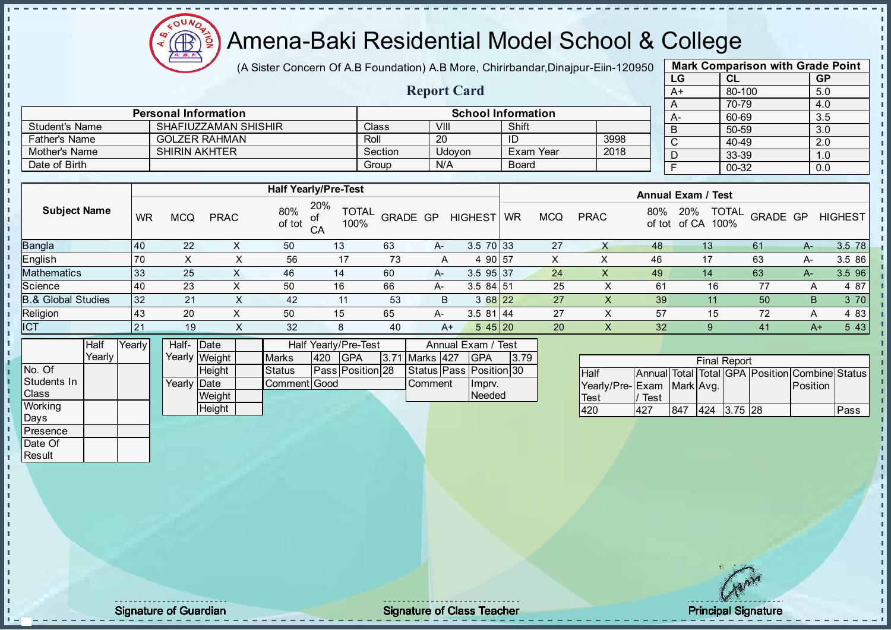$\Omega$ Æ

# Amena-Baki Residential Model School & College

(A Sister Concern Of A.B Foundation) A.B More, Chirirbandar, Dinajpur-Eiin-120950

Report Card

|                   | <b>Mark Comparison with Grade Point</b> |           |  |  |  |  |  |  |  |  |  |
|-------------------|-----------------------------------------|-----------|--|--|--|--|--|--|--|--|--|
| LG                | <b>CL</b>                               | <b>GP</b> |  |  |  |  |  |  |  |  |  |
| $A+$              | 80-100                                  | 5.0       |  |  |  |  |  |  |  |  |  |
| 70-79<br>4.0<br>A |                                         |           |  |  |  |  |  |  |  |  |  |
|                   | 60-69                                   | 3.5       |  |  |  |  |  |  |  |  |  |
| B                 | 50-59                                   | 3.0       |  |  |  |  |  |  |  |  |  |
| C                 | 40-49                                   | 2.0       |  |  |  |  |  |  |  |  |  |
|                   | 33-39                                   | 1.0       |  |  |  |  |  |  |  |  |  |
| 00-32<br>0.0      |                                         |           |  |  |  |  |  |  |  |  |  |
|                   |                                         |           |  |  |  |  |  |  |  |  |  |

|                       | <b>Personal Information</b> |         |        | <b>School Information</b> |      |
|-----------------------|-----------------------------|---------|--------|---------------------------|------|
| <b>Student's Name</b> | SHAFIUZZAMAN SHISHIR        | Class   | VIII   | Shift                     |      |
| <b>Father's Name</b>  | GOLZER RAHMAN               | Roll    | 20     |                           | 3998 |
| Mother's Name         | <b>SHIRIN AKHTER</b>        | Section | Udovon | Exam Year                 | 2018 |
| Date of Birth         |                             | Group   | N/A    | <b>Board</b>              |      |

|                               |           |            |             |               | <b>Half Yearly/Pre-Test</b>             |          |       |                |           |            |             |               | <b>Annual Exam / Test</b>            |          |      |                |
|-------------------------------|-----------|------------|-------------|---------------|-----------------------------------------|----------|-------|----------------|-----------|------------|-------------|---------------|--------------------------------------|----------|------|----------------|
| <b>Subject Name</b>           | WR        | <b>MCQ</b> | <b>PRAC</b> | 80%<br>of tot | 20%<br><b>TOTAL</b><br>of<br>CA<br>100% | GRADE GP |       | <b>HIGHEST</b> | <b>WR</b> | <b>MCQ</b> | <b>PRAC</b> | 80%<br>of tot | <b>TOTAL</b><br>20%<br>100%<br>of CA | GRADE GP |      | <b>HIGHEST</b> |
| <b>Bangla</b>                 | <b>40</b> | 22         |             | 50            | 13                                      | 63       | A-    | $3.5$ 70 33    |           | 27         |             | 48            | 13                                   | 61       | А-   | 3.5 78         |
| <b>English</b>                | 70        |            |             | 56            | 17                                      | 73       | A     | 4 90 57        |           |            |             | 46            |                                      | 63       | A-   | 3.5 86         |
| Mathematics                   | 33        | 25         | $\sim$      | 46            | 14                                      | 60       | A-    | $3.5$ 95 37    |           | 24         | х           | 49            | 14                                   | 63       | A-   | 3.5 96         |
| Science                       | 40        | 23         |             | 50            | 16                                      | 66       | $A -$ | $3.584$ 51     |           | 25         |             | 61            | 16                                   | 77       | A    | 4 87           |
| <b>B.&amp; Global Studies</b> | 32        | 21         |             | 42            | 11                                      | 53       | B.    | 3 68 22        |           | 27         |             | 39            |                                      | 50       | B    | 3 70           |
| Religion                      | 143       | 20         |             | 50            | 15                                      | 65       | A-    | 3.581 44       |           | 27         |             | 57            | 15                                   | 72       | A    | 4 83           |
| <b>ICT</b>                    | 21        | 19         | X           | 32            | 8                                       | 40       | $A+$  | 545 20         |           | 20         | X.          | 32            | 9                                    | 41       | $A+$ | 5 4 3          |
| $\sim$ $\sim$ $\sim$ $\sim$   |           |            |             |               |                                         |          |       |                |           |            |             |               |                                      |          |      |                |

|              | Half   | Yearly | Half- Date           |               |               |     | Half Yearly/Pre-Test | Annual Exam / Test |  |                         |      |
|--------------|--------|--------|----------------------|---------------|---------------|-----|----------------------|--------------------|--|-------------------------|------|
|              | Yearly |        |                      | Yearly Weight | <b>Marks</b>  | 420 | <b>IGPA</b>          | 3.71 Marks 427     |  | <b>IGPA</b>             | 3.79 |
| No. Of       |        |        |                      | <b>Height</b> | <b>Status</b> |     | Pass Position 28     |                    |  | Status Pass Position 30 |      |
| Students In  |        |        | Yearlv <b>I</b> Date |               | Comment Good  |     |                      | <b>I</b> Comment   |  | Imprv.                  |      |
| <b>Class</b> |        |        |                      | Weight        |               |     |                      |                    |  | Needed                  |      |
| Working      |        |        |                      | Height        |               |     |                      |                    |  |                         |      |

| <b>Final Report</b>       |      |     |  |             |  |                                                |      |  |  |  |  |  |
|---------------------------|------|-----|--|-------------|--|------------------------------------------------|------|--|--|--|--|--|
| Half                      |      |     |  |             |  | Annual Total Total GPA Position Combine Status |      |  |  |  |  |  |
| Yearly/Pre-Exam Mark Avg. |      |     |  |             |  | Position                                       |      |  |  |  |  |  |
| <b>Test</b>               | Test |     |  |             |  |                                                |      |  |  |  |  |  |
| 420                       | 427  | 847 |  | 424 3.75 28 |  |                                                | Pass |  |  |  |  |  |

Days **Presence** Date Of **Result** 

п h J. п  $\frac{1}{1}$  $\mathbf{I}$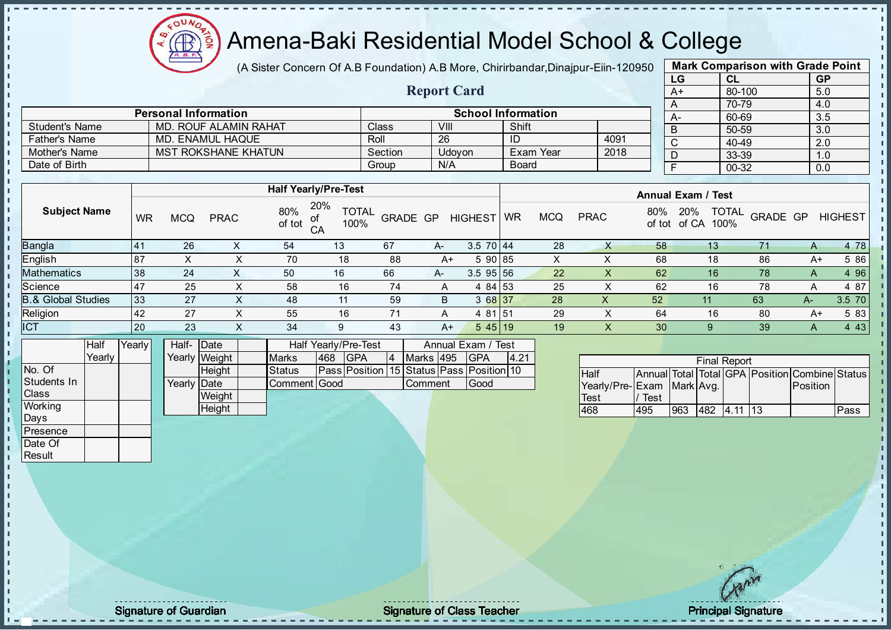

(A Sister Concern Of A.B Foundation) A.B More, Chirirbandar, Dinajpur-Eiin-120950

Report Card

| <b>Mark Comparison with Grade Point</b> |           |           |  |  |  |  |  |  |  |
|-----------------------------------------|-----------|-----------|--|--|--|--|--|--|--|
| LG                                      | <b>CL</b> | <b>GP</b> |  |  |  |  |  |  |  |
| $A+$                                    | 80-100    | 5.0       |  |  |  |  |  |  |  |
| 70-79<br>4.0<br>A                       |           |           |  |  |  |  |  |  |  |
| A-                                      | 60-69     | 3.5       |  |  |  |  |  |  |  |
| B                                       | 50-59     | 3.0       |  |  |  |  |  |  |  |
| C                                       | 40-49     | 2.0       |  |  |  |  |  |  |  |
| D                                       | 33-39     | 1.0       |  |  |  |  |  |  |  |
| F<br>00-32<br>0.0                       |           |           |  |  |  |  |  |  |  |
|                                         |           |           |  |  |  |  |  |  |  |

|                      | <b>Personal Information</b> |                    |        | <b>School Information</b> |      |
|----------------------|-----------------------------|--------------------|--------|---------------------------|------|
| Student's Name       | MD. ROUF ALAMIN RAHAT       | Class <sup>®</sup> | VIII   | Shift                     |      |
| <b>Father's Name</b> | MD. ENAMUL HAQUE            | Roll               | 26     |                           | 4091 |
| Mother's Name        | <b>MST ROKSHANE KHATUN</b>  | Section            | Udovon | Exam Year                 | 2018 |
| Date of Birth        |                             | Group              | N/A    | <b>Board</b>              |      |

|                               |                 |            |             |               | <b>Half Yearly/Pre-Test</b>          |          |    |                      |           |            |             |     | <b>Annual Exam / Test</b> |                      |          |                |
|-------------------------------|-----------------|------------|-------------|---------------|--------------------------------------|----------|----|----------------------|-----------|------------|-------------|-----|---------------------------|----------------------|----------|----------------|
| <b>Subject Name</b>           | <b>WR</b>       | <b>MCQ</b> | <b>PRAC</b> | 80%<br>of tot | 20%<br><b>TOTAL</b><br>100%<br>$C$ A | GRADE GP |    | <b>HIGHEST</b>       | <b>WR</b> | <b>MCQ</b> | <b>PRAC</b> | 80% | 20%<br>of tot of CA       | <b>TOTAL</b><br>100% | GRADE GP | <b>HIGHEST</b> |
| <b>Bangla</b>                 | 41              | 26         |             | 54            | 13                                   | 67       | A- | $3.5$ 70 $\sqrt{44}$ |           | 28         |             | 58  | 13.                       |                      | A        | 4 78           |
| English                       | 87              | $\sim$     | $\sim$      | 70            | 18                                   | 88       | A+ | 5 90 85              |           | X          |             | 68  | 18                        | 86                   | A+       | 5 86           |
| <b>Mathematics</b>            | 38              | 24         | X.          | 50            | 16                                   | 66       | A- | $3.5$ 95 56          |           | 22         | X.          | 62  | 16                        | 78                   | A        | 4 9 6          |
| Science                       | $\overline{47}$ | 25         | ㅅ           | 58            | 16                                   | 74       | A  | 4 84 53              |           | 25         | X           | 62  | 16                        | 78                   | A        | 4 87           |
| <b>B.&amp; Global Studies</b> | 33              | 27         | X           | 48            | 11                                   | 59       | B. | 3 68 37              |           | 28         | х           | 52  | 11                        | 63                   | A-       | 3.5 70         |
| Religion                      | 42              | 27         | ㅅ           | 55            | 16                                   | 71       | A  | 4 81 51              |           | 29         | X           | 64  | 16                        | 80                   | A+       | 5 83           |
| <b>ICT</b>                    | 20              | 23         | X           | 34            | 9                                    | 43       | A+ | 545 19               |           | 19         | X           | 30  | 9                         | 39                   | A        | 4 4 3          |
|                               |                 |            |             |               |                                      |          |    |                      |           |            |             |     |                           |                      |          |                |

|                | Half   | Yearly | Half- Date  |               |               | Half Yearly/Pre-Test |                                                | Annual Exam / Test |                |  |             |      |
|----------------|--------|--------|-------------|---------------|---------------|----------------------|------------------------------------------------|--------------------|----------------|--|-------------|------|
|                | Yearlv |        |             | Yearly Weight | <b>Marks</b>  | 468                  | <b>IGPA</b>                                    | 4                  | Marks 495      |  | <b>IGPA</b> | 4.21 |
| No. Of         |        |        |             | <b>Height</b> | <b>Status</b> |                      | Pass  Position  15  Status  Pass  Position  10 |                    |                |  |             |      |
| Students In    |        |        | Yearly Date |               | Comment Good  |                      |                                                |                    | <b>Comment</b> |  | lGood       |      |
| <b>Class</b>   |        |        |             | Weight        |               |                      |                                                |                    |                |  |             |      |
| <b>Working</b> |        |        |             | Height        |               |                      |                                                |                    |                |  |             |      |
| Days           |        |        |             |               |               |                      |                                                |                    |                |  |             |      |

| <b>Final Report</b>          |      |     |  |             |  |                                                |      |  |  |  |  |  |
|------------------------------|------|-----|--|-------------|--|------------------------------------------------|------|--|--|--|--|--|
| <b>Half</b>                  |      |     |  |             |  | Annual Total Total GPA Position Combine Status |      |  |  |  |  |  |
| Yearly/Pre- Exam   Mark Avg. |      |     |  |             |  | <b>IPosition</b>                               |      |  |  |  |  |  |
| Test                         | Test |     |  |             |  |                                                |      |  |  |  |  |  |
| 468                          | 495  | 963 |  | 482 4.11 13 |  |                                                | Pass |  |  |  |  |  |

**Presence** Date Of **Result** 

J. J. J. i,  $\blacksquare$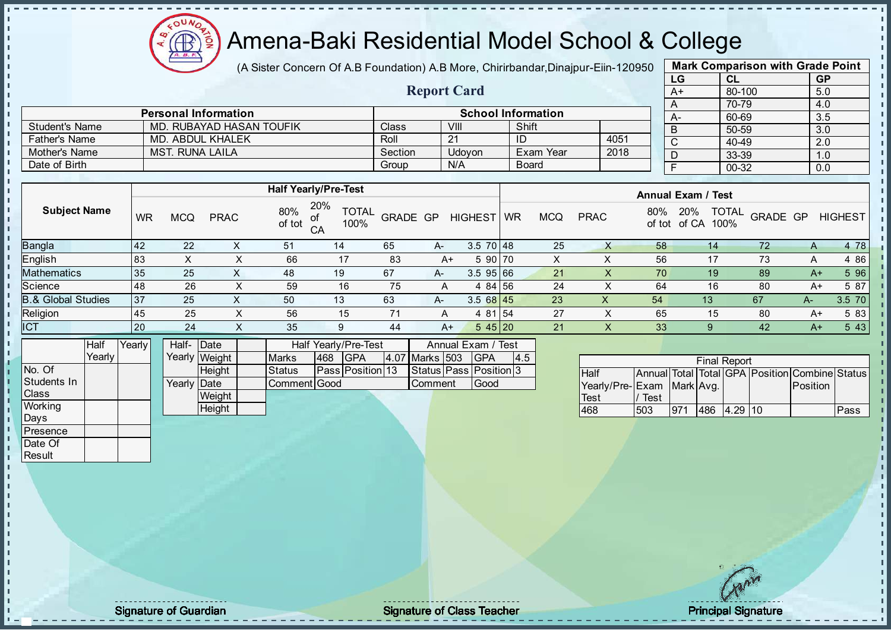**AR** 

# Amena-Baki Residential Model School & College

(A Sister Concern Of A.B Foundation) A.B More, Chirirbandar, Dinajpur-Eiin-120950

Report Card

| <b>Mark Comparison with Grade Point</b> |        |           |  |  |  |  |  |  |  |  |
|-----------------------------------------|--------|-----------|--|--|--|--|--|--|--|--|
| LG                                      | CL     | <b>GP</b> |  |  |  |  |  |  |  |  |
| $A+$                                    | 80-100 | 5.0       |  |  |  |  |  |  |  |  |
| A                                       | 70-79  | 4.0       |  |  |  |  |  |  |  |  |
| А-                                      | 60-69  | 3.5       |  |  |  |  |  |  |  |  |
| B                                       | 50-59  | 3.0       |  |  |  |  |  |  |  |  |
| C                                       | 40-49  | 2.0       |  |  |  |  |  |  |  |  |
| D                                       | 33-39  | 1.0       |  |  |  |  |  |  |  |  |
| F<br>00-32<br>0.0                       |        |           |  |  |  |  |  |  |  |  |
|                                         |        |           |  |  |  |  |  |  |  |  |

|                      | <b>Personal Information</b> |         |        | <b>School Information</b> |      |
|----------------------|-----------------------------|---------|--------|---------------------------|------|
| Student's Name       | MD. RUBAYAD HASAN TOUFIK    | Class   | VIII   | Shift                     |      |
| <b>Father's Name</b> | MD. ABDUL KHALEK            | Roll    | ີ      |                           | 4051 |
| Mother's Name        | MST. RUNA LAILA             | Section | Udovon | Exam Year                 | 2018 |
| Date of Birth        |                             | Group   | N/A    | <b>Board</b>              |      |

|                               |           |            |             | <b>Half Yearly/Pre-Test</b> |                             |          |      |                 |    |            |             |     | <b>Annual Exam / Test</b>                   |          |      |                |
|-------------------------------|-----------|------------|-------------|-----------------------------|-----------------------------|----------|------|-----------------|----|------------|-------------|-----|---------------------------------------------|----------|------|----------------|
| <b>Subject Name</b>           | <b>WR</b> | <b>MCQ</b> | <b>PRAC</b> | 80%<br>of<br>of tot<br>CA   | 20%<br><b>TOTAL</b><br>100% | GRADE GP |      | HIGHEST         | WR | <b>MCQ</b> | <b>PRAC</b> | 80% | <b>TOTAL</b><br>20%<br>100%<br>of tot of CA | GRADE GP |      | <b>HIGHEST</b> |
| Bangla                        | 42        | 22         |             | 51                          | 14                          | 65       | $A-$ | $3.5 \ 70 \ 48$ |    | 25         |             | 58  | 14                                          | 72       | A    | 4 78           |
| English                       | 83        | X          |             | 66                          | 17                          | 83       | A+   | 5 90 70         |    |            |             | 56  | 17                                          | 73       | A    | 4 8 6          |
| Mathematics                   | 35        | 25         |             | 48                          | 19                          | 67       | A-   | $3.5$ 95 66     |    | 21         |             | 70  | 19                                          | 89       | $A+$ | 5 96           |
| Science                       | 48        | 26         |             | 59                          | 16                          | 75       | A    | 4 84 56         |    | 24         |             | 64  | 16                                          | 80       | A+   | 5 87           |
| <b>B.&amp; Global Studies</b> | 37        | 25         |             | 50                          | 13                          | 63       | A-   | $3.568$ 45      |    | 23         | х           | 54  | 13                                          | 67       | $A-$ | $3.5$ 70       |
| Religion                      | 45        | 25         |             | 56                          | 15                          | 71       | A    | 4 81 54         |    | 27         |             | 65  | 15                                          | 80       | A+   | 5 83           |
| <b>ICT</b>                    | 20        | 24         | X           | 35                          | 9                           | 44       | $A+$ | $545$ 20        |    | 21         |             | 33  |                                             | 42       | $A+$ | 5 4 3          |
|                               |           |            |             |                             |                             |          |      |                 |    |            |             |     |                                             |          |      |                |

|              | Half   | Yearly | Half- Date           |               |              |      | Half Yearly/Pre-Test    |  | Annual Exam / Test |                              |     |
|--------------|--------|--------|----------------------|---------------|--------------|------|-------------------------|--|--------------------|------------------------------|-----|
|              | Yearly |        |                      | Yearly Weight | <b>Marks</b> | 1468 | <b>IGPA</b>             |  | 4.07 Marks   503   | <b>IGPA</b>                  | 4.5 |
| No. Of       |        |        |                      | <b>Height</b> | Status       |      | <b>Pass Position 13</b> |  |                    | Status   Pass   Position   3 |     |
| Students In  |        |        | Yearlv <b>I</b> Date |               | Comment Good |      |                         |  | Comment            | <b>Good</b>                  |     |
| <b>Class</b> |        |        |                      | Weight        |              |      |                         |  |                    |                              |     |
| Working      |        |        |                      | Height        |              |      |                         |  |                    |                              |     |
| Days         |        |        |                      |               |              |      |                         |  |                    |                              |     |

|                           |      |     |     | <b>Final Report</b> |                                                |      |
|---------------------------|------|-----|-----|---------------------|------------------------------------------------|------|
|                           |      |     |     |                     |                                                |      |
| <b>Half</b>               |      |     |     |                     | Annual Total Total GPA Position Combine Status |      |
| Yearly/Pre-Exam Mark Avg. |      |     |     |                     | Position                                       |      |
| Test                      | Test |     |     |                     |                                                |      |
| 468                       | 503  | 971 | 486 | 4.29                |                                                | Pass |

**Presence** Date Of **Result** 

×

л J. J. İ  $\mathbf{I}$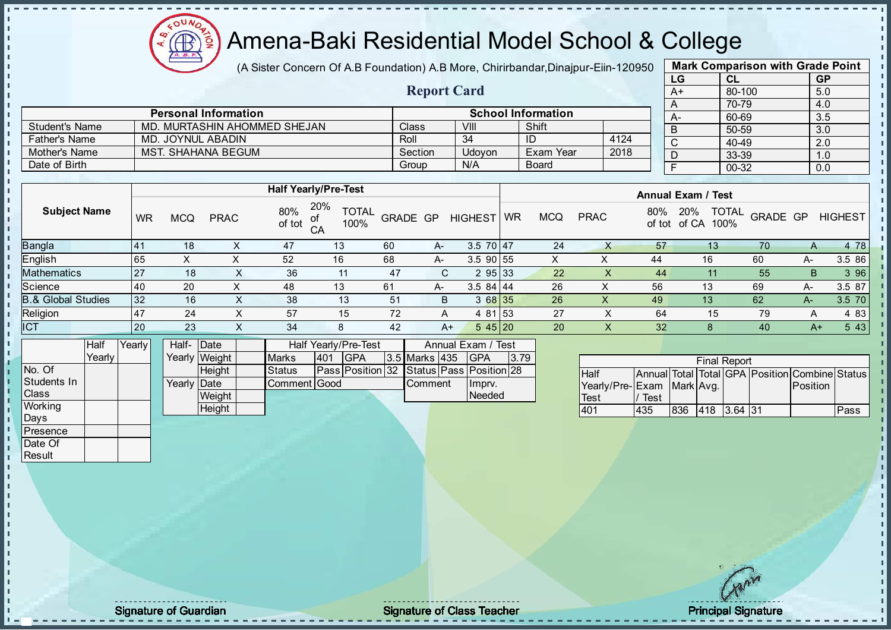Æ ğ

# Amena-Baki Residential Model School & College

(A Sister Concern Of A.B Foundation) A.B More, Chirirbandar, Dinajpur-Eiin-120950

Report Card

| <b>Mark Comparison with Grade Point</b> |        |           |  |  |  |  |  |  |  |  |  |
|-----------------------------------------|--------|-----------|--|--|--|--|--|--|--|--|--|
| LG                                      | CL     | <b>GP</b> |  |  |  |  |  |  |  |  |  |
| A+                                      | 80-100 | 5.0       |  |  |  |  |  |  |  |  |  |
| A                                       | 70-79  | 4.0       |  |  |  |  |  |  |  |  |  |
| А-                                      | 60-69  | 3.5       |  |  |  |  |  |  |  |  |  |
| B                                       | 50-59  | 3.0       |  |  |  |  |  |  |  |  |  |
| C                                       | 40-49  | 2.0       |  |  |  |  |  |  |  |  |  |
| D                                       | 33-39  | 1.0       |  |  |  |  |  |  |  |  |  |
| F<br>00-32<br>0.0                       |        |           |  |  |  |  |  |  |  |  |  |
|                                         |        |           |  |  |  |  |  |  |  |  |  |

|                      | <b>Personal Information</b>  |         |        | <b>School Information</b> |      |
|----------------------|------------------------------|---------|--------|---------------------------|------|
| Student's Name       | MD. MURTASHIN AHOMMED SHEJAN | Class   | VIII   | Shift                     |      |
| <b>Father's Name</b> | MD. JOYNUL ABADIN            | Roll    | 34     | ID                        | 4124 |
| Mother's Name        | <b>MST. SHAHANA BEGUM</b>    | Section | Udovon | Exam Year                 | 2018 |
| Date of Birth        |                              | Group   | N/A    | Board                     |      |

|                               |           |            |             |                      | <b>Half Yearly/Pre-Test</b>                                                                                           |                 |      |                |               |            |             |               | <b>Annual Exam / Test</b>            |          |      |                |
|-------------------------------|-----------|------------|-------------|----------------------|-----------------------------------------------------------------------------------------------------------------------|-----------------|------|----------------|---------------|------------|-------------|---------------|--------------------------------------|----------|------|----------------|
| <b>Subject Name</b>           | <b>WR</b> | <b>MCQ</b> | <b>PRAC</b> | 80%<br>.of<br>of tot | 20%<br><b>TOTAL</b><br>100%<br>CA                                                                                     | <b>GRADE GP</b> |      | <b>HIGHEST</b> | <b>WR</b>     | <b>MCQ</b> | <b>PRAC</b> | 80%<br>of tot | <b>TOTAL</b><br>20%<br>100%<br>of CA | GRADE GP |      | <b>HIGHEST</b> |
| Bangla                        | 41        | 18         |             | 47                   | 13                                                                                                                    | 60              | A-   | $3.5$ 70 47    |               | 24         |             | 57            | 13                                   | 70       | A    | 4 78           |
| English                       | 65        | х          |             | 52                   | 16                                                                                                                    | 68              | A-   | $3.5$ 90 55    |               |            |             | 44            | 16                                   | 60       | A-   | 3.5 86         |
| Mathematics                   | 27        | 18         | ∧           | 36                   | 11                                                                                                                    | 47              | C.   | 2 95 33        |               | 22         | X           | 44            |                                      | 55       | B    | 3 96           |
| Science                       | 40        | 20         | X.          | 48                   | 13                                                                                                                    | 61              | A-   | $3.584$   44   |               | 26         | X           | 56            | 13                                   | 69       | A-   | 3.5 87         |
| <b>3.&amp; Global Studies</b> | 32        | 16         | X           | 38                   | 13                                                                                                                    | 51              | B    | 3 68 35        |               | 26         | X           | 49            | 13                                   | 62       | A-7  | $3.5$ 70       |
| Religion                      | 47        | 24         | X.          | 57                   | 15                                                                                                                    | 72              | A    | 4 81 53        |               | 27         | ∧           | 64            | 15                                   | 79       | A    | 4 8 3          |
| <b>ICT</b>                    | 20        | 23         | X.          | 34                   | 8                                                                                                                     | 42              | $A+$ | 545 20         |               | 20         | ∧           | 32            | 8                                    | 40       | $A+$ | 5 4 3          |
| $\mathbf{1}$<br>.             |           |            |             |                      | $\mathbf{r}$ , $\mathbf{r}$ , $\mathbf{r}$ , $\mathbf{r}$ , $\mathbf{r}$ , $\mathbf{r}$ , $\mathbf{r}$ , $\mathbf{r}$ |                 |      | $\sim$         | $\sim$ $\sim$ |            |             |               |                                      |          |      |                |

|              | Half   | Yearly | Half- Date  |               |              |     | Half Yearly/Pre-Test                     |               | Annual Exam / Test |      |
|--------------|--------|--------|-------------|---------------|--------------|-----|------------------------------------------|---------------|--------------------|------|
|              | Yearly |        |             | Yearly Weight | <b>Marks</b> | 401 | <b>IGPA</b>                              | 3.5 Marks 435 | <b>IGPA</b>        | 3.79 |
| No. Of       |        |        |             | <b>Height</b> | Status       |     | Pass Position 32 Status Pass Position 28 |               |                    |      |
| Students In  |        |        | Yearly Date |               | Comment Good |     |                                          | Comment       | Ilmpry.            |      |
| <b>Class</b> |        |        |             | Weight        |              |     |                                          |               | Needed             |      |
| Working      |        |        |             | Height        |              |     |                                          |               |                    |      |

|                           |      |     | <b>Final Report</b> |  |                                                |      |
|---------------------------|------|-----|---------------------|--|------------------------------------------------|------|
| <b>I</b> Half             |      |     |                     |  | Annual Total Total GPA Position Combine Status |      |
| Yearly/Pre-Exam Mark Avg. |      |     |                     |  | Position                                       |      |
| <b>Test</b>               | Test |     |                     |  |                                                |      |
| 401                       | 435  | 836 | 418 3.64 31         |  |                                                | Pass |

Days **Presence** Date Of **Result** 

п h J. n  $\begin{bmatrix} 1 \\ 1 \\ 1 \end{bmatrix}$  $\mathbf{I}$ 

 $\blacksquare$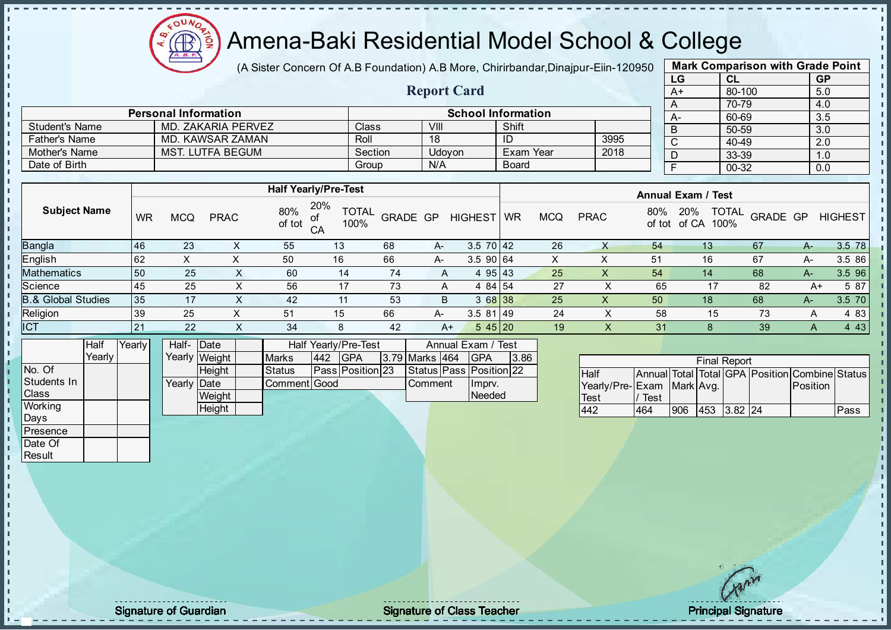

(A Sister Concern Of A.B Foundation) A.B More, Chirirbandar, Dinajpur-Eiin-120950

Report Card

| <b>Mark Comparison with Grade Point</b> |           |     |  |  |  |  |  |  |  |  |  |  |
|-----------------------------------------|-----------|-----|--|--|--|--|--|--|--|--|--|--|
| LG<br><b>GP</b><br>CL                   |           |     |  |  |  |  |  |  |  |  |  |  |
| $A+$                                    | 80-100    | 5.0 |  |  |  |  |  |  |  |  |  |  |
| A                                       | 70-79     | 4.0 |  |  |  |  |  |  |  |  |  |  |
| А-                                      | 60-69     | 3.5 |  |  |  |  |  |  |  |  |  |  |
| B                                       | 50-59     | 3.0 |  |  |  |  |  |  |  |  |  |  |
| C                                       | $40 - 49$ | 2.0 |  |  |  |  |  |  |  |  |  |  |
| D                                       | 33-39     | 1.0 |  |  |  |  |  |  |  |  |  |  |
| F<br>$00 - 32$<br>0.0                   |           |     |  |  |  |  |  |  |  |  |  |  |
|                                         |           |     |  |  |  |  |  |  |  |  |  |  |

|                      | <b>Personal Information</b> |         |        | <b>School Information</b> |      |  |
|----------------------|-----------------------------|---------|--------|---------------------------|------|--|
| Student's Name       | MD. ZAKARIA PERVEZ          | Class   | VIII   | Shift                     |      |  |
| <b>Father's Name</b> | MD, KAWSAR ZAMAN            | Roll    | 18     | ID                        | 3995 |  |
| Mother's Name        | MST. LUTFA BEGUM            | Section | Udovon | Exam Year                 | 2018 |  |
| Date of Birth        |                             | Group   | N/A    | Board                     |      |  |

|                               |           |            |             |               | <b>Half Yearly/Pre-Test</b>             |                 |      |                 |           |            |             |               | <b>Annual Exam / Test</b>            |          |    |                |
|-------------------------------|-----------|------------|-------------|---------------|-----------------------------------------|-----------------|------|-----------------|-----------|------------|-------------|---------------|--------------------------------------|----------|----|----------------|
| <b>Subject Name</b>           | <b>WR</b> | <b>MCQ</b> | <b>PRAC</b> | 80%<br>of tot | 20%<br><b>TOTAL</b><br>of<br>CA<br>100% | <b>GRADE GP</b> |      | <b>HIGHEST</b>  | <b>WR</b> | <b>MCQ</b> | <b>PRAC</b> | 80%<br>of tot | <b>TOTAL</b><br>20%<br>100%<br>of CA | GRADE GP |    | <b>HIGHEST</b> |
| <b>Bangla</b>                 | 46        | 23         | ∧           | 55            | 13                                      | 68              | $A-$ | $3.5 \ 70 \ 42$ |           | 26         | Х           | 54            | 13                                   | 67       | A- | 3.5 78         |
| English                       | 62        | X          |             | 50            | 16                                      | 66              | A-   | 3.5 90 64       |           | X          | ∧           | 51            | 16                                   | 67       | A- | 3.5 86         |
| Mathematics                   | 50        | 25         |             | 60            | 14                                      | 74              | A    | 4 95 43         |           | 25         | х           | 54            | 14                                   | 68       | A- | 3.5 96         |
| Science                       | 45        | 25         | ⌒           | 56            | 17                                      | 73              | A    | 4 84 54         |           | 27         |             | 65            | 17                                   | 82       | A+ | 5 87           |
| <b>B.&amp; Global Studies</b> | 35        | 17         |             | 42            | 11                                      | 53              | B    | 3 68 38         |           | 25         | Χ           | 50            | 18                                   | 68       | A- | 3.5 70         |
| Religion                      | 39        | 25         |             | 51            | 15                                      | 66              | A-   | $3.581$   49    |           | 24         |             | 58            | 15                                   | 73       | A  | 4 8 3          |
| <b>ICT</b>                    | 21        | 22         |             | 34            | 8                                       | 42              | A+   | 545 20          |           | 19         |             | 31            |                                      | 39       | A  | 4 4 3          |
|                               |           |            |             |               |                                         |                 |      |                 |           |            |             |               |                                      |          |    |                |

|              | Half   | Yearly | Half- Date  |               |               |     | Half Yearly/Pre-Test    |                | Annual Exam / Test      |      |
|--------------|--------|--------|-------------|---------------|---------------|-----|-------------------------|----------------|-------------------------|------|
|              | Yearly |        |             | Yearly Weight | <b>Marks</b>  | 442 | <b>IGPA</b>             | 3.79 Marks 464 | <b>IGPA</b>             | 3.86 |
| INo. Of      |        |        |             | <b>Height</b> | <b>Status</b> |     | <b>Pass Position 23</b> |                | Status Pass Position 22 |      |
| Students In  |        |        | Yearly Date |               | Comment Good  |     |                         | <b>Comment</b> | Ilmprv.                 |      |
| <b>Class</b> |        |        |             | Weight        |               |     |                         |                | Needed                  |      |
| Working      |        |        |             | Height        |               |     |                         |                |                         |      |

| <b>Final Report</b>       |      |     |                 |  |  |                                                |      |  |  |  |
|---------------------------|------|-----|-----------------|--|--|------------------------------------------------|------|--|--|--|
| <b>Half</b>               |      |     |                 |  |  | Annual Total Total GPA Position Combine Status |      |  |  |  |
| Yearly/Pre-Exam Mark Avg. |      |     |                 |  |  | Position                                       |      |  |  |  |
| <b>Test</b>               | Test |     |                 |  |  |                                                |      |  |  |  |
| 442                       | 464  | 906 | $ 453 $ 3.82 24 |  |  |                                                | Pass |  |  |  |

Days Presence Date Of **Result** 

п h J. n  $\frac{1}{1}$  $\mathbf{I}$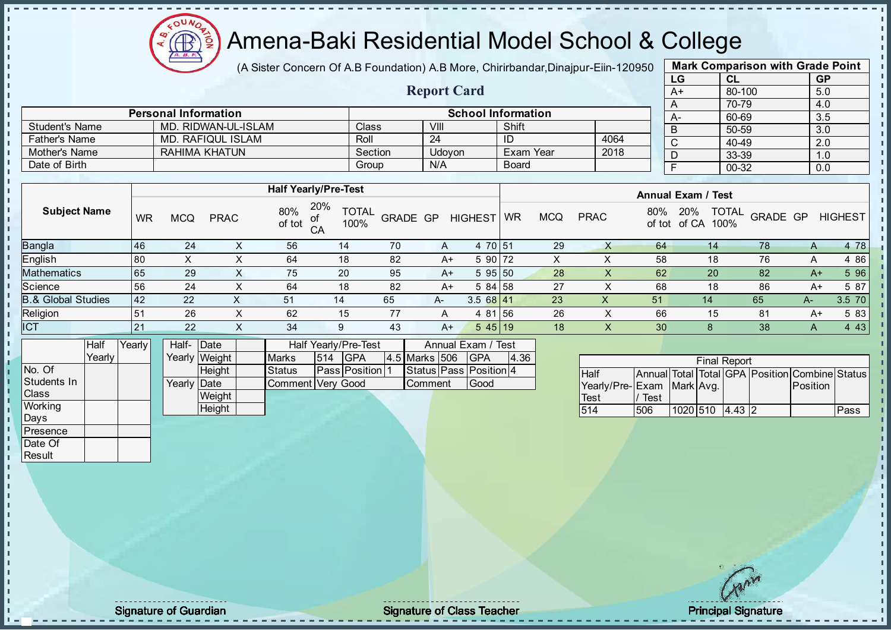

(A Sister Concern Of A.B Foundation) A.B More, Chirirbandar, Dinajpur-Eiin-120950

Report Card

| <b>Mark Comparison with Grade Point</b> |           |           |  |  |  |  |  |  |  |
|-----------------------------------------|-----------|-----------|--|--|--|--|--|--|--|
| LG                                      | CL        | <b>GP</b> |  |  |  |  |  |  |  |
| A+                                      | 80-100    | 5.0       |  |  |  |  |  |  |  |
| A                                       | 70-79     | 4.0       |  |  |  |  |  |  |  |
| A-                                      | 60-69     | 3.5       |  |  |  |  |  |  |  |
| B                                       | 50-59     | 3.0       |  |  |  |  |  |  |  |
| $\mathsf{C}$                            | $40 - 49$ | 2.0       |  |  |  |  |  |  |  |
| D                                       | 33-39     | 1.0       |  |  |  |  |  |  |  |
| F                                       | $00 - 32$ | 0.0       |  |  |  |  |  |  |  |
|                                         |           |           |  |  |  |  |  |  |  |

|                       | <b>Personal Information</b> |         | <b>School Information</b> |              |      |  |            |  |  |
|-----------------------|-----------------------------|---------|---------------------------|--------------|------|--|------------|--|--|
| <b>Student's Name</b> | MD. RIDWAN-UL-ISLAM         | Class   | VIII                      | Shift        |      |  | $A -$<br>B |  |  |
| Father's Name         | MD. RAFIQUL ISLAM           | Roll    | 24                        |              | 4064 |  | C          |  |  |
| Mother's Name         | RAHIMA KHATUN               | Section | Udovon                    | Exam Year    | 2018 |  |            |  |  |
| Date of Birth         |                             | Group   | N/A                       | <b>Board</b> |      |  |            |  |  |

|                               |           | <b>Half Yearly/Pre-Test</b> |             |               |                   |                          |    |                |           |            | <b>Annual Exam / Test</b> |               |                                      |          |      |                |
|-------------------------------|-----------|-----------------------------|-------------|---------------|-------------------|--------------------------|----|----------------|-----------|------------|---------------------------|---------------|--------------------------------------|----------|------|----------------|
| <b>Subject Name</b>           | WR        | <b>MCQ</b>                  | <b>PRAC</b> | 80%<br>of tot | 20%<br>100%<br>CA | <b>TOTAL</b><br>GRADE GP |    | <b>HIGHEST</b> | <b>WR</b> | <b>MCQ</b> | <b>PRAC</b>               | 80%<br>of tot | <b>TOTAL</b><br>20%<br>of CA<br>100% | GRADE GP |      | <b>HIGHEST</b> |
| Bangla                        | 46        | 24                          | $\sim$      | 56            | 14                | 70                       | A  | 4 70 51        |           | 29         |                           | 64            | 14.                                  | 78       | A    | 4 78           |
| English                       | 80        |                             | $\sim$      | 64            | 18                | 82                       | A+ | 5 90           | 172       | X          |                           | 58            | 18                                   | 76       | Α    | 4 8 6          |
| <b>Mathematics</b>            | 65        | 29                          | X.          | 75            | 20                | 95                       | A+ | 595 50         |           | 28         | $\lambda$                 | 62            | 20                                   | 82       | $A+$ | 5 96           |
| Science                       | 56        | 24                          | $\sim$      | 64            | 18                | 82                       | A+ | $584$ 58       |           | 27         |                           | 68            | 18                                   | 86       | A+   | 5 87           |
| <b>B.&amp; Global Studies</b> | <b>42</b> | 22                          | X           | 51            | 14                | 65                       | A- | 3.568141       |           | 23         | X                         | 51            | 14                                   | 65       | $A-$ | 3.5 70         |
| Religion                      | 51        | 26                          | X           | 62            | 15                | 77                       | A  | 4 81 56        |           | 26         |                           | 66            | 15                                   | 81       | A+   | 5 83           |
| <b>ICT</b>                    | 21        | 22                          | X.          | 34            | 9                 | 43                       | A+ | $545$ 19       |           | 18         | X.                        | 30            |                                      | 38       | A    | 4 4 3          |

|                | Half     | Yearly | Half- Date  |               | Half Yearly/Pre-Test | Annual Exam / Test |               |                |  |                        |      |
|----------------|----------|--------|-------------|---------------|----------------------|--------------------|---------------|----------------|--|------------------------|------|
|                | Yearlv l |        |             | Yearly Weight | <b>Marks</b>         | 514                | IGPA          | 4.5 Marks 506  |  | <b>IGPA</b>            | 4.36 |
| No. Of         |          |        |             | <b>Height</b> | <b>Status</b>        |                    | Pass Position |                |  | Status Pass Position 4 |      |
| Students In    |          |        | Yearly Date |               | Comment Very Good    |                    |               | <b>Comment</b> |  | Good                   |      |
| <b>I</b> Class |          |        |             | Weight        |                      |                    |               |                |  |                        |      |
| Working        |          |        |             | Height        |                      |                    |               |                |  |                        |      |
| Days           |          |        |             |               |                      |                    |               |                |  |                        |      |

|                           | <b>Final Report</b> |                   |  |  |  |                                                |      |  |  |  |  |
|---------------------------|---------------------|-------------------|--|--|--|------------------------------------------------|------|--|--|--|--|
| Half                      |                     |                   |  |  |  | Annual Total Total GPA Position Combine Status |      |  |  |  |  |
| Yearly/Pre-Exam Mark Avg. |                     |                   |  |  |  | <b>Position</b>                                |      |  |  |  |  |
| <b>Test</b>               | Test                |                   |  |  |  |                                                |      |  |  |  |  |
| 514                       | 506                 | $1020$ 510 4.43 2 |  |  |  |                                                | Pass |  |  |  |  |

**Presence** Date Of **Result** 

л J. J.  $\overline{1}$  $\mathbf{r}$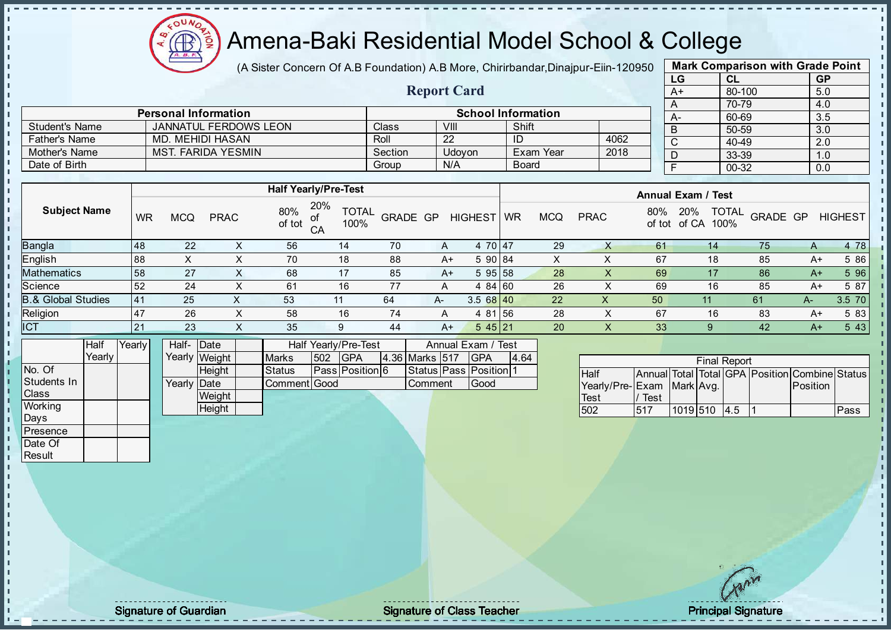

(A Sister Concern Of A.B Foundation) A.B More, Chirirbandar, Dinajpur-Eiin-120950

Report Card

| <b>Mark Comparison with Grade Point</b> |        |           |  |  |  |  |  |  |  |
|-----------------------------------------|--------|-----------|--|--|--|--|--|--|--|
| LG                                      | CL     | <b>GP</b> |  |  |  |  |  |  |  |
| $A+$                                    | 80-100 | 5.0       |  |  |  |  |  |  |  |
| A                                       | 70-79  | 4.0       |  |  |  |  |  |  |  |
| A-                                      | 60-69  | 3.5       |  |  |  |  |  |  |  |
| B                                       | 50-59  | 3.0       |  |  |  |  |  |  |  |
| C                                       | 40-49  | 2.0       |  |  |  |  |  |  |  |
| D                                       | 33-39  | 1.0       |  |  |  |  |  |  |  |
| F                                       | 00-32  | 0.0       |  |  |  |  |  |  |  |
|                                         |        |           |  |  |  |  |  |  |  |

|                | <b>Personal Information</b> |         | <b>School Information</b> |              |      |  |  |  |
|----------------|-----------------------------|---------|---------------------------|--------------|------|--|--|--|
| Student's Name | JANNATUL FERDOWS LEON       | Class   | VIII                      | Shift        |      |  |  |  |
| Father's Name  | MD. MEHIDI HASAN            | Roll    | 22                        | ID           | 4062 |  |  |  |
| Mother's Name  | MST. FARIDA YESMIN          | Section | Udovon                    | Exam Year    | 2018 |  |  |  |
| Date of Birth  |                             | Group   | N/A                       | <b>Board</b> |      |  |  |  |

|                               |           | <b>Half Yearly/Pre-Test</b> |             |               |           |                      |          |                |           |            | <b>Annual Exam / Test</b> |               |                      |                          |      |                |
|-------------------------------|-----------|-----------------------------|-------------|---------------|-----------|----------------------|----------|----------------|-----------|------------|---------------------------|---------------|----------------------|--------------------------|------|----------------|
| <b>Subject Name</b>           | <b>WR</b> | <b>MCQ</b>                  | <b>PRAC</b> | 80%<br>of tot | 20%<br>CA | <b>TOTAL</b><br>100% | GRADE GP | <b>HIGHEST</b> | <b>WR</b> | <b>MCQ</b> | <b>PRAC</b>               | 80%<br>of tot | 20%<br>of CA<br>100% | <b>TOTAL</b><br>GRADE GP |      | <b>HIGHEST</b> |
| Bangla                        | 48        | 22                          | X           | 56            | 14        | 70                   | A        | 4 70 47        |           | 29         | Χ                         | 61            | 14                   | 75                       | A    | 4 78           |
| English                       | 88        | $\sim$                      | X           | 70            | 18        | 88                   | A+       | 5 90 84        |           | X          |                           | 67            | 18                   | 85                       | A+   | 5 86           |
| <b>Mathematics</b>            | 58        | 27                          | X           | 68            | 17        | 85                   | A+       | 595 58         |           | 28         | X                         | 69            |                      | 86                       | $A+$ | 5 96           |
| Science                       | 52        | 24                          | X           | 61            | 16        | 77                   | A        | 4 84 60        |           | 26         | X                         | 69            | 16                   | 85                       | A+   | 5 87           |
| <b>B.&amp; Global Studies</b> | 41        | 25                          |             | 53            | 11        | 64                   | $A-$     | 3.568140       |           | 22         | Χ                         | 50            | 11                   | 61                       | $A-$ | 3.5 70         |
| Religion                      | 47        | 26                          | X           | 58            | 16        | 74                   | A        | 4 81 56        |           | 28         | X                         | 67            | 16                   | 83                       | $A+$ | 5 83           |
| <b>ICT</b>                    | 21        | 23                          | $\sim$      | 35            | 9         | 44                   | A+       | 545 21         |           | 20         | X                         | 33            | 9                    | 42                       | $A+$ | 5 4 3          |
|                               |           |                             |             |               |           |                      |          |                |           |            |                           |               |                      |                          |      |                |

|              | Half   | Yearly | Half- Date  |               | Half Yearly/Pre-Test |     |                 |  | Annual Exam / Test |  |                              |      |
|--------------|--------|--------|-------------|---------------|----------------------|-----|-----------------|--|--------------------|--|------------------------------|------|
|              | Yearlv |        |             | Yearly Weight | <b>Marks</b>         | 502 | <b>IGPA</b>     |  | 4.36 Marks 517     |  | <b>IGPA</b>                  | 4.64 |
| No. Of       |        |        |             | Height        | <b>Status</b>        |     | Pass Position 6 |  |                    |  | Status   Pass   Position   1 |      |
| Students In  |        |        | Yearly Date |               | Comment Good         |     |                 |  | lComment           |  | <b>Good</b>                  |      |
| <b>Class</b> |        |        |             | Weight        |                      |     |                 |  |                    |  |                              |      |
| Working      |        |        |             | Height        |                      |     |                 |  |                    |  |                              |      |
| Days         |        |        |             |               |                      |     |                 |  |                    |  |                              |      |

| <b>Final Report</b>       |      |              |  |  |  |                                                |      |  |  |  |
|---------------------------|------|--------------|--|--|--|------------------------------------------------|------|--|--|--|
| Half                      |      |              |  |  |  | Annual Total Total GPA Position Combine Status |      |  |  |  |
| Yearly/Pre-Exam Mark Avg. |      |              |  |  |  | <b>Position</b>                                |      |  |  |  |
| Test                      | Test |              |  |  |  |                                                |      |  |  |  |
| 502                       | 517  | 1019 510 4.5 |  |  |  |                                                | Pass |  |  |  |

**Presence** Date Of **Result** 

J. J. J. İ  $\blacksquare$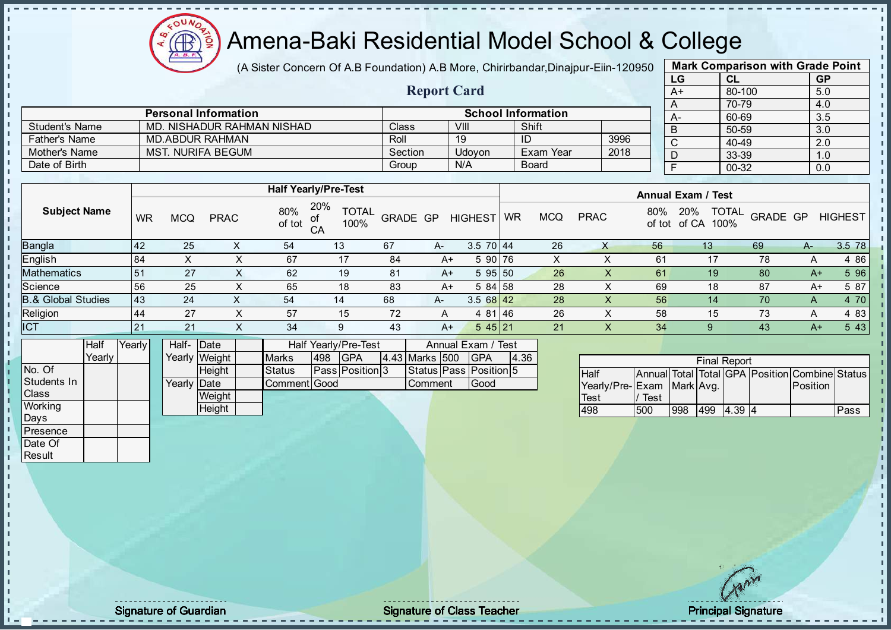Æ

# Amena-Baki Residential Model School & College

(A Sister Concern Of A.B Foundation) A.B More, Chirirbandar, Dinajpur-Eiin-120950

| <b>Mark Comparison with Grade Point</b> |           |           |  |  |  |  |  |  |  |
|-----------------------------------------|-----------|-----------|--|--|--|--|--|--|--|
| LG                                      | CL        | <b>GP</b> |  |  |  |  |  |  |  |
| $A+$                                    | 80-100    | 5.0       |  |  |  |  |  |  |  |
| A                                       | 70-79     | 4.0       |  |  |  |  |  |  |  |
| А-                                      | 60-69     | 3.5       |  |  |  |  |  |  |  |
| B                                       | 50-59     | 3.0       |  |  |  |  |  |  |  |
| $\mathsf{C}$                            | $40 - 49$ | 2.0       |  |  |  |  |  |  |  |
| D                                       | 33-39     | 1.0       |  |  |  |  |  |  |  |
| F                                       | 00-32     | 0.0       |  |  |  |  |  |  |  |
|                                         |           |           |  |  |  |  |  |  |  |

|                       |                             |         | <b>Report Card</b> |                           |      |
|-----------------------|-----------------------------|---------|--------------------|---------------------------|------|
|                       | <b>Personal Information</b> |         |                    | <b>School Information</b> |      |
| <b>Student's Name</b> | MD. NISHADUR RAHMAN NISHAD  | Class   | VIII               | Shift                     |      |
| <b>Father's Name</b>  | <b>MD.ABDUR RAHMAN</b>      | Roll    | 19                 | ID                        | 3996 |
| Mother's Name         | MST. NURIFA BEGUM           | Section | Udovon             | Exam Year                 | 2018 |
| Date of Birth         |                             | Group   | N/A                | Board                     |      |

|                               |            |            |                          |               | <b>Half Yearly/Pre-Test</b>       |          |      |                 | <b>Annual Exam / Test</b> |            |             |               |                                      |          |      |                |
|-------------------------------|------------|------------|--------------------------|---------------|-----------------------------------|----------|------|-----------------|---------------------------|------------|-------------|---------------|--------------------------------------|----------|------|----------------|
| <b>Subject Name</b>           | <b>WR</b>  | <b>MCQ</b> | <b>PRAC</b>              | 80%<br>of tot | 20%<br><b>TOTAL</b><br>100%<br>CA | GRADE GP |      | <b>HIGHEST</b>  | WR                        | <b>MCQ</b> | <b>PRAC</b> | 80%<br>of tot | <b>TOTAL</b><br>20%<br>of CA<br>100% | GRADE GP |      | <b>HIGHEST</b> |
| Bangla                        | <b>142</b> | 25         |                          | 54            | 13                                | 67       | A-   | $3.5 \ 70 \ 44$ |                           | 26         | X           | 56            | 13                                   | 69       | A-   | 3.5 78         |
| English                       | 84         | Χ          | X                        | 67            | 17                                | 84       | $A+$ | 5 90 76         |                           | x          |             | 61            | 17                                   | 78       | А    | 4 8 6          |
| Mathematics                   | 151        | 27         |                          | 62            | 19                                | 81       | $A+$ | 595 50          |                           | 26         |             | 61            | 19                                   | 80       | $A+$ | 5 96           |
| Science                       | 56         | 25         | $\sim$                   | 65            | 18                                | 83       | $A+$ | 5 84 58         |                           | 28         |             | 69            | 18                                   | 87       | A+   | 5 87           |
| <b>8.&amp; Global Studies</b> | 143        | 24         |                          | 54            | 14                                | 68       | A-   | $3.568$   42    |                           | 28         |             | 56            | 14                                   | 70       | A    | 4 70           |
| Religion                      | 44         | 27         | v<br>⌒                   | 57            | 15                                | 72       | A    | 4 81 46         |                           | 26         |             | 58            | 15                                   | 73       | A    | 4 8 3          |
| <b>ICT</b>                    | 21         | 21         | $\check{ }$<br>$\Lambda$ | 34            | 9                                 | 43       | $A+$ | 545 21          |                           | 21         |             | 34            |                                      | 43       | $A+$ | 5 4 3          |
|                               |            |            |                          |               |                                   |          |      |                 |                           |            |             |               |                                      |          |      |                |

|              | Half     | Yearly | Half-Date   |               |              |     | Half Yearly/Pre-Test   |  |                | Annual Exam / Test     |      |  |
|--------------|----------|--------|-------------|---------------|--------------|-----|------------------------|--|----------------|------------------------|------|--|
|              | Yearlv I |        |             | Yearly Weight | <b>Marks</b> | 498 | <b>IGPA</b>            |  | 4.43 Marks 500 | <b>IGPA</b>            | 4.36 |  |
| No. Of       |          |        |             | <b>Height</b> | Status       |     | <b>Pass Position 3</b> |  |                | Status Pass Position 5 |      |  |
| Students In  |          |        | Yearly Date |               | Comment Good |     |                        |  | <b>Comment</b> | lGood                  |      |  |
| <b>Class</b> |          |        |             | Weight        |              |     |                        |  |                |                        |      |  |
| Working      |          |        |             | Height        |              |     |                        |  |                |                        |      |  |
| Days         |          |        |             |               |              |     |                        |  |                |                        |      |  |

|                           |      |     | <b>Final Report</b> |      |                                                |      |
|---------------------------|------|-----|---------------------|------|------------------------------------------------|------|
| <b>Half</b>               |      |     |                     |      | Annual Total Total GPA Position Combine Status |      |
| Yearly/Pre-Exam Mark Avg. |      |     |                     |      | <b>Position</b>                                |      |
| Test                      | Test |     |                     |      |                                                |      |
| 498                       | 500  | 998 | 499                 | 4.39 |                                                | Pass |

**Presence** Date Of **Result** 

J. T. J. h  $\mathbf{r}$  $\mathbf{I}$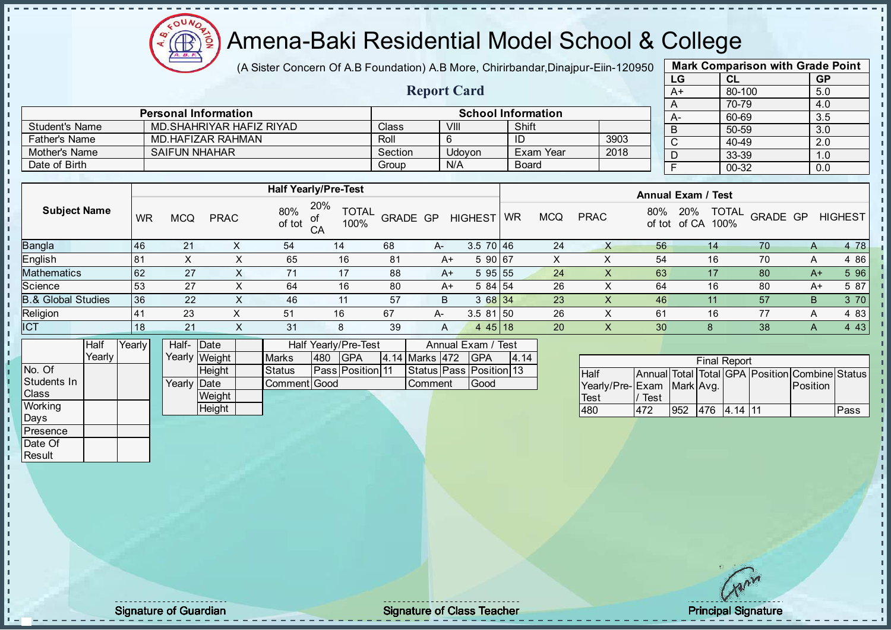Æ

# Amena-Baki Residential Model School & College

(A Sister Concern Of A.B Foundation) A.B More, Chirirbandar, Dinajpur-Eiin-120950

Report Card

| <b>Mark Comparison with Grade Point</b> |           |           |  |  |  |  |  |  |  |  |
|-----------------------------------------|-----------|-----------|--|--|--|--|--|--|--|--|
| LG                                      | CL        | <b>GP</b> |  |  |  |  |  |  |  |  |
| $A+$                                    | 80-100    | 5.0       |  |  |  |  |  |  |  |  |
| A                                       | 70-79     | 4.0       |  |  |  |  |  |  |  |  |
| А-                                      | 60-69     | 3.5       |  |  |  |  |  |  |  |  |
| B                                       | 50-59     | 3.0       |  |  |  |  |  |  |  |  |
| C                                       | 40-49     | 2.0       |  |  |  |  |  |  |  |  |
| D                                       | 33-39     | 1.0       |  |  |  |  |  |  |  |  |
| F                                       | $00 - 32$ | 0.0       |  |  |  |  |  |  |  |  |

|                       | <b>Personal Information</b> |         |        | <b>School Information</b> |      |
|-----------------------|-----------------------------|---------|--------|---------------------------|------|
| <b>Student's Name</b> | MD SHAHRIYAR HAFIZ RIYAD    | Class   | VIII   | Shift                     |      |
| <b>Father's Name</b>  | MD HAFIZAR RAHMAN           | Roll    |        |                           | 3903 |
| Mother's Name         | <b>SAIFUN NHAHAR</b>        | Section | Udovon | Exam Year                 | 2018 |
| Date of Birth         |                             | Group   | N/A    | <b>Board</b>              |      |

|                               |           |            |             |               | <b>Half Yearly/Pre-Test</b>             |          |      |                                        | <b>Annual Exam / Test</b> |            |             |               |                                      |                 |              |                |
|-------------------------------|-----------|------------|-------------|---------------|-----------------------------------------|----------|------|----------------------------------------|---------------------------|------------|-------------|---------------|--------------------------------------|-----------------|--------------|----------------|
| <b>Subject Name</b>           | <b>WR</b> | <b>MCQ</b> | <b>PRAC</b> | 80%<br>of tot | 20%<br><b>TOTAL</b><br>of<br>100%<br>CA | GRADE GP |      | <b>HIGHEST</b>                         | <b>WR</b>                 | <b>MCQ</b> | <b>PRAC</b> | 80%<br>of tot | <b>TOTAL</b><br>20%<br>of CA<br>100% | <b>GRADE GP</b> |              | <b>HIGHEST</b> |
| <b>Bangla</b>                 | 46        | 21         |             | 54            | 14                                      | 68       | A-   | $3.5 \ 70 \ 46$                        |                           | 24         |             | 56            | 14                                   | 70              | $\mathsf{A}$ | 4 78           |
| English                       | 81        |            |             | 65            | 16                                      | 81       | A+   | 5 90 67                                |                           | X          |             | 54            | 16                                   | 70              | A            | 4 86           |
| Mathematics                   | <b>62</b> | 27         |             |               | 17                                      | 88       | $A+$ | 595 55                                 |                           | 24         | X           | 63            | 17                                   | 80              | $A+$         | 5 96           |
| Science                       | 53        | 27         |             | 64            | 16                                      | 80       | A+   | 5 84 54                                |                           | 26         |             | 64            | 16                                   | 80              | $A+$         | 5 87           |
| <b>B.&amp; Global Studies</b> | 36        | 22         |             | 46            | 11                                      | 57       | B    | 3 68 34                                |                           | 23         | X           | 46            | 11                                   | 57              | B            | 3 70           |
| Religion                      | 41        | 23         | ⋏           | 51            | 16                                      | 67       | A-   | $3.581$ 50                             |                           | 26         | $\sim$      | 61            | 16                                   | 77              | A            | 4 8 3          |
| <b>ICT</b>                    | 18        | 21         | $\check{ }$ | 31            | 8                                       | 39       | A    | 445 18                                 |                           | 20         | X           | 30            | 8                                    | 38              | A            | 4 4 3          |
| $\overline{\phantom{a}}$<br>. |           |            |             | .             | .                                       |          |      | $\sim$ $-$<br>$\overline{\phantom{a}}$ |                           |            |             |               |                                      |                 |              |                |

|              | Half   | Yearly | Half- Date           |               |               | Half Yearly/Pre-Test<br>Annual Exam / Test |                         |  |                |                         |      |
|--------------|--------|--------|----------------------|---------------|---------------|--------------------------------------------|-------------------------|--|----------------|-------------------------|------|
|              | Yearlv |        |                      | Yearly Weight | <b>Marks</b>  | 480                                        | <b>IGPA</b>             |  | 4.14 Marks 472 | <b>IGPA</b>             | 4.14 |
| No. Of       |        |        |                      | <b>Height</b> | <b>Status</b> |                                            | <b>Pass Position 11</b> |  |                | Status Pass Position 13 |      |
| Students In  |        |        | Yearly <b>I</b> Date |               | Comment Good  |                                            |                         |  | <b>Comment</b> | Good                    |      |
| <b>Class</b> |        |        |                      | Weight        |               |                                            |                         |  |                |                         |      |
| Working      |        |        |                      | Height        |               |                                            |                         |  |                |                         |      |
| Days         |        |        |                      |               |               |                                            |                         |  |                |                         |      |

|                           | <b>Final Report</b><br>Annual Total Total GPA Position Combine Status |     |  |             |  |          |      |  |  |  |  |  |  |  |
|---------------------------|-----------------------------------------------------------------------|-----|--|-------------|--|----------|------|--|--|--|--|--|--|--|
| <b>Half</b>               |                                                                       |     |  |             |  |          |      |  |  |  |  |  |  |  |
| Yearly/Pre-Exam Mark Avg. |                                                                       |     |  |             |  | Position |      |  |  |  |  |  |  |  |
| Test                      | Test                                                                  |     |  |             |  |          |      |  |  |  |  |  |  |  |
| 480                       |                                                                       | 952 |  | 476 4.14 11 |  |          | Pass |  |  |  |  |  |  |  |

**Presence** Date Of **Result** 

J. T. J. i,  $\blacksquare$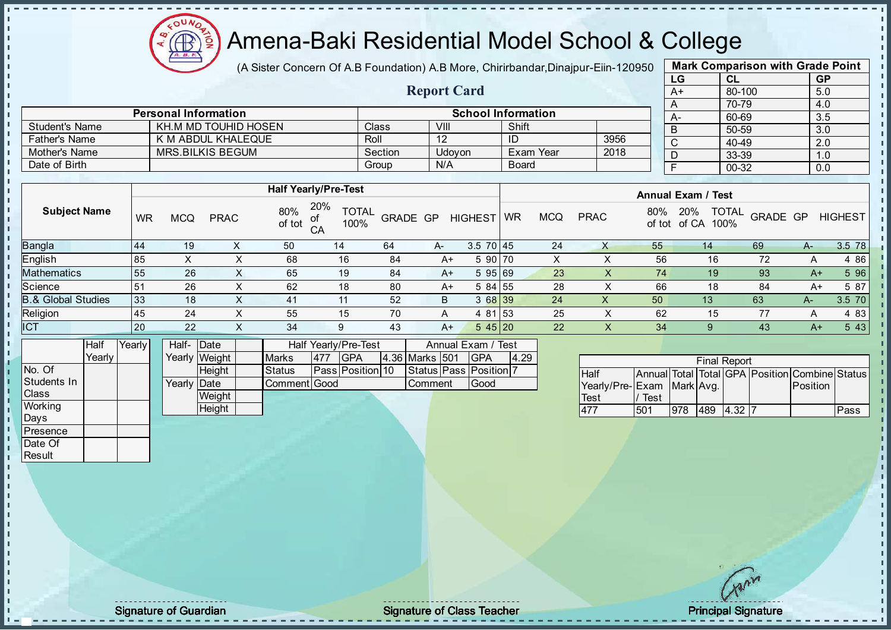

(A Sister Concern Of A.B Foundation) A.B More, Chirirbandar, Dinajpur-Eiin-120950

Report Card

| <b>Mark Comparison with Grade Point</b> |           |           |  |  |  |  |  |  |  |  |
|-----------------------------------------|-----------|-----------|--|--|--|--|--|--|--|--|
| LG                                      | <b>CL</b> | <b>GP</b> |  |  |  |  |  |  |  |  |
| $A+$                                    | 80-100    | 5.0       |  |  |  |  |  |  |  |  |
| A                                       | 70-79     | 4.0       |  |  |  |  |  |  |  |  |
| А-                                      | 60-69     | 3.5       |  |  |  |  |  |  |  |  |
| B                                       | 50-59     | 3.0       |  |  |  |  |  |  |  |  |
| C                                       | 40-49     | 2.0       |  |  |  |  |  |  |  |  |
| D                                       | 33-39     | 1.0       |  |  |  |  |  |  |  |  |
|                                         | 00-32     | 0.0       |  |  |  |  |  |  |  |  |
|                                         |           |           |  |  |  |  |  |  |  |  |

|                       | <b>Personal Information</b> |              |        | <b>School Information</b> |      |
|-----------------------|-----------------------------|--------------|--------|---------------------------|------|
| <b>Student's Name</b> | KH.M MD TOUHID HOSEN        | <b>Class</b> | VIII   | Shift                     |      |
| <b>Father's Name</b>  | K M ABDUL KHALEQUE          | Roll         |        |                           | 3956 |
| Mother's Name         | MRS.BILKIS BEGUM            | Section      | Udovon | Exam Year                 | 2018 |
| Date of Birth         |                             | Group        | N/A    | <b>Board</b>              |      |

|                               |           |                   |             |               | <b>Half Yearly/Pre-Test</b>                                                                                                                                                                                                                                                                                                                                    |                 |      |                 | <b>Annual Exam / Test</b> |            |             |               |                                      |          |      |                |  |
|-------------------------------|-----------|-------------------|-------------|---------------|----------------------------------------------------------------------------------------------------------------------------------------------------------------------------------------------------------------------------------------------------------------------------------------------------------------------------------------------------------------|-----------------|------|-----------------|---------------------------|------------|-------------|---------------|--------------------------------------|----------|------|----------------|--|
| <b>Subject Name</b>           | WR        | <b>MCQ</b>        | <b>PRAC</b> | 80%<br>of tot | 20%<br><b>TOTAL</b><br>of<br>100%<br>CA                                                                                                                                                                                                                                                                                                                        | <b>GRADE GP</b> |      | <b>HIGHEST</b>  | <b>WR</b>                 | <b>MCQ</b> | <b>PRAC</b> | 80%<br>of tot | <b>TOTAL</b><br>20%<br>100%<br>of CA | GRADE GP |      | <b>HIGHEST</b> |  |
| <b>Bangla</b>                 | 44        | 19                |             | 50            | 14                                                                                                                                                                                                                                                                                                                                                             | 64              | $A-$ | $3.5 \ 70 \ 45$ |                           | 24         |             | 55            | 14                                   | 69       | $A-$ | 3.5 78         |  |
| English                       | 85        | $\sim$            | ∧           | 68            | 16                                                                                                                                                                                                                                                                                                                                                             | 84              | A+   | 5 90 70         |                           | X          |             | 56            | 16                                   | 72       | A    | 4 8 6          |  |
| <b>Mathematics</b>            | 55        | 26                | X           | 65            | 19                                                                                                                                                                                                                                                                                                                                                             | 84              | $A+$ | 595 69          |                           | 23         |             | 74            | 19                                   | 93       | $A+$ | 5 96           |  |
| Science                       | $-51$     | 26                | X           | 62            | 18                                                                                                                                                                                                                                                                                                                                                             | 80              | A+   | 5 84 55         |                           | 28         |             | 66            | 18                                   | 84       | A+   | 5 87           |  |
| <b>B.&amp; Global Studies</b> | 133       | 18                | х           | 41            | 11                                                                                                                                                                                                                                                                                                                                                             | 52              | B    | 3 68 39         |                           | 24         | Х           | 50            | 13                                   | 63       | $A-$ | 3.5 70         |  |
| Religion                      | 45        | 24                | X           | 55            | 15                                                                                                                                                                                                                                                                                                                                                             | 70              | A    | 4 81 53         |                           | 25         | ⌒           | 62            | 15                                   | 77       | A    | 4 8 3          |  |
| <b>ICT</b>                    | <b>20</b> | 22                | X           | 34            | 9                                                                                                                                                                                                                                                                                                                                                              | 43              | A+   | 545 20          |                           | 22         | X           | 34            |                                      | 43       | A+   | 5 4 3          |  |
| la alternativa dell'          |           | $\cdots$ $\cdots$ |             |               | $\mathbf{r}$ $\mathbf{r}$ $\mathbf{r}$ $\mathbf{r}$ $\mathbf{r}$ $\mathbf{r}$ $\mathbf{r}$ $\mathbf{r}$ $\mathbf{r}$ $\mathbf{r}$ $\mathbf{r}$ $\mathbf{r}$ $\mathbf{r}$ $\mathbf{r}$ $\mathbf{r}$ $\mathbf{r}$ $\mathbf{r}$ $\mathbf{r}$ $\mathbf{r}$ $\mathbf{r}$ $\mathbf{r}$ $\mathbf{r}$ $\mathbf{r}$ $\mathbf{r}$ $\mathbf{$<br>$\overline{\phantom{0}}$ |                 |      | $\overline{a}$  | $\overline{ }$            |            |             |               |                                      |          |      |                |  |

|              | Half     | Yearly | Half- Date           |                 |              | Half Yearly/Pre-Test | Annual Exam / Test      |  |                |  |                              |      |
|--------------|----------|--------|----------------------|-----------------|--------------|----------------------|-------------------------|--|----------------|--|------------------------------|------|
|              | Yearlv I |        |                      | Yearly Weight I | <b>Marks</b> | 477                  | IGPA                    |  | 4.36 Marks 501 |  | <b>IGPA</b>                  | 4.29 |
| INo. Of      |          |        |                      | <b>Height</b>   | Status       |                      | <b>Pass Position 10</b> |  |                |  | Status   Pass   Position   7 |      |
| Students In  |          |        | Yearlv <b>I</b> Date |                 | Comment Good |                      |                         |  | <b>Comment</b> |  | Good                         |      |
| <b>Class</b> |          |        |                      | Weight          |              |                      |                         |  |                |  |                              |      |
| Working      |          |        |                      | Height          |              |                      |                         |  |                |  |                              |      |
| Days         |          |        |                      |                 |              |                      |                         |  |                |  |                              |      |

|                           |      |     |     | <b>Final Report</b> |                                                |      |
|---------------------------|------|-----|-----|---------------------|------------------------------------------------|------|
| <b>Half</b>               |      |     |     |                     | Annual Total Total GPA Position Combine Status |      |
| Yearly/Pre-Exam Mark Avg. |      |     |     |                     | <b>Position</b>                                |      |
| Test                      | Test |     |     |                     |                                                |      |
| 477                       | 501  | 978 | 489 | <b>14.32 17</b>     |                                                | Pass |

Presence Date Of **Result** 

J. J. J. h  $\mathbf{r}$  $\mathbf{I}$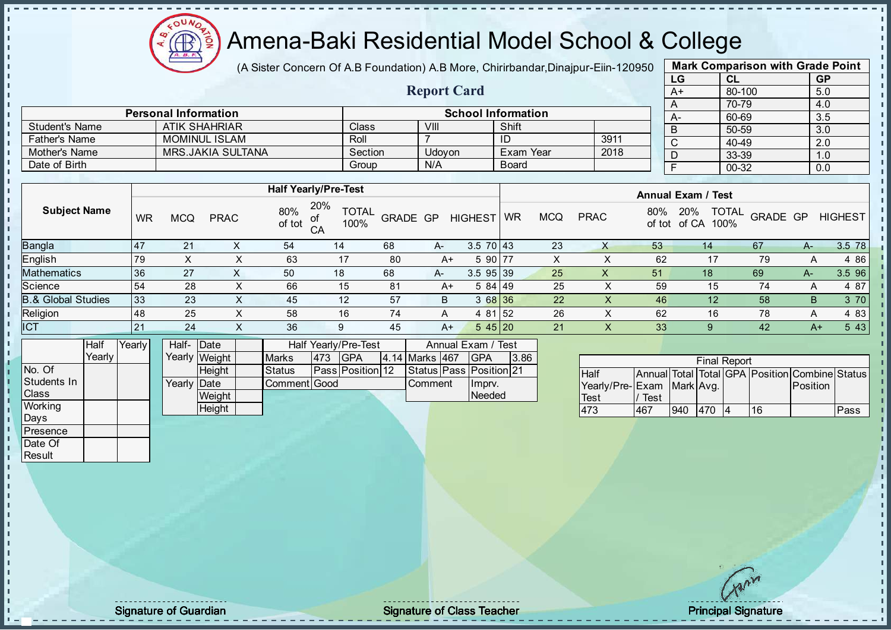

(A Sister Concern Of A.B Foundation) A.B More, Chirirbandar, Dinajpur-Eiin-120950

Report Card

| <b>Mark Comparison with Grade Point</b> |           |           |  |  |  |  |  |  |  |  |
|-----------------------------------------|-----------|-----------|--|--|--|--|--|--|--|--|
| LG                                      | <b>CL</b> | <b>GP</b> |  |  |  |  |  |  |  |  |
| $A+$                                    | 80-100    | 5.0       |  |  |  |  |  |  |  |  |
| A                                       | 70-79     | 4.0       |  |  |  |  |  |  |  |  |
|                                         | 60-69     | 3.5       |  |  |  |  |  |  |  |  |
| B                                       | 50-59     | 3.0       |  |  |  |  |  |  |  |  |
| С                                       | 40-49     | 2.0       |  |  |  |  |  |  |  |  |
|                                         | 33-39     | 1.0       |  |  |  |  |  |  |  |  |
|                                         | 00-32     | 0.0       |  |  |  |  |  |  |  |  |
|                                         |           |           |  |  |  |  |  |  |  |  |

|                      | <b>Personal Information</b> |         |        | <b>School Information</b> |      | А- |
|----------------------|-----------------------------|---------|--------|---------------------------|------|----|
| Student's Name       | <b>ATIK SHAHRIAR</b>        | Class   | VIII   | Shift                     |      |    |
| <b>Father's Name</b> | MOMINUL ISLAM               | Roll    |        |                           | 3911 |    |
| Mother's Name        | MRS.JAKIA SULTANA           | Section | Udovon | Exam Year                 | 2018 |    |
| Date of Birth        |                             | Group   | N/A    | <b>Board</b>              |      |    |

|                               |                  |            |             |               | <b>Half Yearly/Pre-Test</b>             |          |      | <b>Annual Exam / Test</b> |           |            |             |     |                                             |          |      |                |
|-------------------------------|------------------|------------|-------------|---------------|-----------------------------------------|----------|------|---------------------------|-----------|------------|-------------|-----|---------------------------------------------|----------|------|----------------|
| <b>Subject Name</b>           | <b>WR</b>        | <b>MCQ</b> | <b>PRAC</b> | 80%<br>of tot | 20%<br><b>TOTAL</b><br>of<br>100%<br>CA | GRADE GP |      | <b>HIGHEST</b>            | <b>WR</b> | <b>MCQ</b> | <b>PRAC</b> | 80% | <b>TOTAL</b><br>20%<br>100%<br>of tot of CA | GRADE GP |      | <b>HIGHEST</b> |
| <b>Bangla</b>                 | $\overline{147}$ | 21         |             | 54            | 14                                      | 68       | $A-$ | $3.5 \ 70 \ 43$           |           | 23         | X           | 53  | 14                                          | 67       | A-   | 3.5 78         |
| <b>English</b>                | 79               |            |             | 63            | 17                                      | 80       | $A+$ | 5 90 77                   |           | X          |             | 62  | 17                                          | 79       | A    | 4 8 6          |
| Mathematics                   | 36               | 27         |             | 50            | 18                                      | 68       | $A-$ | $3.5$ 95 39               |           | 25         | ∧           | 51  | 18                                          | 69       | A-   | 3.5 96         |
| Science                       | 54               | 28         |             | 66            | 15                                      | 81       | A+   | 584 49                    |           | 25         | ∧           | 59  | 15                                          | 74       | А    | 4 87           |
| <b>B.&amp; Global Studies</b> | 33               | 23         |             | 45            | 12                                      | 57       | B    | 3 68 36                   |           | 22         | X           | 46  | 12                                          | 58       | B    | 3 70           |
| Religion                      | 48               | 25         |             | 58            | 16                                      | 74       | A    | 4 81 52                   |           | 26         | X           | 62  | 16                                          | 78       | A    | 4 8 3          |
| <b>ICT</b>                    | 21               | 24         | $\sim$      | 36            | 9                                       | 45       | A+   | 545 20                    |           | 21         | X           | 33  | 9                                           | 42       | $A+$ | 5 4 3          |
|                               |                  |            |             |               |                                         |          |      |                           |           |            |             |     |                                             |          |      |                |

|                | Half     | Yearly | Half- Date  |               |                     |                                      | Half Yearly/Pre-Test    |  | Annual Exam / Test |  |                               |      |
|----------------|----------|--------|-------------|---------------|---------------------|--------------------------------------|-------------------------|--|--------------------|--|-------------------------------|------|
|                | Yearly I |        |             | Yearly Weight | <b>Marks</b>        | 473<br>4.14 Marks 467<br><b>IGPA</b> |                         |  |                    |  | <b>IGPA</b>                   | 3.86 |
| INo. Of        |          |        |             | <b>Height</b> | Status              |                                      | <b>Pass Position 12</b> |  |                    |  | Status   Pass   Position   21 |      |
| Students In    |          |        | Yearly Date |               | <b>Comment Good</b> |                                      |                         |  | <b>Comment</b>     |  | Ilmpry.                       |      |
| <b>Class</b>   |          |        |             | Weight        |                     |                                      |                         |  |                    |  | Needed                        |      |
| <b>Working</b> |          |        |             | Height        |                     |                                      |                         |  |                    |  |                               |      |

|                           |      |     |     | <b>Final Report</b> |    |                                                |      |
|---------------------------|------|-----|-----|---------------------|----|------------------------------------------------|------|
| <b>Half</b>               |      |     |     |                     |    | Annual Total Total GPA Position Combine Status |      |
| Yearly/Pre-Exam Mark Avg. |      |     |     |                     |    | Position                                       |      |
| <b>Test</b>               | Test |     |     |                     |    |                                                |      |
| 473                       | 467  | 940 | 470 |                     | 16 |                                                | Pass |

Days Presence Date Of **Result** 

h J. n  $\frac{1}{1}$  $\mathbf{I}$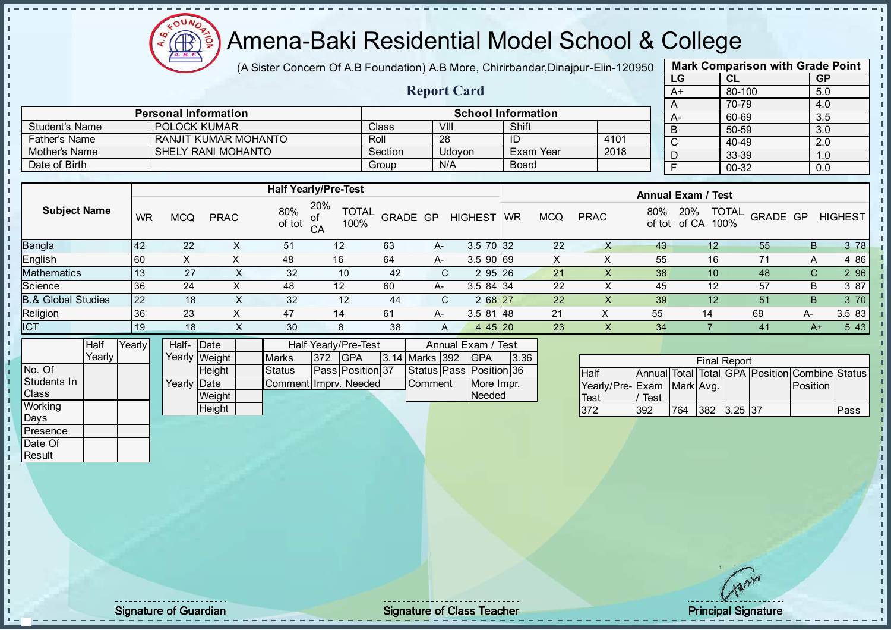$\Omega$ **AR** 

# Amena-Baki Residential Model School & College

(A Sister Concern Of A.B Foundation) A.B More, Chirirbandar, Dinajpur-Eiin-120950

Report Card

| <b>Mark Comparison with Grade Point</b> |        |           |  |  |  |  |  |  |  |  |
|-----------------------------------------|--------|-----------|--|--|--|--|--|--|--|--|
| LG                                      | CL     | <b>GP</b> |  |  |  |  |  |  |  |  |
| $A+$                                    | 80-100 | 5.0       |  |  |  |  |  |  |  |  |
| A                                       | 70-79  | 4.0       |  |  |  |  |  |  |  |  |
| A-                                      | 60-69  | 3.5       |  |  |  |  |  |  |  |  |
| B                                       | 50-59  | 3.0       |  |  |  |  |  |  |  |  |
| C                                       | 40-49  | 2.0       |  |  |  |  |  |  |  |  |
| D                                       | 33-39  | 1.0       |  |  |  |  |  |  |  |  |
| F                                       | 00-32  | 0.0       |  |  |  |  |  |  |  |  |
|                                         |        |           |  |  |  |  |  |  |  |  |

|                       | <b>Personal Information</b> |              |        | <b>School Information</b> |      |
|-----------------------|-----------------------------|--------------|--------|---------------------------|------|
| <b>Student's Name</b> | <b>POLOCK KUMAR</b>         | <b>Class</b> | VIII   | Shift                     |      |
| <b>Father's Name</b>  | RANJIT KUMAR MOHANTO        | Roll         | 28     | ID                        | 4101 |
| Mother's Name         | SHELY RANI MOHANTO          | Section      | Udovon | NExam Year                | 2018 |
| Date of Birth         |                             | Group        | N/A    | <b>Board</b>              |      |

|                               |           |             |             |               | <b>Half Yearly/Pre-Test</b>       |          |      |                | <b>Annual Exam / Test</b> |            |             |               |                 |                                  |      |                |
|-------------------------------|-----------|-------------|-------------|---------------|-----------------------------------|----------|------|----------------|---------------------------|------------|-------------|---------------|-----------------|----------------------------------|------|----------------|
| <b>Subject Name</b>           | WR        | MCQ         | <b>PRAC</b> | 80%<br>of tot | 20%<br><b>TOTAL</b><br>100%<br>CA | GRADE GP |      | <b>HIGHEST</b> | <b>WR</b>                 | <b>MCQ</b> | <b>PRAC</b> | 80%<br>of tot | 20%<br>of CA    | <b>TOTAL</b><br>GRADE GP<br>100% |      | <b>HIGHEST</b> |
| <b>Bangla</b>                 | <b>42</b> | 22          | ∧           | 51            | 12                                | 63       | A-   | $3.5$ 70 32    |                           | 22         |             | 43            | $12 \,$         | 55                               | в    | 3 78           |
| English                       | 60        | $\check{ }$ |             | 48            | 16                                | 64       | A-   | 3.5 90 69      |                           |            |             | 55            | 16              |                                  |      | 4 86           |
| <b>Mathematics</b>            | 13        | 27          | $\Lambda$   | 32            | 10                                | -42      |      | 295 26         |                           | 21         |             | 38            | 10 <sup>°</sup> | 48                               | C.   | 2 9 6          |
| Science                       | 36        | 24          |             | 48            | 12                                | 60       | A-   | $3.584$ 34     |                           | 22         |             | 45            | 12              | 57                               | В    | 3 87           |
| <b>B.&amp; Global Studies</b> | 22        | 18          | $\sim$      | 32            | 12                                | 44       | C.   | $268$ 27       |                           | 22         | X           | 39            | 12              | 51                               | B    | 3 70           |
| Religion                      | 36        | 23          |             | 47            | 14                                | 61       | $A-$ | 3.581 48       |                           | 21         | х           | 55            | 14              | 69                               | А-   | 3.5 83         |
| <b>ICT</b>                    | 19        | 18          | ⌒           | 30            | 8                                 | 38       | A    | 4 4 $5$   20   |                           | 23         | X           | 34            |                 | 41                               | $A+$ | 5 4 3          |

|              | Half     | Yearly | Half-Date   |               |                       |               | Half Yearly/Pre-Test    | Annual Exam / Test |                    |  |                         |      |
|--------------|----------|--------|-------------|---------------|-----------------------|---------------|-------------------------|--------------------|--------------------|--|-------------------------|------|
|              | Yearlv I |        |             | Yearly Weight | <b>Marks</b>          | $ 372\rangle$ | <b>IGPA</b>             |                    | $3.14$ Marks $392$ |  | <b>IGPA</b>             | 3.36 |
| No. Of       |          |        |             | Height        | <b>Status</b>         |               | <b>Pass Position 37</b> |                    |                    |  | Status Pass Position 36 |      |
| Students In  |          |        | Yearly Date |               | CommentIImprv. Needed |               |                         |                    | Comment            |  | More Impr.              |      |
| <b>Class</b> |          |        |             | Weight        |                       |               |                         |                    |                    |  | Needed                  |      |
| Working      |          |        |             | Height        |                       |               |                         |                    |                    |  |                         |      |

|                           |      |     | <b>Final Report</b> |  |                                                |      |
|---------------------------|------|-----|---------------------|--|------------------------------------------------|------|
| <b>Half</b>               |      |     |                     |  | Annual Total Total GPA Position Combine Status |      |
| Yearly/Pre-Exam Mark Avg. |      |     |                     |  | Position                                       |      |
| Test                      | Test |     |                     |  |                                                |      |
| 372                       | 392  | 764 | 382 3.25 37         |  |                                                | Pass |

Days **Presence** Date Of **Result** 

п h  $\mathbf{r}$ L.  $\frac{1}{1}$  $\mathbf{I}$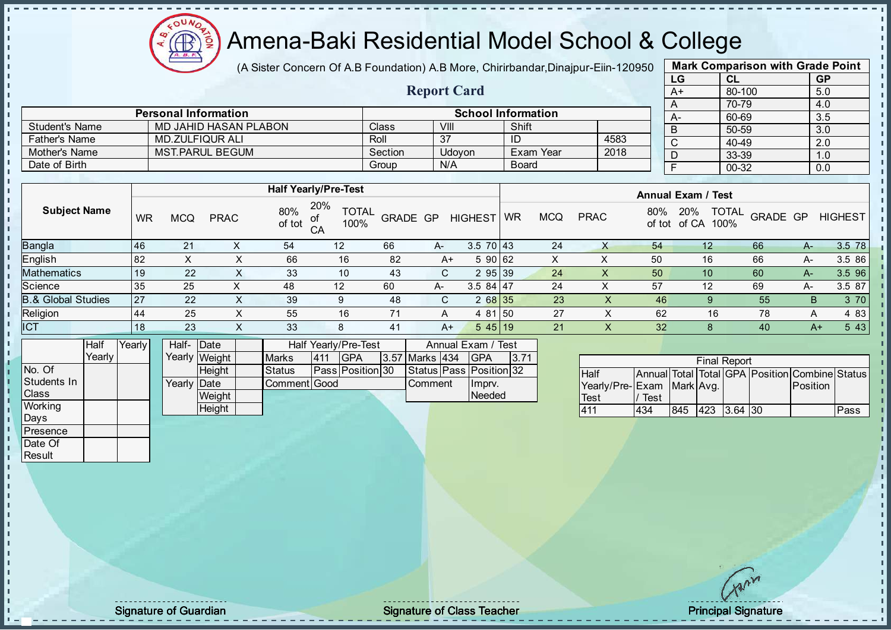

(A Sister Concern Of A.B Foundation) A.B More, Chirirbandar, Dinajpur-Eiin-120950

Report Card

|    | <b>Mark Comparison with Grade Point</b> |           |  |  |  |  |  |  |  |
|----|-----------------------------------------|-----------|--|--|--|--|--|--|--|
| LG | CL                                      | <b>GP</b> |  |  |  |  |  |  |  |
| A+ | 80-100                                  | 5.0       |  |  |  |  |  |  |  |
| A  | 70-79                                   | 4.0       |  |  |  |  |  |  |  |
| А- | 60-69                                   | 3.5       |  |  |  |  |  |  |  |
| B  | 50-59                                   | 3.0       |  |  |  |  |  |  |  |
| C  | 40-49                                   | 2.0       |  |  |  |  |  |  |  |
| D  | 33-39                                   | 1.0       |  |  |  |  |  |  |  |
| F  | 00-32                                   | 0.0       |  |  |  |  |  |  |  |
|    |                                         |           |  |  |  |  |  |  |  |

|                       | <b>Personal Information</b> |         |        | <b>School Information</b> |      |
|-----------------------|-----------------------------|---------|--------|---------------------------|------|
| <b>Student's Name</b> | MD JAHID HASAN PLABON       | Class   | VIII   | Shift                     |      |
| Father's Name         | <b>MD.ZULFIQUR ALI</b>      | Roll    | 27     | ID                        | 4583 |
| Mother's Name         | <b>MST.PARUL BEGUM</b>      | Section | Udovon | <b>Exam Year</b>          | 2018 |
| Date of Birth         |                             | Group   | N/A    | <b>Board</b>              |      |

|                               |           |            |             |               | <b>Half Yearly/Pre-Test</b>       |          |      |                |           |            |             |               | <b>Annual Exam / Test</b>            |          |      |                |  |  |
|-------------------------------|-----------|------------|-------------|---------------|-----------------------------------|----------|------|----------------|-----------|------------|-------------|---------------|--------------------------------------|----------|------|----------------|--|--|
| <b>Subject Name</b>           | WR        | <b>MCQ</b> | <b>PRAC</b> | 80%<br>of tot | 20%<br><b>TOTAL</b><br>100%<br>CA | GRADE GP |      | <b>HIGHEST</b> | <b>WR</b> | <b>MCQ</b> | <b>PRAC</b> | 80%<br>of tot | <b>TOTAL</b><br>20%<br>of CA<br>100% | GRADE GP |      | <b>HIGHEST</b> |  |  |
| <b>Bangla</b>                 | 46        | 21         |             | 54            | 12                                | 66       | $A-$ | $3.570$ 43     |           | 24         |             | 54            | 12                                   | 66       | A-   | 3.5 78         |  |  |
| English                       | 82        |            | ∧           | 66            | 16                                | 82       | A+   | 59062          |           | x          |             | 50            | 16                                   | 66       | A-   | 3.5 86         |  |  |
| <b>Mathematics</b>            | 19        | 22         | $\lambda$   | 33            | 10                                | 43       | C.   | 295 39         |           | 24         | X           | 50            | 10                                   | 60       | A-7  | 3.5 96         |  |  |
| Science                       | 35        | 25         |             | 48            | 12                                | 60       | A-   | $3.584$   47   |           | 24         | Χ           | 57            | 12                                   | 69       | А-   | 3.5 87         |  |  |
| <b>B.&amp; Global Studies</b> | <b>27</b> | 22         | x           | 39            | 9                                 | 48       | C.   | 2 68 35        |           | 23         |             | 46            |                                      | 55       | B    | 3 70           |  |  |
| Religion                      | 44        | 25         | x           | 55            | 16                                | 71       | A    | 4 81 50        |           | 27         |             | 62            | 16                                   | 78       | A    | 4 83           |  |  |
| <b>ICT</b>                    | 18        | 23         | ∧           | 33            | 8                                 | 41       | $A+$ | 545 19         |           | 21         |             | 32            |                                      | 40       | $A+$ | 5 4 3          |  |  |
|                               |           |            |             |               |                                   |          |      |                |           |            |             |               |                                      |          |      |                |  |  |

|                | Half   | Yearly | Half- Date  |               |              |            | Half Yearly/Pre-Test    |                | Annual Exam / Test      |      |
|----------------|--------|--------|-------------|---------------|--------------|------------|-------------------------|----------------|-------------------------|------|
|                | Yearly |        |             | Yearly Weight | <b>Marks</b> | <b>411</b> | IGPA                    | 3.57 Marks 434 | <b>IGPA</b>             | 3.71 |
| No. Of         |        |        |             | <b>Height</b> | Status       |            | <b>Pass Position 30</b> |                | Status Pass Position 32 |      |
| Students In    |        |        | Yearly Date |               | Comment Good |            |                         | Comment        | Ilmpry.                 |      |
| <b>Class</b>   |        |        |             | Weight        |              |            |                         |                | Needed                  |      |
| <b>Working</b> |        |        |             | Height        |              |            |                         |                |                         |      |

| <b>Final Report</b>       |      |     |             |  |  |                                                |      |  |  |
|---------------------------|------|-----|-------------|--|--|------------------------------------------------|------|--|--|
| <b>Half</b>               |      |     |             |  |  | Annual Total Total GPA Position Combine Status |      |  |  |
| Yearly/Pre-Exam Mark Avg. |      |     |             |  |  | Position                                       |      |  |  |
| <b>Test</b>               | Test |     |             |  |  |                                                |      |  |  |
| 411                       | 434  | 845 | 423 3.64 30 |  |  |                                                | Pass |  |  |

Days Presence Date Of **Result** 

J. п  $\frac{1}{1}$  $\mathbf{I}$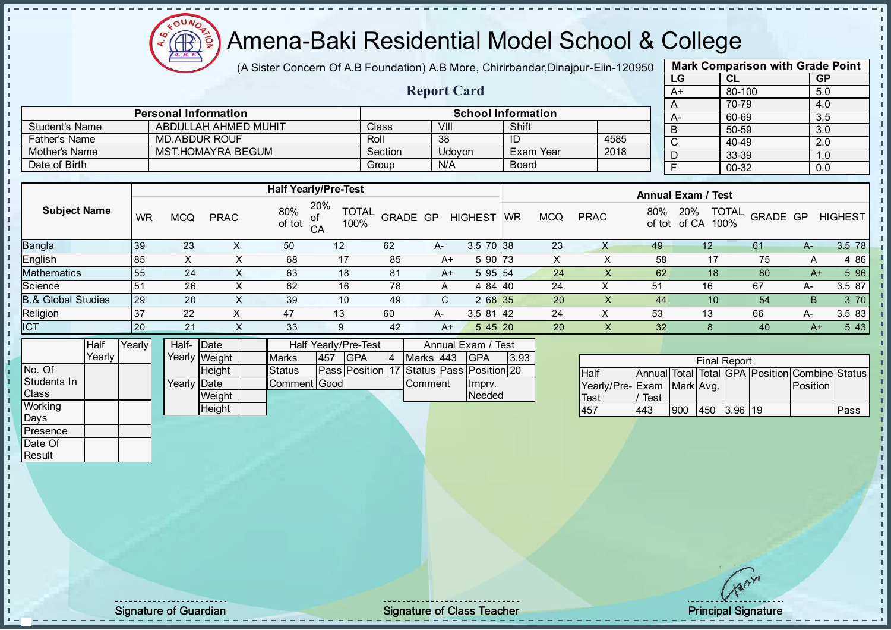

(A Sister Concern Of A.B Foundation) A.B More, Chirirbandar, Dinajpur-Eiin-120950

Report Card

|      | <b>Mark Comparison with Grade Point</b> |           |
|------|-----------------------------------------|-----------|
| LG   | CL                                      | <b>GP</b> |
| $A+$ | 80-100                                  | 5.0       |
| A    | 70-79                                   | 4.0       |
| A-   | 60-69                                   | 3.5       |
| B    | 50-59                                   | 3.0       |
| C    | 40-49                                   | 2.0       |
| D    | 33-39                                   | 1.0       |
| F    | $00 - 32$                               | 0.0       |
|      |                                         |           |

|                       | <b>Personal Information</b> |         |        | <b>School Information</b> |      |  |
|-----------------------|-----------------------------|---------|--------|---------------------------|------|--|
| <b>Student's Name</b> | ABDULLAH AHMED MUHIT        | Class   | VIII   | Shift                     |      |  |
| <b>Father's Name</b>  | MD.ABDUR ROUF               | Roll    | 38     | ID                        | 4585 |  |
| Mother's Name         | <b>MST.HOMAYRA BEGUM</b>    | Section | Udovon | Exam Year                 | 2018 |  |
| Date of Birth         |                             | Group   | N/A    | <b>Board</b>              |      |  |

|                               |           |            |             |               | <b>Half Yearly/Pre-Test</b>             |          |      |                 | <b>Annual Exam / Test</b> |            |             |               |                                      |                 |      |                |
|-------------------------------|-----------|------------|-------------|---------------|-----------------------------------------|----------|------|-----------------|---------------------------|------------|-------------|---------------|--------------------------------------|-----------------|------|----------------|
| <b>Subject Name</b>           | <b>WR</b> | <b>MCQ</b> | <b>PRAC</b> | 80%<br>of tot | 20%<br><b>TOTAL</b><br>of<br>100%<br>CA | GRADE GP |      | <b>HIGHEST</b>  | <b>WR</b>                 | <b>MCQ</b> | <b>PRAC</b> | 80%<br>of tot | <b>TOTAL</b><br>20%<br>of CA<br>100% | <b>GRADE GP</b> |      | <b>HIGHEST</b> |
| <b>Bangla</b>                 | 39        | 23         |             | 50            | $12 \overline{ }$                       | 62       | $A-$ | $3.5 \ 70 \ 38$ |                           | 23         |             | 49            | $12 \overline{ }$                    | 61              | A-   | 3.5 78         |
| <b>English</b>                | 85        | X          | ∧           | 68            | 17                                      | 85       | A+   | $590$ 73        |                           | X          |             | 58            | 17                                   | 75              | A    | 4 8 6          |
| <b>Mathematics</b>            | 55        | 24         |             | 63            | 18                                      | 81       | A+   | 595 54          |                           | 24         | $\Lambda$   | 62            | 18                                   | 80              | $A+$ | 5 9 6          |
| Science                       | 51        | 26         | X           | 62            | 16                                      | 78       | A    | 4 84 40         |                           | 24         | X           | 51            | 16                                   | 67              | А-   | 3.5 87         |
| <b>B.&amp; Global Studies</b> | 29        | 20         | ∧           | 39            | 10                                      | 49       | C.   | 2 68 35         |                           | 20         | ⋏           | 44            | 10                                   | 54              | B.   | 3 70           |
| Religion                      | 37        | 22         | X           | 47            | 13                                      | 60       | A-   | 3.581 42        |                           | 24         | ⋏           | 53            | 13                                   | 66              | А-   | 3.5 83         |
| <b>ICT</b>                    | 20        | 21         |             | 33            | 9                                       | 42       | $A+$ | 545 20          |                           | 20         | X           | 32            |                                      | 40              | $A+$ | 5 4 3          |
|                               |           |            |             |               |                                         |          |      |                 |                           |            |             |               |                                      |                 |      |                |

|                | <b>Half</b> | Yearly | Half- Date           |               |               |     | Half Yearly/Pre-Test                     |                  | Annual Exam / | Test \ |      |
|----------------|-------------|--------|----------------------|---------------|---------------|-----|------------------------------------------|------------------|---------------|--------|------|
|                | Yearly      |        |                      | Yearly Weight | <b>Marks</b>  | 457 | <b>IGPA</b>                              | Marks 443        |               | IGPA   | 3.93 |
| INo. Of        |             |        |                      | <b>Height</b> | <b>Status</b> |     | Pass Position 17 Status Pass Position 20 |                  |               |        |      |
| Students In    |             |        | Yearlv <b>I</b> Date |               | Comment Good  |     |                                          | <b>I</b> Comment |               | Imprv. |      |
| <b>Class</b>   |             |        |                      | Weight        |               |     |                                          |                  |               | Needed |      |
| <b>Working</b> |             |        |                      | Height        |               |     |                                          |                  |               |        |      |

| <b>Final Report</b>       |      |     |      |         |  |                                                |      |  |  |  |
|---------------------------|------|-----|------|---------|--|------------------------------------------------|------|--|--|--|
| <b>Half</b>               |      |     |      |         |  | Annual Total Total GPA Position Combine Status |      |  |  |  |
| Yearly/Pre-Exam Mark Avg. |      |     |      |         |  | Position                                       |      |  |  |  |
| Test                      | Test |     |      |         |  |                                                |      |  |  |  |
| 457                       | 443  | 900 | l450 | 3.96 19 |  |                                                | Pass |  |  |  |

Days Presence Date Of **Result** 

h. J. n h İ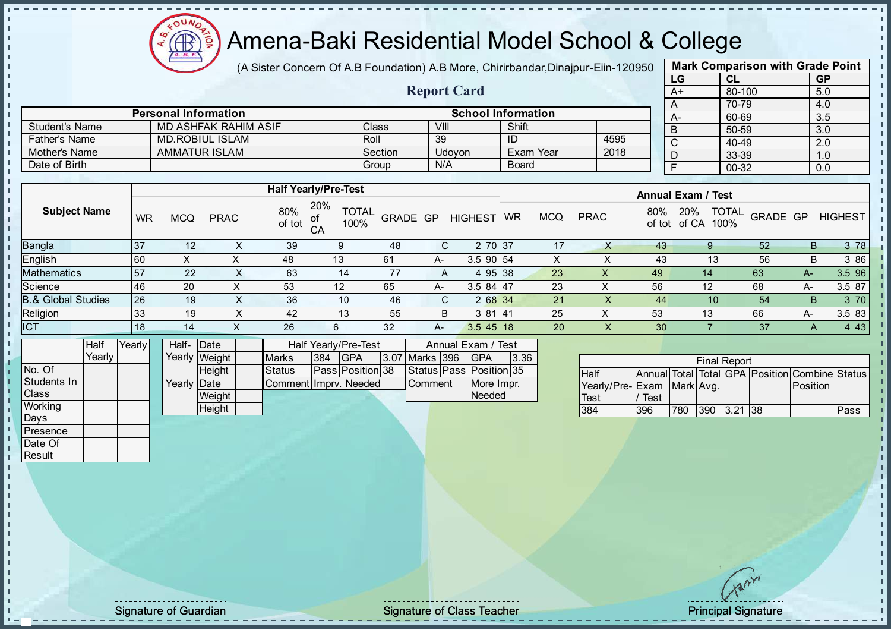

(A Sister Concern Of A.B Foundation) A.B More, Chirirbandar, Dinajpur-Eiin-120950

Report Card

|      | <b>Mark Comparison with Grade Point</b> |           |  |  |  |  |  |  |  |
|------|-----------------------------------------|-----------|--|--|--|--|--|--|--|
| LG   | CL                                      | <b>GP</b> |  |  |  |  |  |  |  |
| $A+$ | 80-100                                  | 5.0       |  |  |  |  |  |  |  |
| A    | 70-79                                   | 4.0       |  |  |  |  |  |  |  |
| А-   | 60-69                                   | 3.5       |  |  |  |  |  |  |  |
| B    | 50-59                                   | 3.0       |  |  |  |  |  |  |  |
| C    | 40-49                                   | 2.0       |  |  |  |  |  |  |  |
| D    | 33-39                                   | 1.0       |  |  |  |  |  |  |  |
| F    | 00-32                                   | 0.0       |  |  |  |  |  |  |  |
|      |                                         |           |  |  |  |  |  |  |  |

|                       | <b>Personal Information</b> |         |        | <b>School Information</b> |      |  |
|-----------------------|-----------------------------|---------|--------|---------------------------|------|--|
| <b>Student's Name</b> | MD ASHFAK RAHIM ASIF        | Class   | VIII   | Shift                     |      |  |
| <b>Father's Name</b>  | MD.ROBIUL ISLAM             | Roll    | 39     | ID                        | 4595 |  |
| Mother's Name         | <b>AMMATUR ISLAM</b>        | Section | Udovon | Exam Year                 | 2018 |  |
| Date of Birth         |                             | Group   | N/A    | Board                     |      |  |

|                     |           |            |             |               | <b>Half Yearly/Pre-Test</b>       |          |    |                | <b>Annual Exam / Test</b> |            |                    |    |                                             |          |    |                |
|---------------------|-----------|------------|-------------|---------------|-----------------------------------|----------|----|----------------|---------------------------|------------|--------------------|----|---------------------------------------------|----------|----|----------------|
| <b>Subject Name</b> | <b>WR</b> | <b>MCQ</b> | <b>PRAC</b> | 80%<br>of tot | 20%<br><b>TOTAL</b><br>100%<br>CA | GRADE GP |    | <b>HIGHEST</b> | WR                        | <b>MCQ</b> | 80%<br><b>PRAC</b> |    | <b>TOTAL</b><br>20%<br>of tot of CA<br>100% | GRADE GP |    | <b>HIGHEST</b> |
| Bangla              | 37        | 12         | х           | 39            | 9                                 | 48       | C. | 2 70 37        |                           | 17         |                    | 43 |                                             | 52       | В  | 3 78           |
| English             | 160       | X          | х           | 48            | 13                                | 61       | A- | 3.5 90 54      |                           | X          |                    | 43 | 13                                          | 56       | В  | 3 86           |
| Mathematics         | 57        | 22         | X.          | 63            | 14                                | 77       | A  | 4 95 38        |                           | 23         | X                  | 49 | 14                                          | 63       | A- | 3.5 96         |
| Science             | 46        | 20         |             | 53            | 12                                | 65       | A- | $3.584$   47   |                           | 23         | ⌒                  | 56 | 12                                          | 68       | A- | 3.5 87         |
| 8.& Global Studies  | 26        | 19         | X           | 36            | 10                                | 46       | C. | 2 68 34        |                           | 21         |                    | 44 | 10                                          | 54       | B. | 3 70           |
| Religion            | 33        | 19         | X           | 42            | 13                                | 55       | B  | 3 81 41        |                           | 25         | ⌒                  | 53 | 13                                          | 66       | А- | 3.5 83         |
| <b>ICT</b>          | 18        | 14         |             | 26            | 6                                 | 32       | A- | $3.545$ 18     |                           | 20         | ᄉ                  | 30 |                                             | 37       | A  | 4 4 3          |
|                     |           |            |             |               |                                   |          |    |                |                           |            |                    |    |                                             |          |    |                |

|                | Half     | Yearly | Half- Date  |               |                       |      | Half Yearly/Pre-Test    | Annual Exam / Test |  |                         |      |  |
|----------------|----------|--------|-------------|---------------|-----------------------|------|-------------------------|--------------------|--|-------------------------|------|--|
|                | Yearlv I |        |             | Yearly Weight | <b>Marks</b>          | 1384 | <b>IGPA</b>             | 3.07 Marks 396     |  | IGPA                    | 3.36 |  |
| INo. Of        |          |        |             | <b>Height</b> | <b>Status</b>         |      | <b>Pass Position 38</b> |                    |  | Status Pass Position 35 |      |  |
| Students In    |          |        | Yearly Date |               | Comment Imprv. Needed |      |                         | <b>Comment</b>     |  | More Impr.              |      |  |
| <b>Class</b>   |          |        |             | Weight        |                       |      |                         |                    |  | Needed                  |      |  |
| <b>Working</b> |          |        |             | Height        |                       |      |                         |                    |  |                         |      |  |

| <b>Final Report</b>       |      |     |  |             |  |                                                |      |  |  |  |  |  |  |
|---------------------------|------|-----|--|-------------|--|------------------------------------------------|------|--|--|--|--|--|--|
| <b>Half</b>               |      |     |  |             |  | Annual Total Total GPA Position Combine Status |      |  |  |  |  |  |  |
| Yearly/Pre-Exam Mark Avg. |      |     |  |             |  | Position                                       |      |  |  |  |  |  |  |
| Test                      | Test |     |  |             |  |                                                |      |  |  |  |  |  |  |
| 384                       | 396  | 780 |  | 390 3.21 38 |  |                                                | Pass |  |  |  |  |  |  |

Days **Presence** Date Of **Result** 

h П h İ